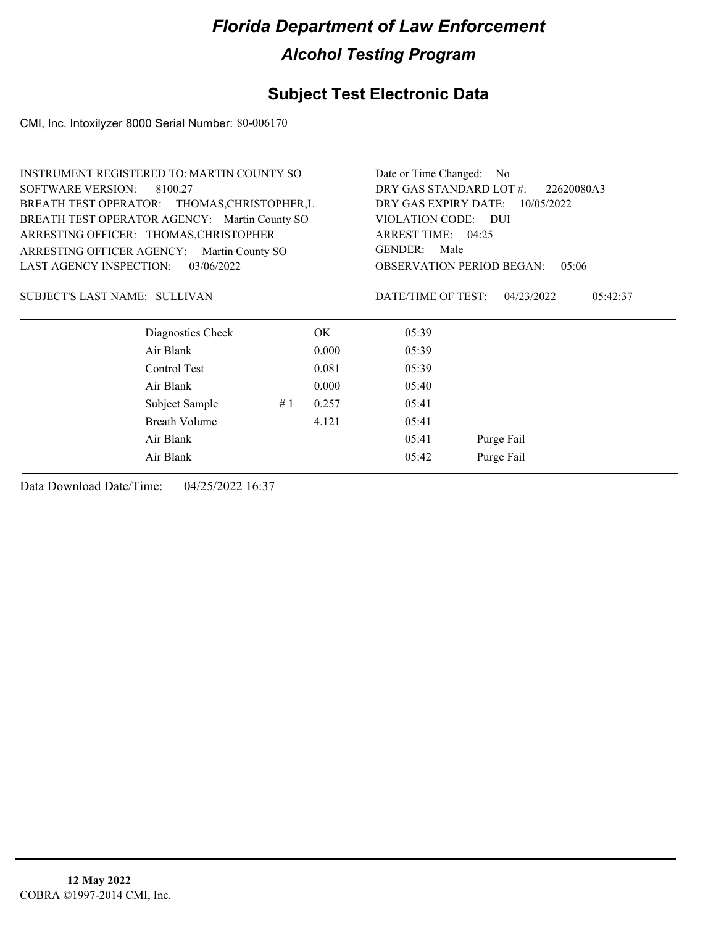### **Subject Test Electronic Data**

CMI, Inc. Intoxilyzer 8000 Serial Number: 80-006170

| <b>INSTRUMENT REGISTERED TO: MARTIN COUNTY SO</b> |                      |    |       | Date or Time Changed: No                  |                        |  |
|---------------------------------------------------|----------------------|----|-------|-------------------------------------------|------------------------|--|
| <b>SOFTWARE VERSION:</b><br>8100.27               |                      |    |       | DRY GAS STANDARD LOT #:<br>22620080A3     |                        |  |
| BREATH TEST OPERATOR: THOMAS, CHRISTOPHER, L      |                      |    |       | DRY GAS EXPIRY DATE:<br>10/05/2022        |                        |  |
| BREATH TEST OPERATOR AGENCY: Martin County SO     |                      |    |       | VIOLATION CODE: DUI                       |                        |  |
| ARRESTING OFFICER: THOMAS, CHRISTOPHER            |                      |    |       | ARREST TIME: 04:25                        |                        |  |
| ARRESTING OFFICER AGENCY:<br>Martin County SO     |                      |    |       | <b>GENDER:</b><br>Male                    |                        |  |
| <b>LAST AGENCY INSPECTION:</b>                    | 03/06/2022           |    |       | <b>OBSERVATION PERIOD BEGAN:</b><br>05:06 |                        |  |
| SUBJECT'S LAST NAME: SULLIVAN                     |                      |    |       | DATE/TIME OF TEST:                        | 04/23/2022<br>05:42:37 |  |
|                                                   | Diagnostics Check    |    | OK.   | 05:39                                     |                        |  |
|                                                   | Air Blank            |    | 0.000 | 05:39                                     |                        |  |
|                                                   | Control Test         |    | 0.081 | 05:39                                     |                        |  |
|                                                   | Air Blank            |    | 0.000 | 05:40                                     |                        |  |
|                                                   | Subject Sample       | #1 | 0.257 | 05:41                                     |                        |  |
|                                                   | <b>Breath Volume</b> |    | 4.121 | 05:41                                     |                        |  |
| Air Blank                                         |                      |    | 05:41 | Purge Fail                                |                        |  |
|                                                   | Air Blank            |    |       | 05:42                                     | Purge Fail             |  |
|                                                   |                      |    |       |                                           |                        |  |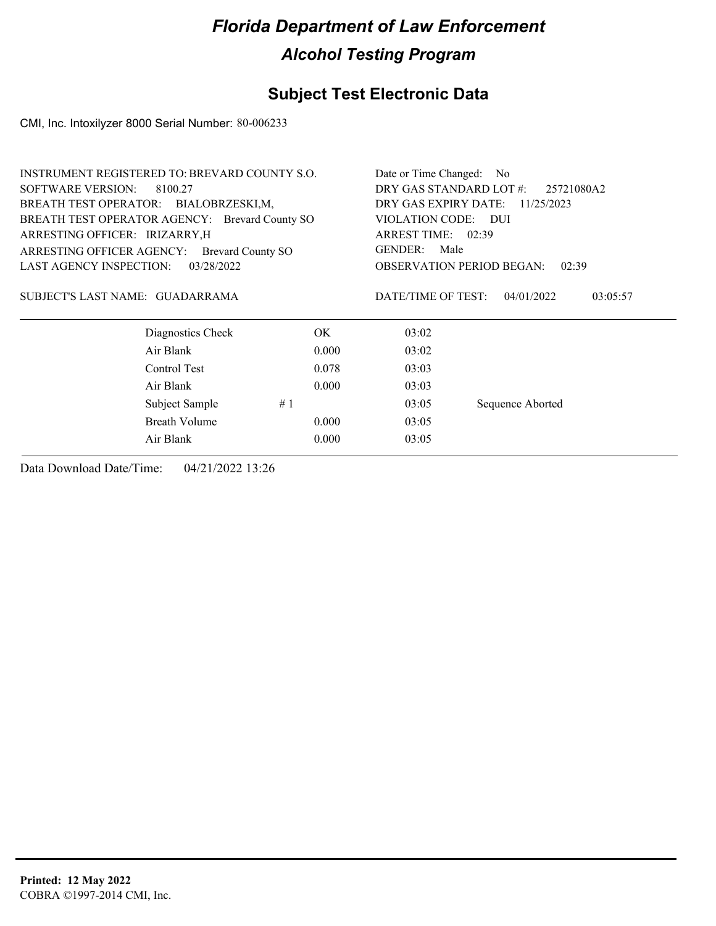### **Subject Test Electronic Data**

CMI, Inc. Intoxilyzer 8000 Serial Number: 80-006233

|                                 | <b>INSTRUMENT REGISTERED TO: BREVARD COUNTY S.O.</b> |                                       | Date or Time Changed:<br>N <sub>o</sub> |                                           |  |  |
|---------------------------------|------------------------------------------------------|---------------------------------------|-----------------------------------------|-------------------------------------------|--|--|
| <b>SOFTWARE VERSION:</b>        | 8100.27                                              | DRY GAS STANDARD LOT #:<br>25721080A2 |                                         |                                           |  |  |
|                                 | BREATH TEST OPERATOR: BIALOBRZESKI,M,                | DRY GAS EXPIRY DATE:<br>11/25/2023    |                                         |                                           |  |  |
|                                 | BREATH TEST OPERATOR AGENCY: Brevard County SO       |                                       | VIOLATION CODE: DUI                     |                                           |  |  |
| ARRESTING OFFICER: IRIZARRY, H  |                                                      | ARREST TIME: 02:39                    |                                         |                                           |  |  |
| ARRESTING OFFICER AGENCY:       | <b>Brevard County SO</b>                             |                                       | <b>GENDER:</b><br>Male                  |                                           |  |  |
| <b>LAST AGENCY INSPECTION:</b>  | 03/28/2022                                           |                                       |                                         | <b>OBSERVATION PERIOD BEGAN:</b><br>02:39 |  |  |
| SUBJECT'S LAST NAME: GUADARRAMA | Diagnostics Check                                    | OK.                                   | DATE/TIME OF TEST:<br>03:02             | 04/01/2022<br>03:05:57                    |  |  |
|                                 | Air Blank                                            | 0.000                                 |                                         |                                           |  |  |
|                                 |                                                      |                                       | 03:02                                   |                                           |  |  |
|                                 | Control Test                                         | 0.078                                 | 03:03                                   |                                           |  |  |
|                                 | Air Blank                                            | 0.000                                 | 03:03                                   |                                           |  |  |
|                                 | Subject Sample                                       | #1                                    | 03:05                                   | Sequence Aborted                          |  |  |
|                                 | Breath Volume                                        | 0.000                                 | 03:05                                   |                                           |  |  |
|                                 | Air Blank                                            | 0.000                                 | 03:05                                   |                                           |  |  |
|                                 |                                                      |                                       |                                         |                                           |  |  |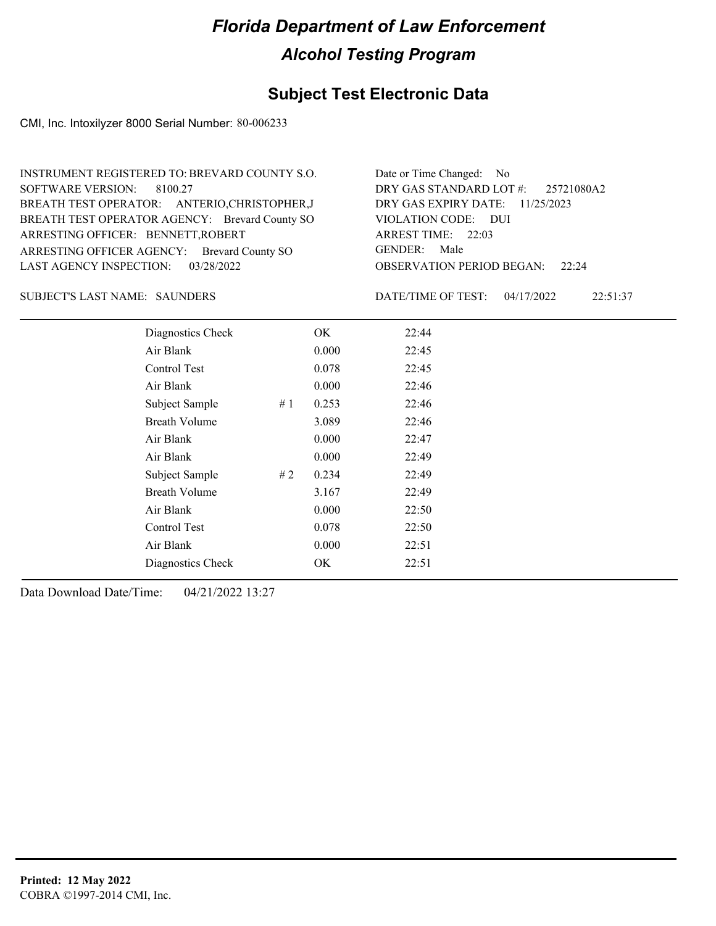### **Subject Test Electronic Data**

CMI, Inc. Intoxilyzer 8000 Serial Number: 80-006233

| INSTRUMENT REGISTERED TO: BREVARD COUNTY S.O.  | Date or Time Changed: No               |
|------------------------------------------------|----------------------------------------|
| SOFTWARE VERSION: 8100.27                      | DRY GAS STANDARD LOT $\#$ : 25721080A2 |
| BREATH TEST OPERATOR: ANTERIO, CHRISTOPHER, J  | DRY GAS EXPIRY DATE: $11/25/2023$      |
| BREATH TEST OPERATOR AGENCY: Brevard County SO | VIOLATION CODE: DUI                    |
| ARRESTING OFFICER: BENNETT, ROBERT             | ARREST TIME: 22:03                     |
| ARRESTING OFFICER AGENCY: Brevard County SO    | GENDER: Male                           |
| LAST AGENCY INSPECTION: 03/28/2022             | <b>OBSERVATION PERIOD BEGAN:</b> 22:24 |

#### SUBJECT'S LAST NAME: SAUNDERS DATE/TIME OF TEST:

DATE/TIME OF TEST: 04/17/2022 22:51:37

| Diagnostics Check    |    | OK    | 22:44 |
|----------------------|----|-------|-------|
| Air Blank            |    | 0.000 | 22:45 |
| Control Test         |    | 0.078 | 22:45 |
| Air Blank            |    | 0.000 | 22:46 |
| Subject Sample       | #1 | 0.253 | 22:46 |
| <b>Breath Volume</b> |    | 3.089 | 22:46 |
| Air Blank            |    | 0.000 | 22:47 |
| Air Blank            |    | 0.000 | 22:49 |
| Subject Sample       | #2 | 0.234 | 22:49 |
| <b>Breath Volume</b> |    | 3.167 | 22:49 |
| Air Blank            |    | 0.000 | 22:50 |
| Control Test         |    | 0.078 | 22:50 |
| Air Blank            |    | 0.000 | 22:51 |
| Diagnostics Check    |    | OK    | 22:51 |
|                      |    |       |       |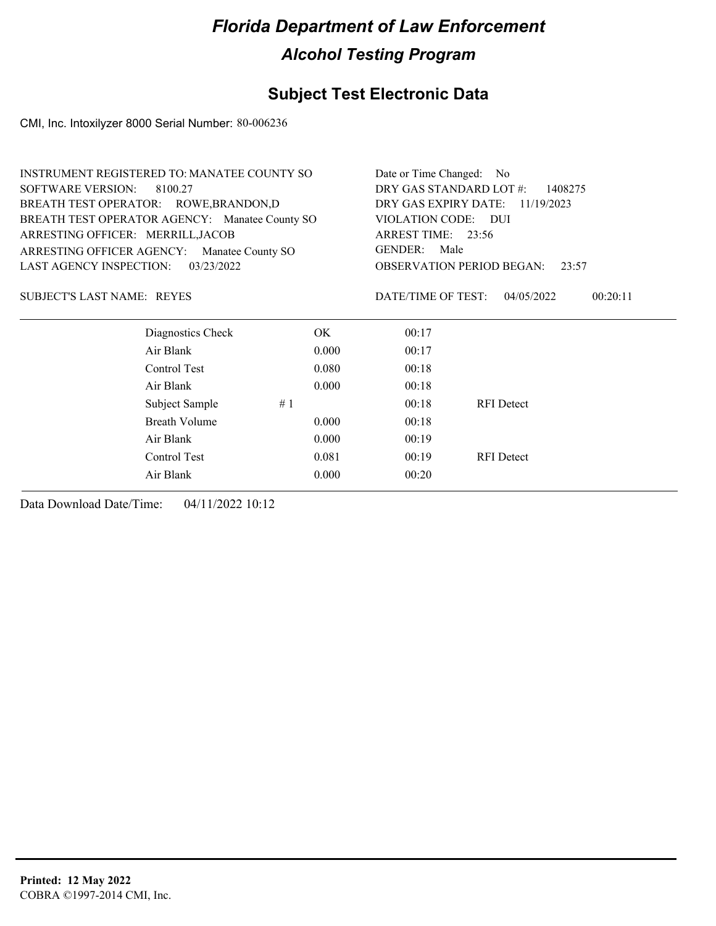### **Subject Test Electronic Data**

CMI, Inc. Intoxilyzer 8000 Serial Number: 80-006236

| INSTRUMENT REGISTERED TO: MANATEE COUNTY SO    |       | Date or Time Changed: No           |                                           |          |  |
|------------------------------------------------|-------|------------------------------------|-------------------------------------------|----------|--|
| <b>SOFTWARE VERSION:</b><br>8100.27            |       | DRY GAS STANDARD LOT #:<br>1408275 |                                           |          |  |
| BREATH TEST OPERATOR: ROWE, BRANDON, D         |       |                                    | DRY GAS EXPIRY DATE:<br>11/19/2023        |          |  |
| BREATH TEST OPERATOR AGENCY: Manatee County SO |       | VIOLATION CODE: DUI                |                                           |          |  |
| ARRESTING OFFICER: MERRILL, JACOB              |       |                                    | ARREST TIME: 23:56                        |          |  |
| ARRESTING OFFICER AGENCY:<br>Manatee County SO |       | <b>GENDER:</b>                     | Male                                      |          |  |
| <b>LAST AGENCY INSPECTION:</b><br>03/23/2022   |       |                                    | <b>OBSERVATION PERIOD BEGAN:</b><br>23:57 |          |  |
| <b>SUBJECT'S LAST NAME: REYES</b>              |       | DATE/TIME OF TEST:                 | 04/05/2022                                | 00:20:11 |  |
| Diagnostics Check                              | OK.   | 00:17                              |                                           |          |  |
| Air Blank                                      | 0.000 | 00:17                              |                                           |          |  |
| Control Test                                   | 0.080 | 00:18                              |                                           |          |  |
| Air Blank                                      | 0.000 | 00:18                              |                                           |          |  |
| Subject Sample                                 | #1    | 00:18                              | <b>RFI</b> Detect                         |          |  |
| <b>Breath Volume</b>                           | 0.000 | 00:18                              |                                           |          |  |
| Air Blank                                      | 0.000 | 00:19                              |                                           |          |  |
| Control Test                                   | 0.081 | 00:19                              | <b>RFI</b> Detect                         |          |  |
| Air Blank                                      | 0.000 | 00:20                              |                                           |          |  |
|                                                |       |                                    |                                           |          |  |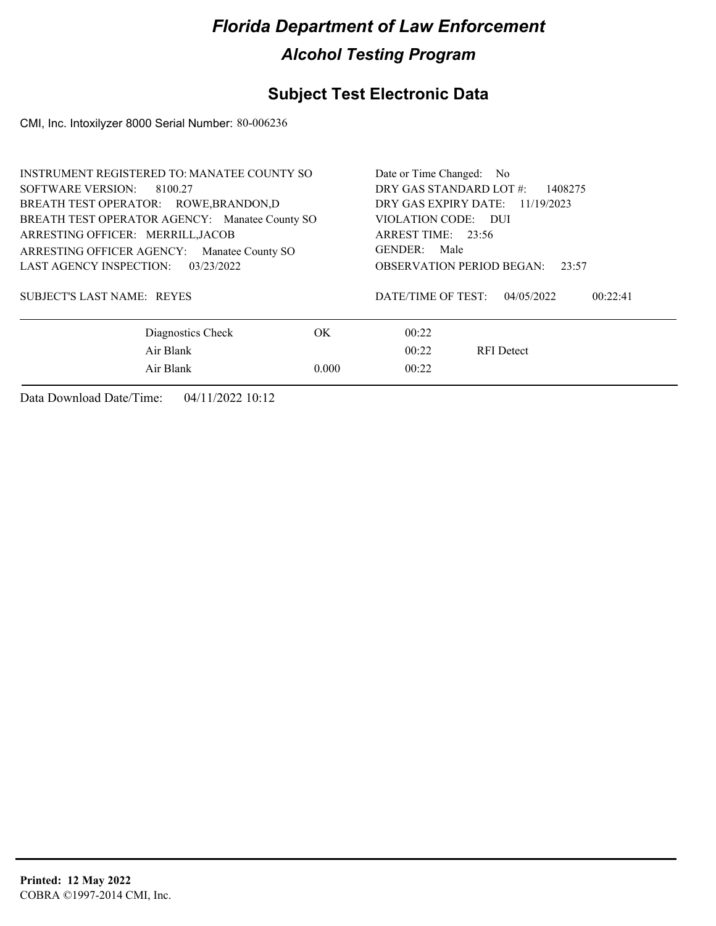### **Subject Test Electronic Data**

CMI, Inc. Intoxilyzer 8000 Serial Number: 80-006236

| <b>INSTRUMENT REGISTERED TO: MANATEE COUNTY SO</b> | Date or Time Changed: No                  |                        |  |  |  |
|----------------------------------------------------|-------------------------------------------|------------------------|--|--|--|
| SOFTWARE VERSION:<br>8100.27                       | DRY GAS STANDARD LOT #:<br>1408275        |                        |  |  |  |
| BREATH TEST OPERATOR: ROWE, BRANDON, D             | DRY GAS EXPIRY DATE: 11/19/2023           |                        |  |  |  |
| BREATH TEST OPERATOR AGENCY: Manatee County SO     | VIOLATION CODE: DUI                       |                        |  |  |  |
| ARRESTING OFFICER: MERRILL, JACOB                  |                                           | ARREST TIME: 23:56     |  |  |  |
| ARRESTING OFFICER AGENCY:<br>Manatee County SO     |                                           | GENDER: Male           |  |  |  |
| LAST AGENCY INSPECTION:<br>03/23/2022              | <b>OBSERVATION PERIOD BEGAN:</b><br>23:57 |                        |  |  |  |
| <b>SUBJECT'S LAST NAME: REYES</b>                  | DATE/TIME OF TEST:                        | 04/05/2022<br>00:22:41 |  |  |  |
| Diagnostics Check                                  | OK.                                       | 00:22                  |  |  |  |
| Air Blank                                          | 00:22                                     | <b>RFI</b> Detect      |  |  |  |
| Air Blank                                          | 0.000                                     | 00:22                  |  |  |  |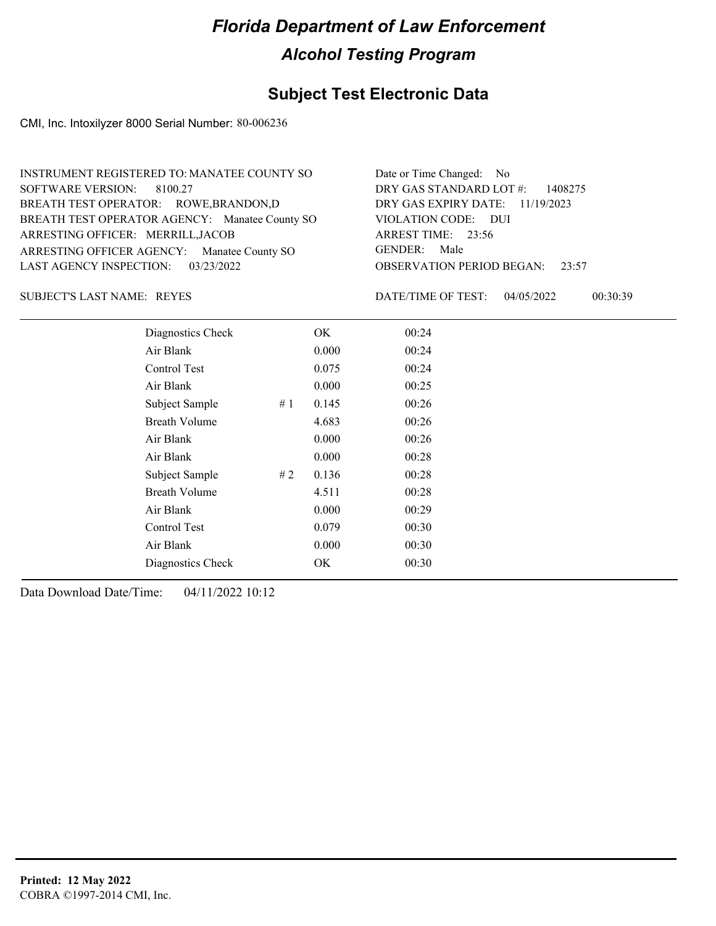### **Subject Test Electronic Data**

CMI, Inc. Intoxilyzer 8000 Serial Number: 80-006236

| INSTRUMENT REGISTERED TO: MANATEE COUNTY SO    | Date or Time Changed: No               |
|------------------------------------------------|----------------------------------------|
| SOFTWARE VERSION: 8100.27                      | DRY GAS STANDARD LOT #: 1408275        |
| BREATH TEST OPERATOR: ROWE, BRANDON, D         | DRY GAS EXPIRY DATE: 11/19/2023        |
| BREATH TEST OPERATOR AGENCY: Manatee County SO | VIOLATION CODE: DUI                    |
| ARRESTING OFFICER: MERRILL, JACOB              | ARREST TIME: 23:56                     |
| ARRESTING OFFICER AGENCY: Manatee County SO    | GENDER: Male                           |
| LAST AGENCY INSPECTION: 03/23/2022             | <b>OBSERVATION PERIOD BEGAN: 23:57</b> |

SUBJECT'S LAST NAME: REYES **EXECUTE:** DATE/TIME OF TEST:

DATE/TIME OF TEST: 04/05/2022 00:30:39

| Diagnostics Check    |    | OK    | 00:24 |
|----------------------|----|-------|-------|
| Air Blank            |    | 0.000 | 00:24 |
| Control Test         |    | 0.075 | 00:24 |
| Air Blank            |    | 0.000 | 00:25 |
| Subject Sample       | #1 | 0.145 | 00:26 |
| <b>Breath Volume</b> |    | 4.683 | 00:26 |
| Air Blank            |    | 0.000 | 00:26 |
| Air Blank            |    | 0.000 | 00:28 |
| Subject Sample       | #2 | 0.136 | 00:28 |
| <b>Breath Volume</b> |    | 4.511 | 00:28 |
| Air Blank            |    | 0.000 | 00:29 |
| <b>Control Test</b>  |    | 0.079 | 00:30 |
| Air Blank            |    | 0.000 | 00:30 |
| Diagnostics Check    |    | OK    | 00:30 |
|                      |    |       |       |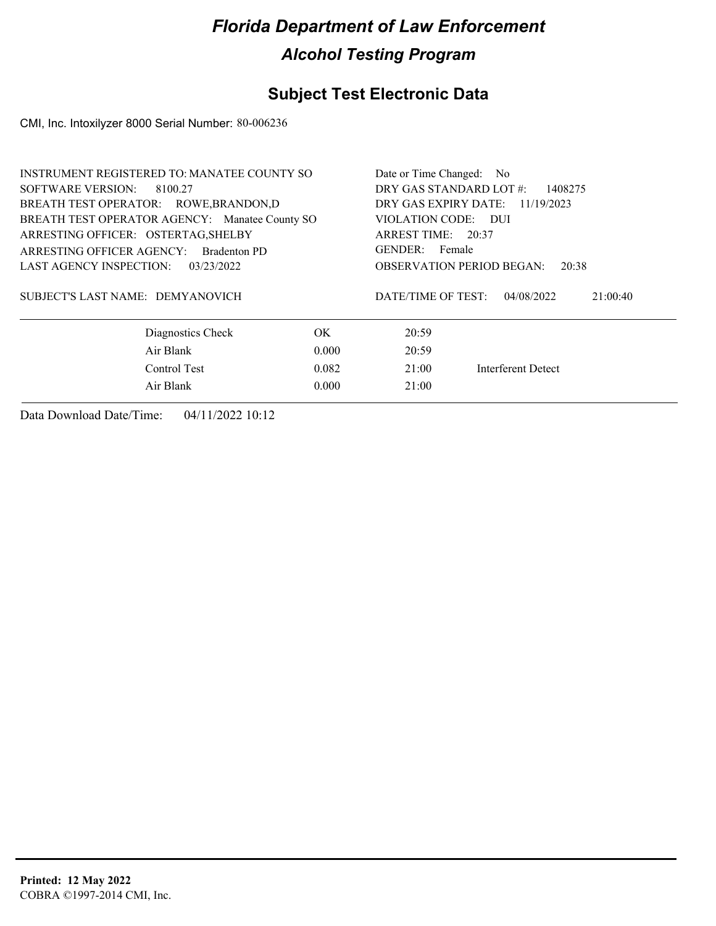### **Subject Test Electronic Data**

CMI, Inc. Intoxilyzer 8000 Serial Number: 80-006236

| INSTRUMENT REGISTERED TO: MANATEE COUNTY SO |                                                |                    |                                           | Date or Time Changed: No           |  |  |
|---------------------------------------------|------------------------------------------------|--------------------|-------------------------------------------|------------------------------------|--|--|
| SOFTWARE VERSION: 8100.27                   |                                                |                    |                                           | DRY GAS STANDARD LOT #:<br>1408275 |  |  |
|                                             | BREATH TEST OPERATOR: ROWE, BRANDON, D         |                    | DRY GAS EXPIRY DATE:                      | 11/19/2023                         |  |  |
|                                             | BREATH TEST OPERATOR AGENCY: Manatee County SO |                    |                                           | VIOLATION CODE: DUI                |  |  |
| ARRESTING OFFICER: OSTERTAG, SHELBY         |                                                |                    |                                           | ARREST TIME: 20:37                 |  |  |
| ARRESTING OFFICER AGENCY:                   | <b>Bradenton PD</b>                            |                    |                                           | GENDER: Female                     |  |  |
| LAST AGENCY INSPECTION: $03/23/2022$        |                                                |                    | <b>OBSERVATION PERIOD BEGAN:</b><br>20:38 |                                    |  |  |
| SUBJECT'S LAST NAME: DEMYANOVICH            |                                                | DATE/TIME OF TEST: | 04/08/2022                                | 21:00:40                           |  |  |
|                                             | Diagnostics Check                              | OK.                | 20:59                                     |                                    |  |  |
|                                             | Air Blank                                      | 0.000              | 20:59                                     |                                    |  |  |
|                                             | Control Test                                   | 0.082              | 21:00                                     | <b>Interferent Detect</b>          |  |  |
|                                             | Air Blank                                      | 0.000              | 21:00                                     |                                    |  |  |
|                                             |                                                |                    |                                           |                                    |  |  |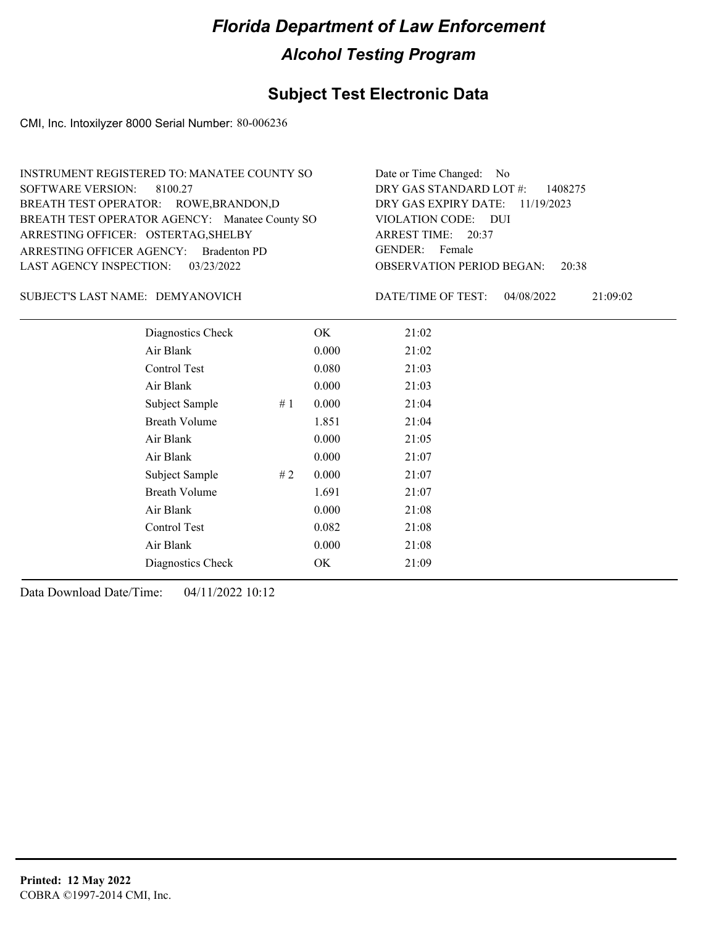### **Subject Test Electronic Data**

CMI, Inc. Intoxilyzer 8000 Serial Number: 80-006236

| INSTRUMENT REGISTERED TO: MANATEE COUNTY SO    | Date or Time Changed: No               |
|------------------------------------------------|----------------------------------------|
| SOFTWARE VERSION: 8100.27                      | DRY GAS STANDARD LOT $\#$ : 1408275    |
| BREATH TEST OPERATOR: ROWE, BRANDON, D         | DRY GAS EXPIRY DATE: $11/19/2023$      |
| BREATH TEST OPERATOR AGENCY: Manatee County SO | VIOLATION CODE: DUI                    |
| ARRESTING OFFICER: OSTERTAG, SHELBY            | ARREST TIME: 20:37                     |
| ARRESTING OFFICER AGENCY: Bradenton PD         | GENDER: Female                         |
| LAST AGENCY INSPECTION: 03/23/2022             | <b>OBSERVATION PERIOD BEGAN:</b> 20:38 |
|                                                |                                        |

#### SUBJECT'S LAST NAME: DEMYANOVICH DATE/TIME OF TEST:

DATE/TIME OF TEST: 04/08/2022 21:09:02

| Diagnostics Check    |    | OK    | 21:02 |
|----------------------|----|-------|-------|
| Air Blank            |    | 0.000 | 21:02 |
| Control Test         |    | 0.080 | 21:03 |
| Air Blank            |    | 0.000 | 21:03 |
| Subject Sample       | #1 | 0.000 | 21:04 |
| <b>Breath Volume</b> |    | 1.851 | 21:04 |
| Air Blank            |    | 0.000 | 21:05 |
| Air Blank            |    | 0.000 | 21:07 |
| Subject Sample       | #2 | 0.000 | 21:07 |
| <b>Breath Volume</b> |    | 1.691 | 21:07 |
| Air Blank            |    | 0.000 | 21:08 |
| Control Test         |    | 0.082 | 21:08 |
| Air Blank            |    | 0.000 | 21:08 |
| Diagnostics Check    |    | OK    | 21:09 |
|                      |    |       |       |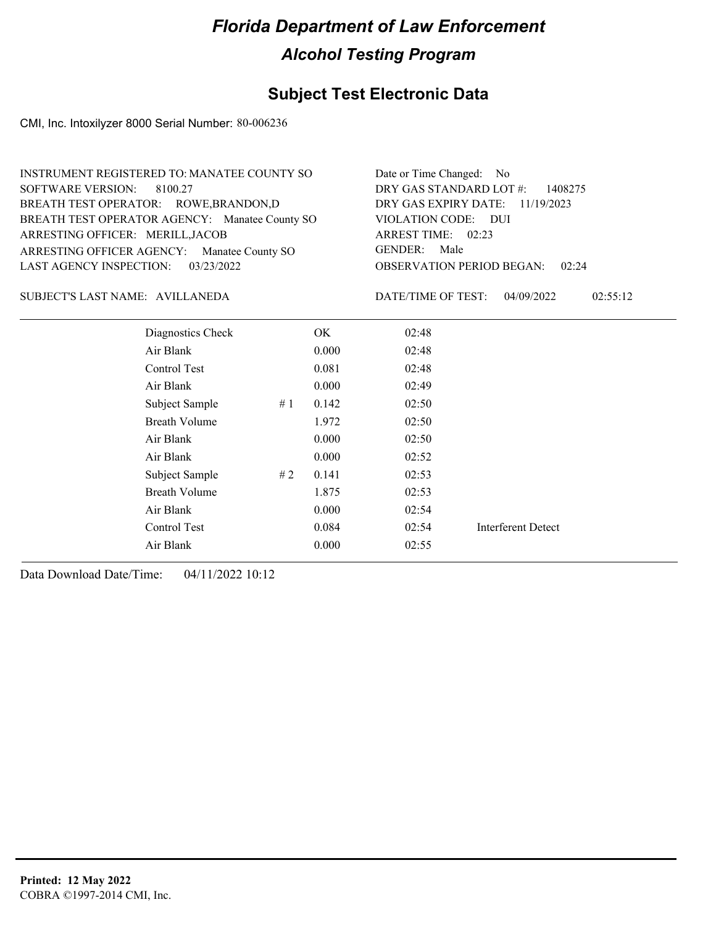#### **Subject Test Electronic Data**

CMI, Inc. Intoxilyzer 8000 Serial Number: 80-006236

| INSTRUMENT REGISTERED TO: MANATEE COUNTY SO    | Date or Time Changed: No               |
|------------------------------------------------|----------------------------------------|
| SOFTWARE VERSION: 8100.27                      | DRY GAS STANDARD LOT $\#$ : 1408275    |
| BREATH TEST OPERATOR: ROWE, BRANDON, D         | DRY GAS EXPIRY DATE: 11/19/2023        |
| BREATH TEST OPERATOR AGENCY: Manatee County SO | VIOLATION CODE: DUI                    |
| ARRESTING OFFICER: MERILL, JACOB               | ARREST TIME: 02:23                     |
| ARRESTING OFFICER AGENCY: Manatee County SO    | GENDER: Male                           |
| LAST AGENCY INSPECTION: 03/23/2022             | <b>OBSERVATION PERIOD BEGAN: 02:24</b> |

#### AVILLANEDA SUBJECT'S LAST NAME: DATE/TIME OF TEST:

DATE/TIME OF TEST: 04/09/2022 02:55:12

| Diagnostics Check    |    | OK.   | 02:48 |                           |
|----------------------|----|-------|-------|---------------------------|
| Air Blank            |    | 0.000 | 02:48 |                           |
| Control Test         |    | 0.081 | 02:48 |                           |
| Air Blank            |    | 0.000 | 02:49 |                           |
| Subject Sample       | #1 | 0.142 | 02:50 |                           |
| <b>Breath Volume</b> |    | 1.972 | 02:50 |                           |
| Air Blank            |    | 0.000 | 02:50 |                           |
| Air Blank            |    | 0.000 | 02:52 |                           |
| Subject Sample       | #2 | 0.141 | 02:53 |                           |
| <b>Breath Volume</b> |    | 1.875 | 02:53 |                           |
| Air Blank            |    | 0.000 | 02:54 |                           |
| Control Test         |    | 0.084 | 02:54 | <b>Interferent Detect</b> |
| Air Blank            |    | 0.000 | 02:55 |                           |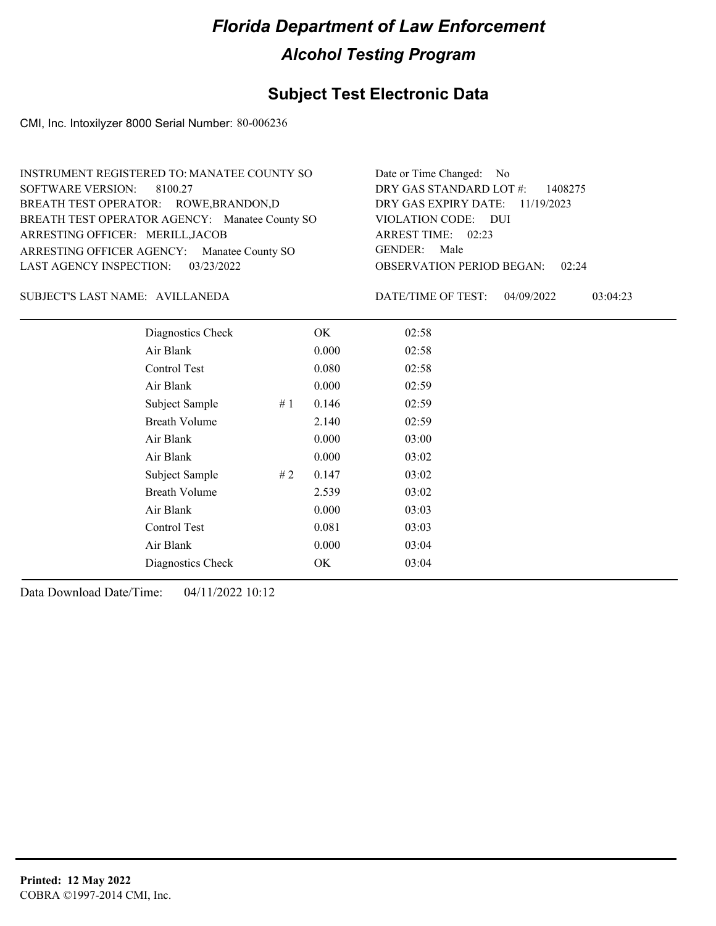### **Subject Test Electronic Data**

CMI, Inc. Intoxilyzer 8000 Serial Number: 80-006236

| INSTRUMENT REGISTERED TO: MANATEE COUNTY SO    | Date or Time Changed: No               |
|------------------------------------------------|----------------------------------------|
| SOFTWARE VERSION: 8100.27                      | DRY GAS STANDARD LOT $\#$ : 1408275    |
| BREATH TEST OPERATOR: ROWE, BRANDON, D         | DRY GAS EXPIRY DATE: 11/19/2023        |
| BREATH TEST OPERATOR AGENCY: Manatee County SO | VIOLATION CODE: DUI                    |
| ARRESTING OFFICER: MERILL, JACOB               | ARREST TIME: 02:23                     |
| ARRESTING OFFICER AGENCY: Manatee County SO    | GENDER: Male                           |
| LAST AGENCY INSPECTION: 03/23/2022             | <b>OBSERVATION PERIOD BEGAN: 02:24</b> |

AVILLANEDA SUBJECT'S LAST NAME: DATE/TIME OF TEST:

DATE/TIME OF TEST: 04/09/2022 03:04:23

| Diagnostics Check    |    | OK    | 02:58 |  |
|----------------------|----|-------|-------|--|
| Air Blank            |    | 0.000 | 02:58 |  |
| Control Test         |    | 0.080 | 02:58 |  |
| Air Blank            |    | 0.000 | 02:59 |  |
| Subject Sample       | #1 | 0.146 | 02:59 |  |
| <b>Breath Volume</b> |    | 2.140 | 02:59 |  |
| Air Blank            |    | 0.000 | 03:00 |  |
| Air Blank            |    | 0.000 | 03:02 |  |
| Subject Sample       | #2 | 0.147 | 03:02 |  |
| <b>Breath Volume</b> |    | 2.539 | 03:02 |  |
| Air Blank            |    | 0.000 | 03:03 |  |
| Control Test         |    | 0.081 | 03:03 |  |
| Air Blank            |    | 0.000 | 03:04 |  |
| Diagnostics Check    |    | OK    | 03:04 |  |
|                      |    |       |       |  |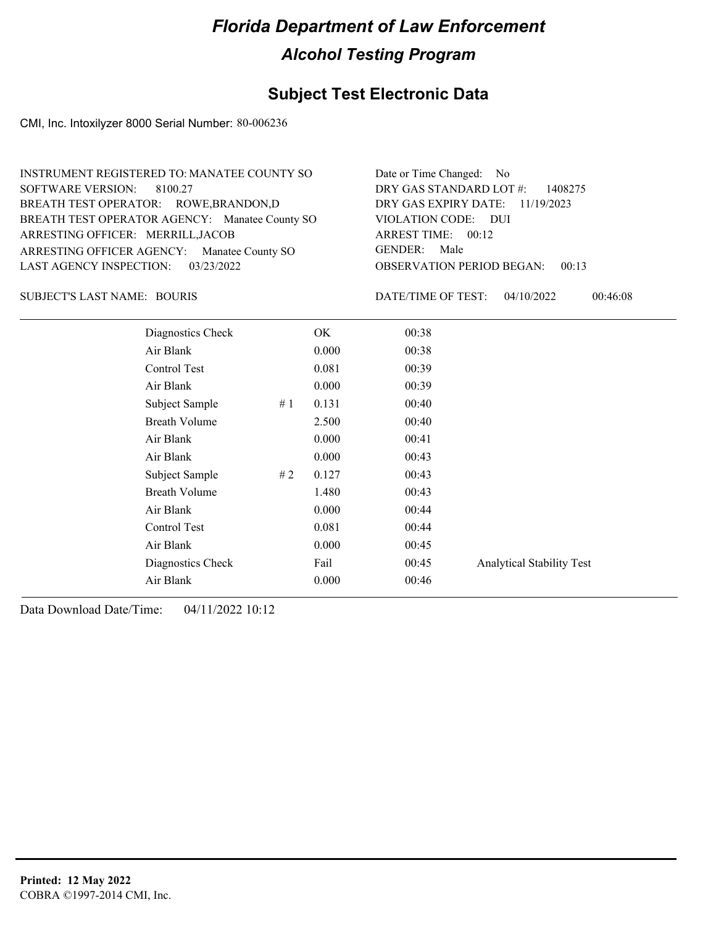#### **Subject Test Electronic Data**

CMI, Inc. Intoxilyzer 8000 Serial Number: 80-006236

| INSTRUMENT REGISTERED TO: MANATEE COUNTY SO    | Date or Time Changed: No                  |
|------------------------------------------------|-------------------------------------------|
| SOFTWARE VERSION: 8100.27                      | DRY GAS STANDARD LOT #: 1408275           |
| BREATH TEST OPERATOR: ROWE, BRANDON, D         | DRY GAS EXPIRY DATE: 11/19/2023           |
| BREATH TEST OPERATOR AGENCY: Manatee County SO | VIOLATION CODE: DUI                       |
| ARRESTING OFFICER: MERRILL, JACOB              | ARREST TIME: 00:12                        |
| ARRESTING OFFICER AGENCY: Manatee County SO    | GENDER: Male                              |
| LAST AGENCY INSPECTION: 03/23/2022             | <b>OBSERVATION PERIOD BEGAN:</b><br>00:13 |

SUBJECT'S LAST NAME: BOURIS **Example 20** DATE/TIME OF TEST:

DATE/TIME OF TEST: 04/10/2022 00:46:08

| Diagnostics Check    | OK    | 00:38 |                                  |
|----------------------|-------|-------|----------------------------------|
| Air Blank            | 0.000 | 00:38 |                                  |
| Control Test         | 0.081 | 00:39 |                                  |
| Air Blank            | 0.000 | 00:39 |                                  |
| Subject Sample<br>#1 | 0.131 | 00:40 |                                  |
| <b>Breath Volume</b> | 2.500 | 00:40 |                                  |
| Air Blank            | 0.000 | 00:41 |                                  |
| Air Blank            | 0.000 | 00:43 |                                  |
| Subject Sample<br>#2 | 0.127 | 00:43 |                                  |
| <b>Breath Volume</b> | 1.480 | 00:43 |                                  |
| Air Blank            | 0.000 | 00:44 |                                  |
| Control Test         | 0.081 | 00:44 |                                  |
| Air Blank            | 0.000 | 00:45 |                                  |
| Diagnostics Check    | Fail  | 00:45 | <b>Analytical Stability Test</b> |
| Air Blank            | 0.000 | 00:46 |                                  |
|                      |       |       |                                  |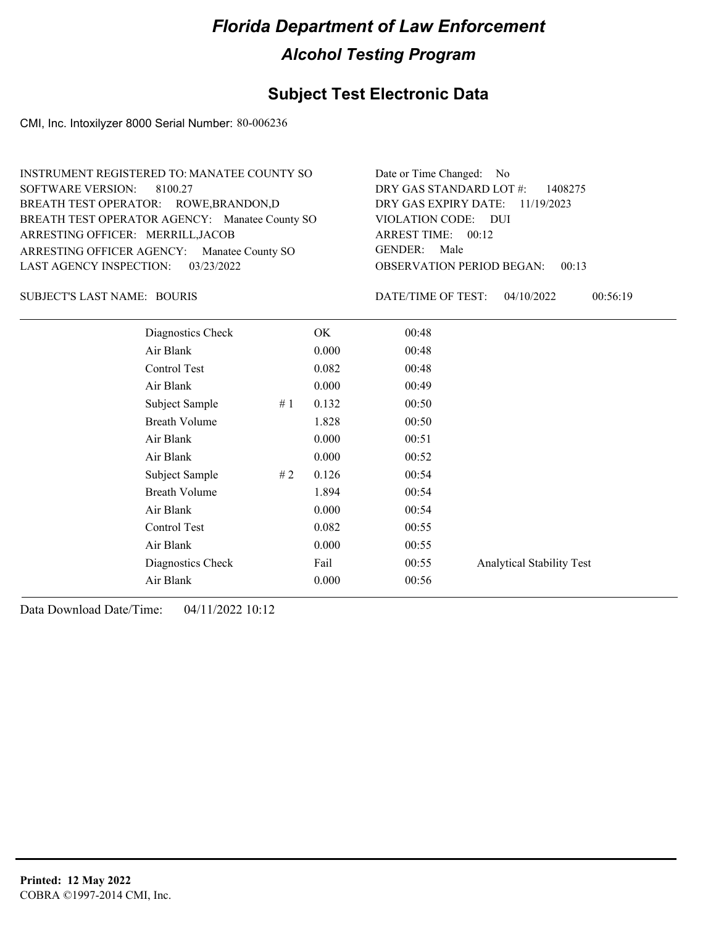#### **Subject Test Electronic Data**

CMI, Inc. Intoxilyzer 8000 Serial Number: 80-006236

| INSTRUMENT REGISTERED TO: MANATEE COUNTY SO    | Date or Time Changed: No               |
|------------------------------------------------|----------------------------------------|
| SOFTWARE VERSION: 8100.27                      | DRY GAS STANDARD LOT #: 1408275        |
| BREATH TEST OPERATOR: ROWE, BRANDON, D         | DRY GAS EXPIRY DATE: 11/19/2023        |
| BREATH TEST OPERATOR AGENCY: Manatee County SO | VIOLATION CODE: DUI                    |
| ARRESTING OFFICER: MERRILL, JACOB              | ARREST TIME: $00:12$                   |
| ARRESTING OFFICER AGENCY: Manatee County SO    | GENDER: Male                           |
| LAST AGENCY INSPECTION: 03/23/2022             | <b>OBSERVATION PERIOD BEGAN: 00:13</b> |

#### SUBJECT'S LAST NAME: BOURIS **Example 20** DATE/TIME OF TEST:

DATE/TIME OF TEST: 04/10/2022 00:56:19

| Diagnostics Check    | OK    | 00:48 |                                  |
|----------------------|-------|-------|----------------------------------|
| Air Blank            | 0.000 | 00:48 |                                  |
| Control Test         | 0.082 | 00:48 |                                  |
| Air Blank            | 0.000 | 00:49 |                                  |
| Subject Sample<br>#1 | 0.132 | 00:50 |                                  |
| <b>Breath Volume</b> | 1.828 | 00:50 |                                  |
| Air Blank            | 0.000 | 00:51 |                                  |
| Air Blank            | 0.000 | 00:52 |                                  |
| Subject Sample<br>#2 | 0.126 | 00:54 |                                  |
| <b>Breath Volume</b> | 1.894 | 00:54 |                                  |
| Air Blank            | 0.000 | 00:54 |                                  |
| Control Test         | 0.082 | 00:55 |                                  |
| Air Blank            | 0.000 | 00:55 |                                  |
| Diagnostics Check    | Fail  | 00:55 | <b>Analytical Stability Test</b> |
| Air Blank            | 0.000 | 00:56 |                                  |
|                      |       |       |                                  |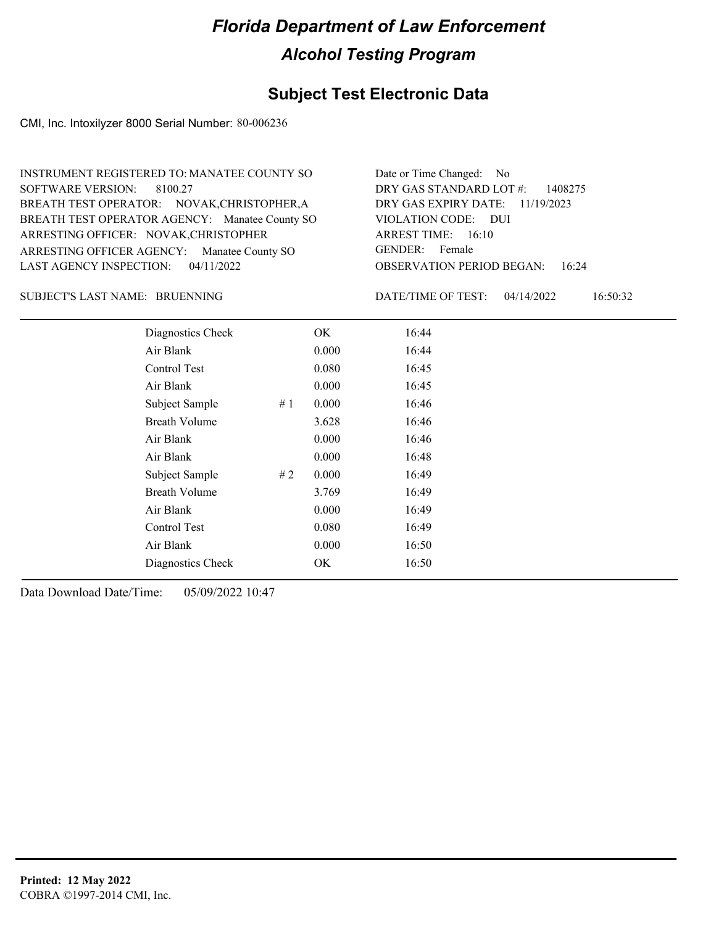### **Subject Test Electronic Data**

CMI, Inc. Intoxilyzer 8000 Serial Number: 80-006236

| INSTRUMENT REGISTERED TO: MANATEE COUNTY SO    | Date or Time Changed: No               |
|------------------------------------------------|----------------------------------------|
| SOFTWARE VERSION: 8100.27                      | DRY GAS STANDARD LOT $\#$ : 1408275    |
| BREATH TEST OPERATOR: NOVAK, CHRISTOPHER, A    | DRY GAS EXPIRY DATE: 11/19/2023        |
| BREATH TEST OPERATOR AGENCY: Manatee County SO | VIOLATION CODE: DUI                    |
| ARRESTING OFFICER: NOVAK, CHRISTOPHER          | ARREST TIME: 16:10                     |
| ARRESTING OFFICER AGENCY: Manatee County SO    | GENDER: Female                         |
| LAST AGENCY INSPECTION: $04/11/2022$           | <b>OBSERVATION PERIOD BEGAN: 16:24</b> |

#### BRUENNING SUBJECT'S LAST NAME: DATE/TIME OF TEST:

DATE/TIME OF TEST: 04/14/2022 16:50:32

| Diagnostics Check    | OK    | 16:44 |
|----------------------|-------|-------|
| Air Blank            | 0.000 | 16:44 |
| Control Test         | 0.080 | 16:45 |
| Air Blank            | 0.000 | 16:45 |
| Subject Sample<br>#1 | 0.000 | 16:46 |
| <b>Breath Volume</b> | 3.628 | 16:46 |
| Air Blank            | 0.000 | 16:46 |
| Air Blank            | 0.000 | 16:48 |
| Subject Sample<br>#2 | 0.000 | 16:49 |
| <b>Breath Volume</b> | 3.769 | 16:49 |
| Air Blank            | 0.000 | 16:49 |
| Control Test         | 0.080 | 16:49 |
| Air Blank            | 0.000 | 16:50 |
| Diagnostics Check    | OK    | 16:50 |
|                      |       |       |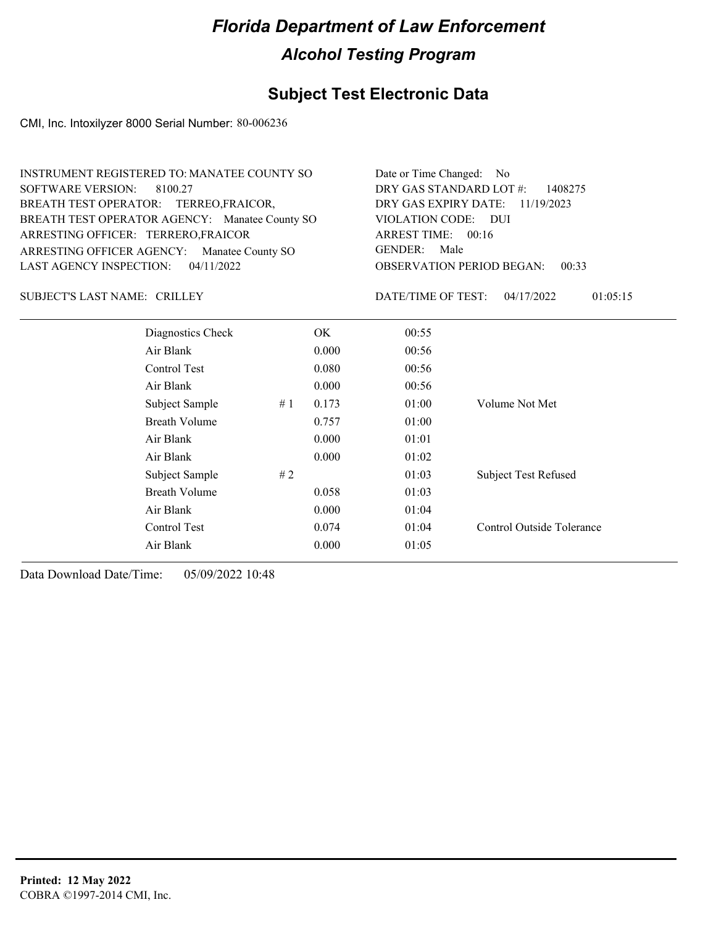#### **Subject Test Electronic Data**

CMI, Inc. Intoxilyzer 8000 Serial Number: 80-006236

| INSTRUMENT REGISTERED TO: MANATEE COUNTY SO    | Date or Time Changed: No               |
|------------------------------------------------|----------------------------------------|
| SOFTWARE VERSION: 8100.27                      | DRY GAS STANDARD LOT $\#$ : 1408275    |
| BREATH TEST OPERATOR: TERREO, FRAICOR,         | DRY GAS EXPIRY DATE: 11/19/2023        |
| BREATH TEST OPERATOR AGENCY: Manatee County SO | VIOLATION CODE: DUI                    |
| ARRESTING OFFICER: TERRERO, FRAICOR            | ARREST TIME: $00:16$                   |
| ARRESTING OFFICER AGENCY: Manatee County SO    | GENDER: Male                           |
| LAST AGENCY INSPECTION: $04/11/2022$           | <b>OBSERVATION PERIOD BEGAN: 00:33</b> |
|                                                |                                        |

SUBJECT'S LAST NAME: CRILLEY DATE/TIME OF TEST:

DATE/TIME OF TEST: 04/17/2022 01:05:15

| Diagnostics Check    |    | OK.   | 00:55 |                             |
|----------------------|----|-------|-------|-----------------------------|
| Air Blank            |    | 0.000 | 00:56 |                             |
| Control Test         |    | 0.080 | 00:56 |                             |
| Air Blank            |    | 0.000 | 00:56 |                             |
| Subject Sample       | #1 | 0.173 | 01:00 | Volume Not Met              |
| <b>Breath Volume</b> |    | 0.757 | 01:00 |                             |
| Air Blank            |    | 0.000 | 01:01 |                             |
| Air Blank            |    | 0.000 | 01:02 |                             |
| Subject Sample       | #2 |       | 01:03 | <b>Subject Test Refused</b> |
| <b>Breath Volume</b> |    | 0.058 | 01:03 |                             |
| Air Blank            |    | 0.000 | 01:04 |                             |
| Control Test         |    | 0.074 | 01:04 | Control Outside Tolerance   |
| Air Blank            |    | 0.000 | 01:05 |                             |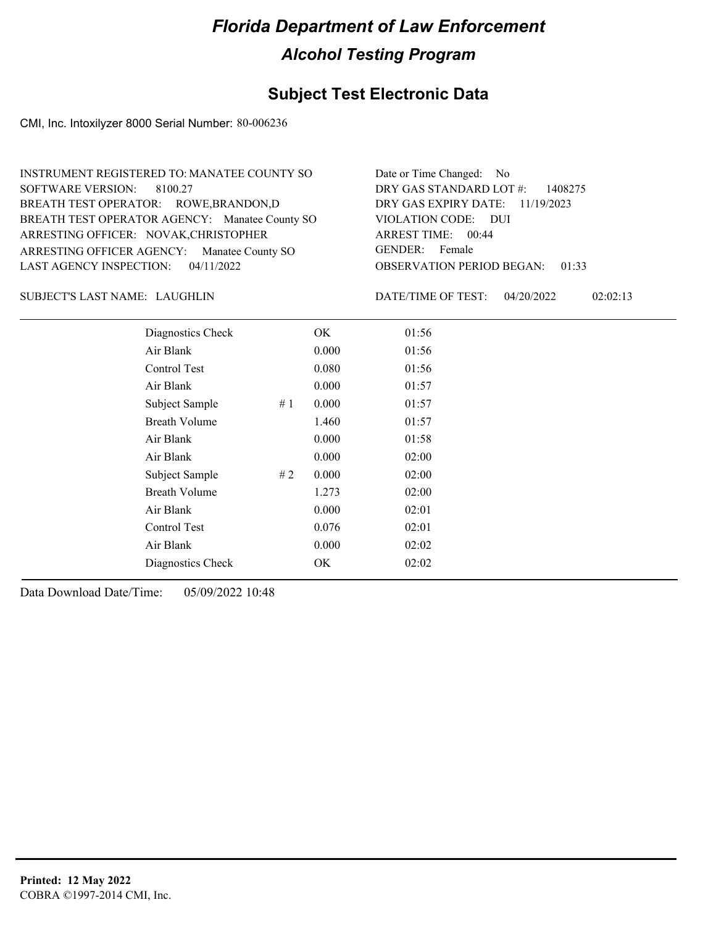### **Subject Test Electronic Data**

CMI, Inc. Intoxilyzer 8000 Serial Number: 80-006236

| INSTRUMENT REGISTERED TO: MANATEE COUNTY SO    | Date or Time Changed: No               |
|------------------------------------------------|----------------------------------------|
| SOFTWARE VERSION: 8100.27                      | DRY GAS STANDARD LOT $\#$ : 1408275    |
| BREATH TEST OPERATOR: ROWE, BRANDON, D         | DRY GAS EXPIRY DATE: 11/19/2023        |
| BREATH TEST OPERATOR AGENCY: Manatee County SO | VIOLATION CODE: DUI                    |
| ARRESTING OFFICER: NOVAK, CHRISTOPHER          | ARREST TIME: 00:44                     |
| ARRESTING OFFICER AGENCY: Manatee County SO    | GENDER: Female                         |
| LAST AGENCY INSPECTION: $04/11/2022$           | <b>OBSERVATION PERIOD BEGAN: 01:33</b> |
|                                                |                                        |

#### LAUGHLIN SUBJECT'S LAST NAME: DATE/TIME OF TEST:

DATE/TIME OF TEST: 04/20/2022 02:02:13

| Diagnostics Check    |    | OK    | 01:56 |
|----------------------|----|-------|-------|
| Air Blank            |    | 0.000 | 01:56 |
| Control Test         |    | 0.080 | 01:56 |
| Air Blank            |    | 0.000 | 01:57 |
| Subject Sample       | #1 | 0.000 | 01:57 |
| <b>Breath Volume</b> |    | 1.460 | 01:57 |
| Air Blank            |    | 0.000 | 01:58 |
| Air Blank            |    | 0.000 | 02:00 |
| Subject Sample       | #2 | 0.000 | 02:00 |
| <b>Breath Volume</b> |    | 1.273 | 02:00 |
| Air Blank            |    | 0.000 | 02:01 |
| Control Test         |    | 0.076 | 02:01 |
| Air Blank            |    | 0.000 | 02:02 |
| Diagnostics Check    |    | OK    | 02:02 |
|                      |    |       |       |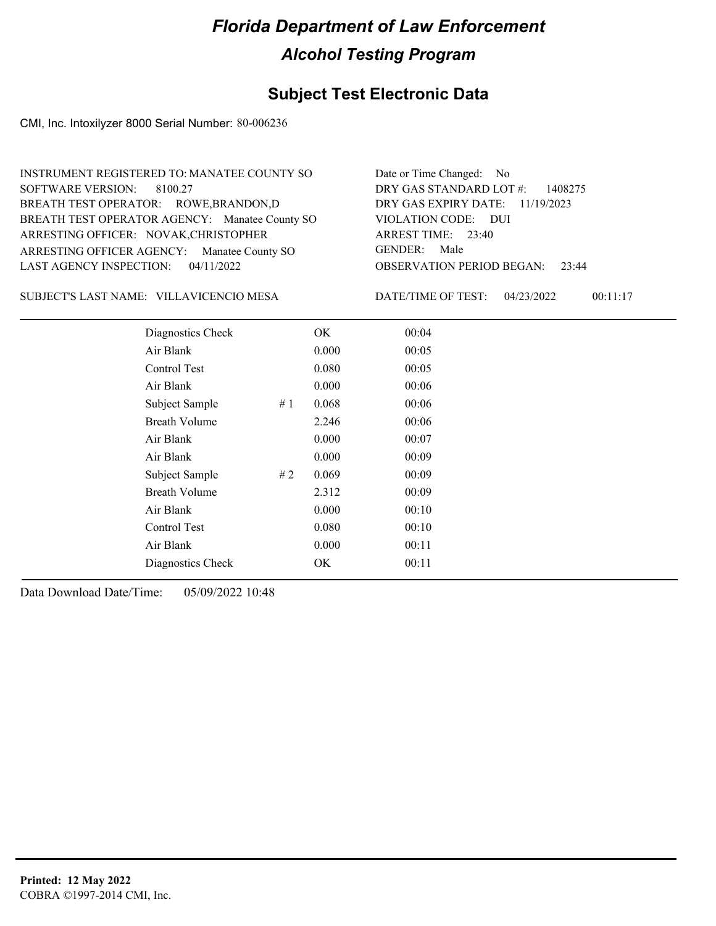### **Subject Test Electronic Data**

CMI, Inc. Intoxilyzer 8000 Serial Number: 80-006236

| Date or Time Changed: No               |
|----------------------------------------|
| DRY GAS STANDARD LOT #: 1408275        |
| DRY GAS EXPIRY DATE: 11/19/2023        |
| VIOLATION CODE: DUI                    |
| ARREST TIME: 23:40                     |
| GENDER: Male                           |
| <b>OBSERVATION PERIOD BEGAN: 23:44</b> |
|                                        |

VILLAVICENCIO MESA SUBJECT'S LAST NAME: DATE/TIME OF TEST:

DATE/TIME OF TEST: 04/23/2022 00:11:17

| Diagnostics Check    |    | OK    | 00:04 |
|----------------------|----|-------|-------|
| Air Blank            |    | 0.000 | 00:05 |
| Control Test         |    | 0.080 | 00:05 |
| Air Blank            |    | 0.000 | 00:06 |
| Subject Sample       | #1 | 0.068 | 00:06 |
| <b>Breath Volume</b> |    | 2.246 | 00:06 |
| Air Blank            |    | 0.000 | 00:07 |
| Air Blank            |    | 0.000 | 00:09 |
| Subject Sample       | #2 | 0.069 | 00:09 |
| <b>Breath Volume</b> |    | 2.312 | 00:09 |
| Air Blank            |    | 0.000 | 00:10 |
| Control Test         |    | 0.080 | 00:10 |
| Air Blank            |    | 0.000 | 00:11 |
| Diagnostics Check    |    | OK    | 00:11 |
|                      |    |       |       |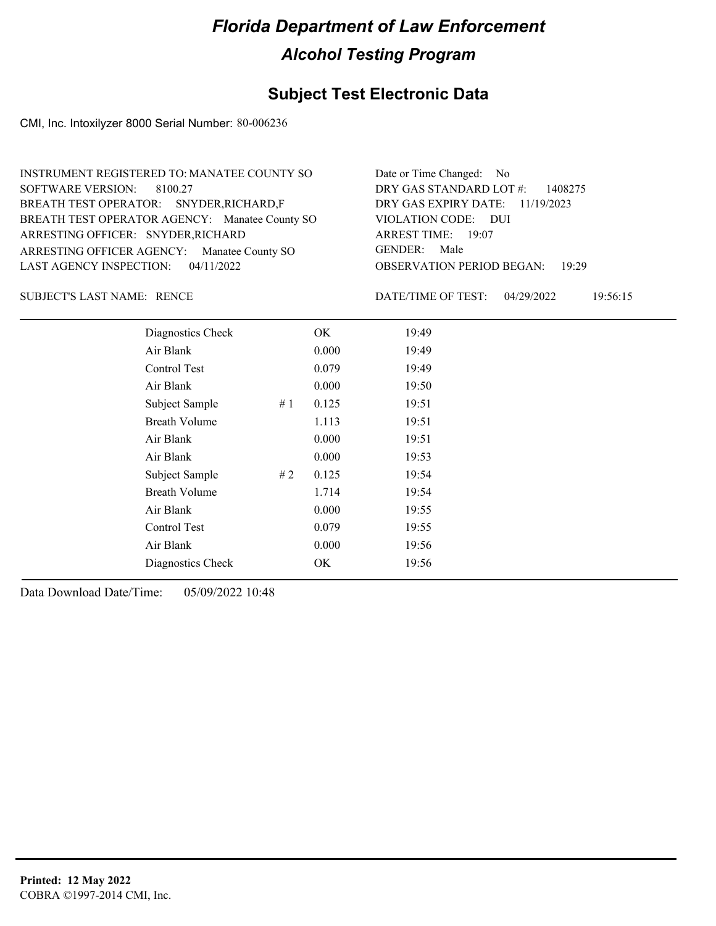### **Subject Test Electronic Data**

CMI, Inc. Intoxilyzer 8000 Serial Number: 80-006236

| INSTRUMENT REGISTERED TO: MANATEE COUNTY SO    | Date or Time Changed: No               |
|------------------------------------------------|----------------------------------------|
| SOFTWARE VERSION: 8100.27                      | DRY GAS STANDARD LOT $\#$ : 1408275    |
| BREATH TEST OPERATOR: SNYDER, RICHARD, F       | DRY GAS EXPIRY DATE: 11/19/2023        |
| BREATH TEST OPERATOR AGENCY: Manatee County SO | VIOLATION CODE: DUI                    |
| ARRESTING OFFICER: SNYDER, RICHARD             | ARREST TIME: 19:07                     |
| ARRESTING OFFICER AGENCY: Manatee County SO    | GENDER: Male                           |
| LAST AGENCY INSPECTION: $04/11/2022$           | <b>OBSERVATION PERIOD BEGAN: 19:29</b> |

SUBJECT'S LAST NAME: RENCE DATE/TIME OF TEST:

DATE/TIME OF TEST: 04/29/2022 19:56:15

| Diagnostics Check    |     | OK    | 19:49 |
|----------------------|-----|-------|-------|
| Air Blank            |     | 0.000 | 19:49 |
| Control Test         |     | 0.079 | 19:49 |
| Air Blank            |     | 0.000 | 19:50 |
| Subject Sample       | #1  | 0.125 | 19:51 |
| <b>Breath Volume</b> |     | 1.113 | 19:51 |
| Air Blank            |     | 0.000 | 19:51 |
| Air Blank            |     | 0.000 | 19:53 |
| Subject Sample       | # 2 | 0.125 | 19:54 |
| <b>Breath Volume</b> |     | 1.714 | 19:54 |
| Air Blank            |     | 0.000 | 19:55 |
| Control Test         |     | 0.079 | 19:55 |
| Air Blank            |     | 0.000 | 19:56 |
| Diagnostics Check    |     | OK    | 19:56 |
|                      |     |       |       |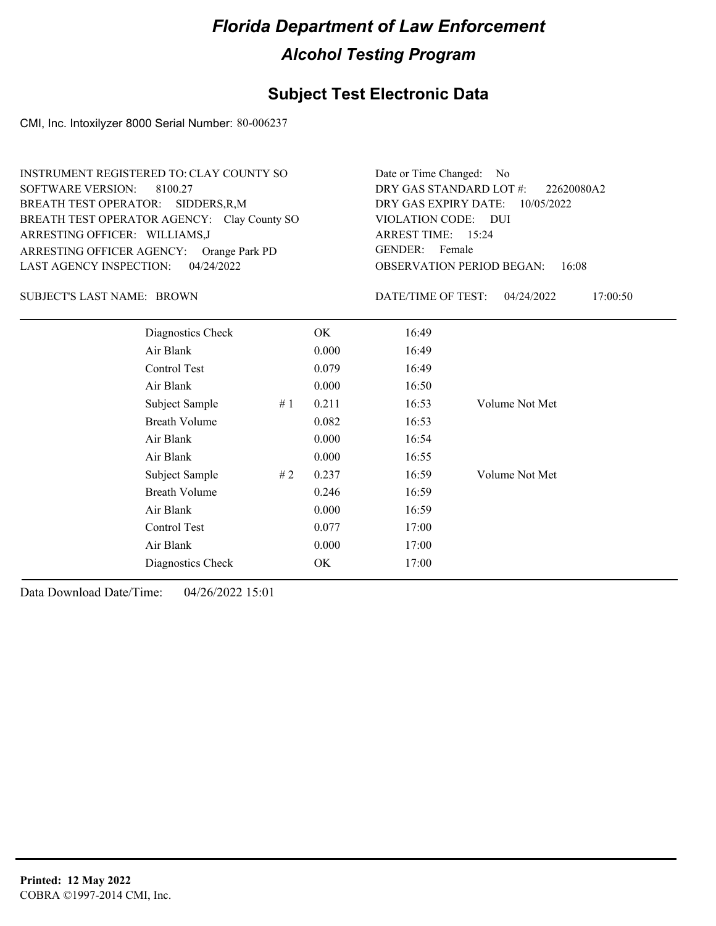### **Subject Test Electronic Data**

CMI, Inc. Intoxilyzer 8000 Serial Number: 80-006237

| INSTRUMENT REGISTERED TO: CLAY COUNTY SO    | Date or Time Changed: No               |
|---------------------------------------------|----------------------------------------|
| SOFTWARE VERSION: 8100.27                   | DRY GAS STANDARD LOT $\#$ : 22620080A2 |
| BREATH TEST OPERATOR: SIDDERS, R, M         | DRY GAS EXPIRY DATE: $10/05/2022$      |
| BREATH TEST OPERATOR AGENCY: Clay County SO | VIOLATION CODE: DUI                    |
| ARRESTING OFFICER: WILLIAMS,J               | ARREST TIME: 15:24                     |
| ARRESTING OFFICER AGENCY: Orange Park PD    | GENDER: Female                         |
| LAST AGENCY INSPECTION: $04/24/2022$        | <b>OBSERVATION PERIOD BEGAN: 16:08</b> |

SUBJECT'S LAST NAME: BROWN DATE/TIME OF TEST:

DATE/TIME OF TEST: 04/24/2022 17:00:50

| Diagnostics Check    | OK    | 16:49 |                |
|----------------------|-------|-------|----------------|
| Air Blank            | 0.000 | 16:49 |                |
| Control Test         | 0.079 | 16:49 |                |
| Air Blank            | 0.000 | 16:50 |                |
| Subject Sample<br>#1 | 0.211 | 16:53 | Volume Not Met |
| <b>Breath Volume</b> | 0.082 | 16:53 |                |
| Air Blank            | 0.000 | 16:54 |                |
| Air Blank            | 0.000 | 16:55 |                |
| Subject Sample<br>#2 | 0.237 | 16:59 | Volume Not Met |
| <b>Breath Volume</b> | 0.246 | 16:59 |                |
| Air Blank            | 0.000 | 16:59 |                |
| Control Test         | 0.077 | 17:00 |                |
| Air Blank            | 0.000 | 17:00 |                |
| Diagnostics Check    | OK    | 17:00 |                |
|                      |       |       |                |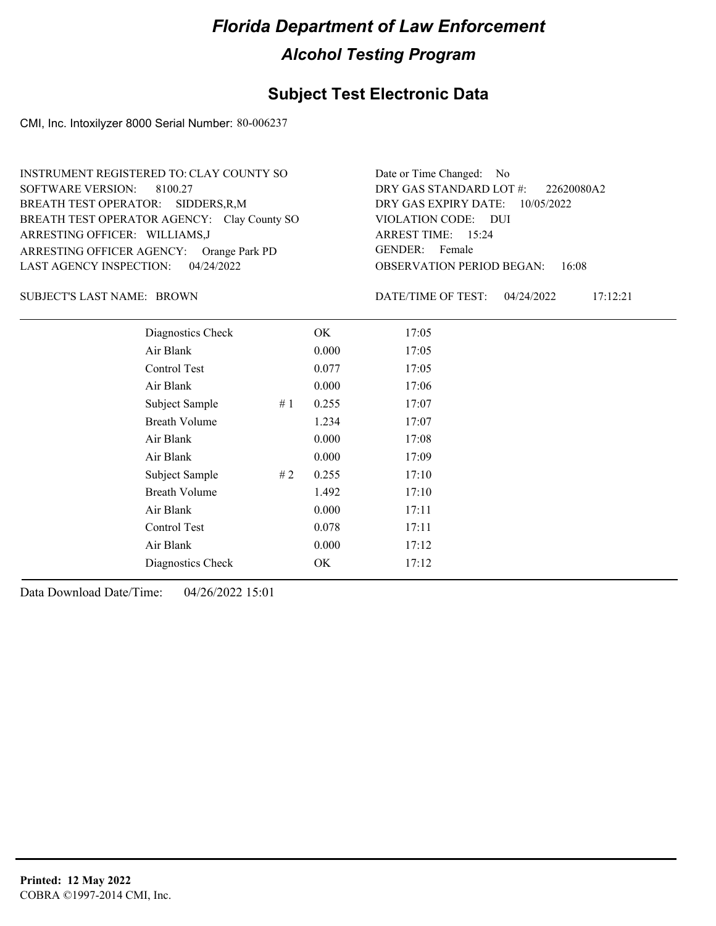#### **Subject Test Electronic Data**

CMI, Inc. Intoxilyzer 8000 Serial Number: 80-006237

ARRESTING OFFICER AGENCY: GENDER: Orange Park PD BREATH TEST OPERATOR AGENCY: Clay County SO VIOLATION CODE: SOFTWARE VERSION: 8100.27 ARRESTING OFFICER: WILLIAMS,J SIDDERS,R,M BREATH TEST OPERATOR: LAST AGENCY INSPECTION: 04/24/2022 INSTRUMENT REGISTERED TO: CLAY COUNTY SO

OBSERVATION PERIOD BEGAN: 16:08 VIOLATION CODE: DUI 15:24 ARREST TIME: DRY GAS EXPIRY DATE: 10/05/2022 22620080A2 DRY GAS STANDARD LOT #: Date or Time Changed: No GENDER: Female

SUBJECT'S LAST NAME: BROWN DATE/TIME OF TEST:

DATE/TIME OF TEST: 04/24/2022 17:12:21

| Diagnostics Check    |    | OK    | 17:05 |
|----------------------|----|-------|-------|
| Air Blank            |    | 0.000 | 17:05 |
| Control Test         |    | 0.077 | 17:05 |
| Air Blank            |    | 0.000 | 17:06 |
| Subject Sample       | #1 | 0.255 | 17:07 |
| <b>Breath Volume</b> |    | 1.234 | 17:07 |
| Air Blank            |    | 0.000 | 17:08 |
| Air Blank            |    | 0.000 | 17:09 |
| Subject Sample       | #2 | 0.255 | 17:10 |
| <b>Breath Volume</b> |    | 1.492 | 17:10 |
| Air Blank            |    | 0.000 | 17:11 |
| Control Test         |    | 0.078 | 17:11 |
| Air Blank            |    | 0.000 | 17:12 |
| Diagnostics Check    |    | OK    | 17:12 |
|                      |    |       |       |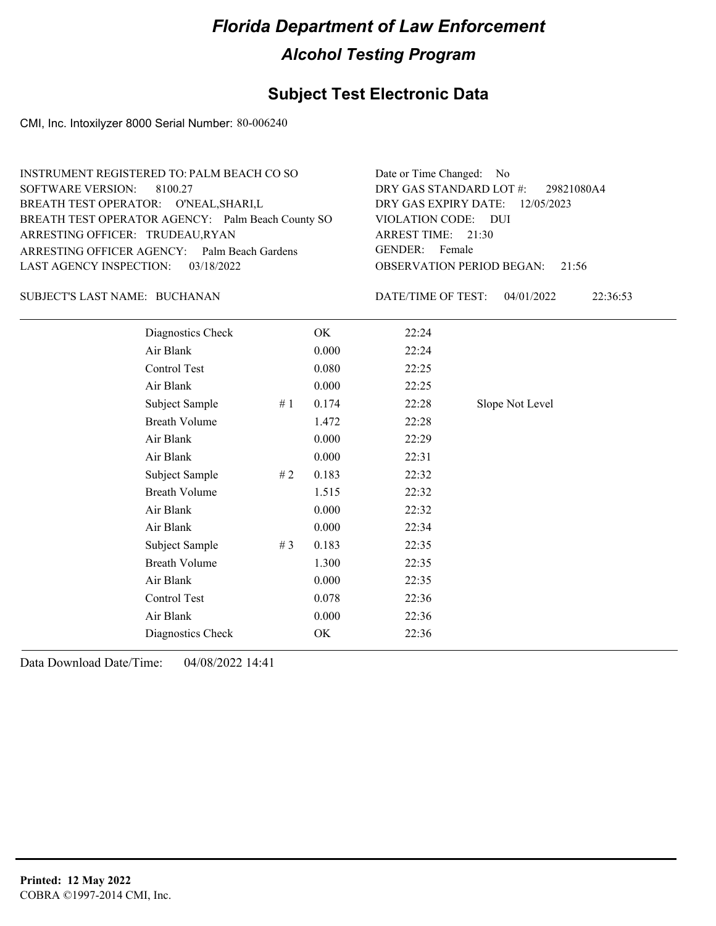### **Subject Test Electronic Data**

CMI, Inc. Intoxilyzer 8000 Serial Number: 80-006240

| INSTRUMENT REGISTERED TO: PALM BEACH CO SO        | Date or Time Changed: No               |
|---------------------------------------------------|----------------------------------------|
| SOFTWARE VERSION: 8100.27                         | DRY GAS STANDARD LOT #: 29821080A4     |
| BREATH TEST OPERATOR: O'NEAL, SHARI, L            | DRY GAS EXPIRY DATE: 12/05/2023        |
| BREATH TEST OPERATOR AGENCY: Palm Beach County SO | VIOLATION CODE: DUI                    |
| ARRESTING OFFICER: TRUDEAU,RYAN                   | ARREST TIME: 21:30                     |
| ARRESTING OFFICER AGENCY: Palm Beach Gardens      | GENDER: Female                         |
| LAST AGENCY INSPECTION: 03/18/2022                | <b>OBSERVATION PERIOD BEGAN: 21:56</b> |
|                                                   |                                        |

#### BUCHANAN SUBJECT'S LAST NAME: DATE/TIME OF TEST:

DATE/TIME OF TEST: 04/01/2022 22:36:53

| Diagnostics Check    |       | OK    | 22:24 |                 |
|----------------------|-------|-------|-------|-----------------|
| Air Blank            |       | 0.000 | 22:24 |                 |
| Control Test         |       | 0.080 | 22:25 |                 |
| Air Blank            |       | 0.000 | 22:25 |                 |
| Subject Sample       | #1    | 0.174 | 22:28 | Slope Not Level |
| <b>Breath Volume</b> |       | 1.472 | 22:28 |                 |
| Air Blank            |       | 0.000 | 22:29 |                 |
| Air Blank            |       | 0.000 | 22:31 |                 |
| Subject Sample       | # 2   | 0.183 | 22:32 |                 |
| <b>Breath Volume</b> |       | 1.515 | 22:32 |                 |
| Air Blank            |       | 0.000 | 22:32 |                 |
| Air Blank            |       | 0.000 | 22:34 |                 |
| Subject Sample       | # $3$ | 0.183 | 22:35 |                 |
| <b>Breath Volume</b> |       | 1.300 | 22:35 |                 |
| Air Blank            |       | 0.000 | 22:35 |                 |
| Control Test         |       | 0.078 | 22:36 |                 |
| Air Blank            |       | 0.000 | 22:36 |                 |
| Diagnostics Check    |       | OK    | 22:36 |                 |
|                      |       |       |       |                 |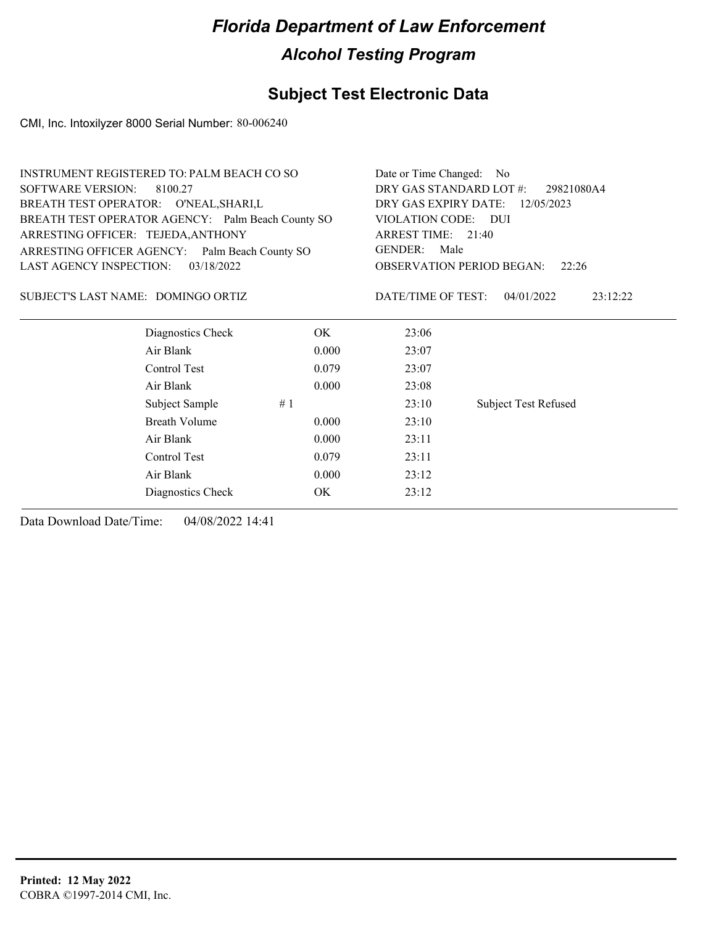### **Subject Test Electronic Data**

CMI, Inc. Intoxilyzer 8000 Serial Number: 80-006240

| <b>INSTRUMENT REGISTERED TO: PALM BEACH CO SO</b> |       | Date or Time Changed: No                                                                                              |                        |  |  |
|---------------------------------------------------|-------|-----------------------------------------------------------------------------------------------------------------------|------------------------|--|--|
| <b>SOFTWARE VERSION:</b><br>8100.27               |       | DRY GAS STANDARD LOT #:<br>29821080A4                                                                                 |                        |  |  |
| BREATH TEST OPERATOR: O'NEAL, SHARI, L            |       | DRY GAS EXPIRY DATE:<br>12/05/2023                                                                                    |                        |  |  |
| BREATH TEST OPERATOR AGENCY: Palm Beach County SO |       | VIOLATION CODE:<br>– DUI<br>ARREST TIME: 21:40<br><b>GENDER:</b><br>Male<br><b>OBSERVATION PERIOD BEGAN:</b><br>22:26 |                        |  |  |
| ARRESTING OFFICER: TEJEDA, ANTHONY                |       |                                                                                                                       |                        |  |  |
| ARRESTING OFFICER AGENCY: Palm Beach County SO    |       |                                                                                                                       |                        |  |  |
| <b>LAST AGENCY INSPECTION:</b><br>03/18/2022      |       |                                                                                                                       |                        |  |  |
| SUBJECT'S LAST NAME: DOMINGO ORTIZ                |       | DATE/TIME OF TEST:                                                                                                    | 04/01/2022<br>23:12:22 |  |  |
| Diagnostics Check                                 | OK.   | 23:06                                                                                                                 |                        |  |  |
| Air Blank                                         | 0.000 | 23:07                                                                                                                 |                        |  |  |
| Control Test                                      | 0.079 | 23:07                                                                                                                 |                        |  |  |
| Air Blank                                         | 0.000 | 23:08                                                                                                                 |                        |  |  |
| Subject Sample                                    | #1    | 23:10                                                                                                                 | Subject Test Refused   |  |  |
| <b>Breath Volume</b>                              | 0.000 | 23:10                                                                                                                 |                        |  |  |
| Air Blank                                         | 0.000 | 23:11                                                                                                                 |                        |  |  |
| Control Test                                      | 0.079 | 23:11                                                                                                                 |                        |  |  |
| Air Blank                                         | 0.000 | 23:12                                                                                                                 |                        |  |  |
| Diagnostics Check                                 | OK.   | 23:12                                                                                                                 |                        |  |  |
|                                                   |       |                                                                                                                       |                        |  |  |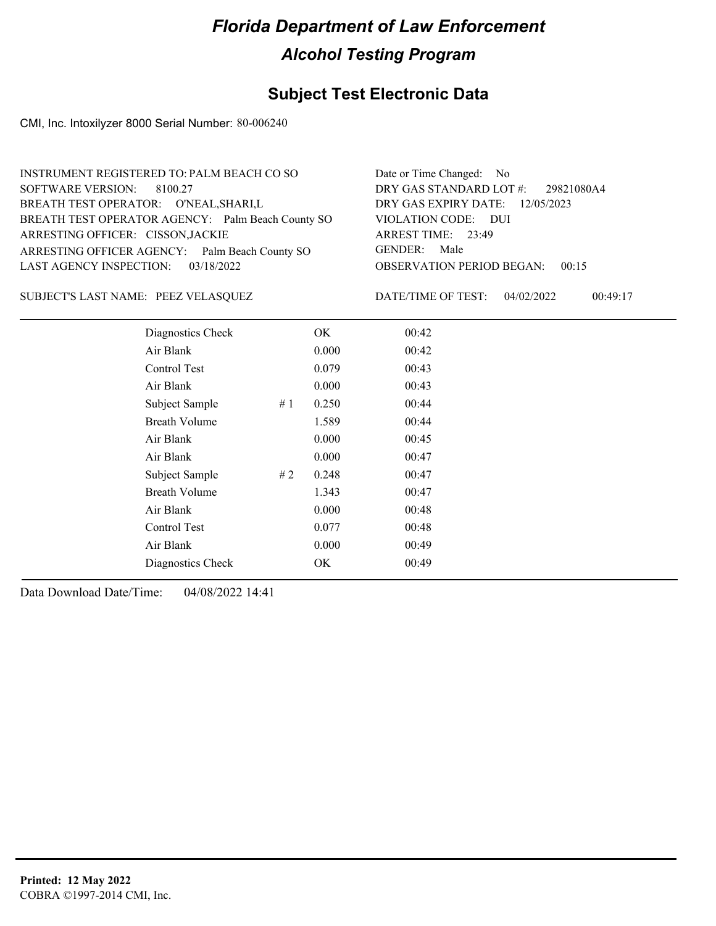#### **Subject Test Electronic Data**

CMI, Inc. Intoxilyzer 8000 Serial Number: 80-006240

| INSTRUMENT REGISTERED TO: PALM BEACH CO SO        | Date or Time Changed: No               |
|---------------------------------------------------|----------------------------------------|
| SOFTWARE VERSION: 8100.27                         | DRY GAS STANDARD LOT #: 29821080A4     |
| BREATH TEST OPERATOR: O'NEAL, SHARI, L            | DRY GAS EXPIRY DATE: $12/05/2023$      |
| BREATH TEST OPERATOR AGENCY: Palm Beach County SO | VIOLATION CODE: DUI                    |
| ARRESTING OFFICER: CISSON, JACKIE                 | ARREST TIME: 23:49                     |
| ARRESTING OFFICER AGENCY: Palm Beach County SO    | GENDER: Male                           |
| LAST AGENCY INSPECTION: 03/18/2022                | <b>OBSERVATION PERIOD BEGAN: 00:15</b> |
|                                                   |                                        |

PEEZ VELASQUEZ SUBJECT'S LAST NAME: DATE/TIME OF TEST:

DATE/TIME OF TEST: 04/02/2022 00:49:17

| Diagnostics Check    |    | OK    | 00:42 |
|----------------------|----|-------|-------|
| Air Blank            |    | 0.000 | 00:42 |
| Control Test         |    | 0.079 | 00:43 |
| Air Blank            |    | 0.000 | 00:43 |
| Subject Sample       | #1 | 0.250 | 00:44 |
| <b>Breath Volume</b> |    | 1.589 | 00:44 |
| Air Blank            |    | 0.000 | 00:45 |
| Air Blank            |    | 0.000 | 00:47 |
| Subject Sample       | #2 | 0.248 | 00:47 |
| <b>Breath Volume</b> |    | 1.343 | 00:47 |
| Air Blank            |    | 0.000 | 00:48 |
| Control Test         |    | 0.077 | 00:48 |
| Air Blank            |    | 0.000 | 00:49 |
| Diagnostics Check    |    | OK    | 00:49 |
|                      |    |       |       |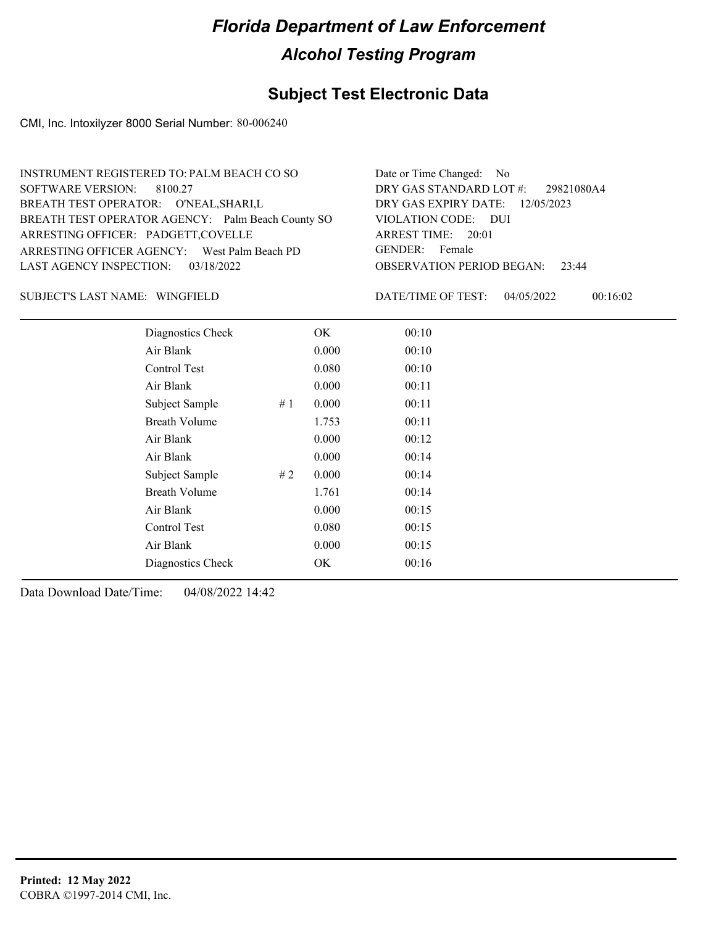#### **Subject Test Electronic Data**

CMI, Inc. Intoxilyzer 8000 Serial Number: 80-006240

| INSTRUMENT REGISTERED TO: PALM BEACH CO SO        | Date or Time Changed: No               |
|---------------------------------------------------|----------------------------------------|
| SOFTWARE VERSION: 8100.27                         | DRY GAS STANDARD LOT #: 29821080A4     |
| BREATH TEST OPERATOR: O'NEAL, SHARI, L            | DRY GAS EXPIRY DATE: 12/05/2023        |
| BREATH TEST OPERATOR AGENCY: Palm Beach County SO | VIOLATION CODE: DUI                    |
| ARRESTING OFFICER: PADGETT, COVELLE               | ARREST TIME: 20:01                     |
| ARRESTING OFFICER AGENCY: West Palm Beach PD      | GENDER: Female                         |
| LAST AGENCY INSPECTION: 03/18/2022                | <b>OBSERVATION PERIOD BEGAN: 23:44</b> |
|                                                   |                                        |

#### SUBJECT'S LAST NAME: WINGFIELD DATE/TIME OF TEST:

DATE/TIME OF TEST: 04/05/2022 00:16:02

| Diagnostics Check    |    | OK    | 00:10 |
|----------------------|----|-------|-------|
| Air Blank            |    | 0.000 | 00:10 |
| Control Test         |    | 0.080 | 00:10 |
| Air Blank            |    | 0.000 | 00:11 |
| Subject Sample       | #1 | 0.000 | 00:11 |
| <b>Breath Volume</b> |    | 1.753 | 00:11 |
| Air Blank            |    | 0.000 | 00:12 |
| Air Blank            |    | 0.000 | 00:14 |
| Subject Sample       | #2 | 0.000 | 00:14 |
| <b>Breath Volume</b> |    | 1.761 | 00:14 |
| Air Blank            |    | 0.000 | 00:15 |
| <b>Control Test</b>  |    | 0.080 | 00:15 |
| Air Blank            |    | 0.000 | 00:15 |
| Diagnostics Check    |    | OK    | 00:16 |
|                      |    |       |       |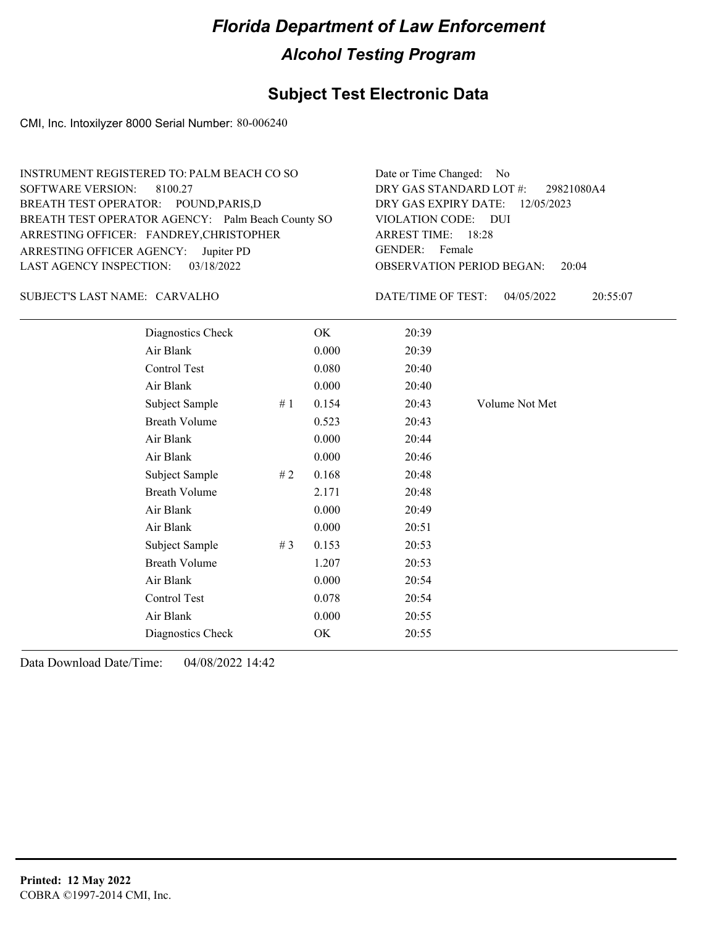### **Subject Test Electronic Data**

CMI, Inc. Intoxilyzer 8000 Serial Number: 80-006240

| INSTRUMENT REGISTERED TO: PALM BEACH CO SO        | Date or Time Changed: No               |
|---------------------------------------------------|----------------------------------------|
| SOFTWARE VERSION: 8100.27                         | DRY GAS STANDARD LOT #: 29821080A4     |
| BREATH TEST OPERATOR: POUND, PARIS, D             | DRY GAS EXPIRY DATE: 12/05/2023        |
| BREATH TEST OPERATOR AGENCY: Palm Beach County SO | VIOLATION CODE: DUI                    |
| ARRESTING OFFICER: FANDREY, CHRISTOPHER           | ARREST TIME: 18:28                     |
| ARRESTING OFFICER AGENCY: Jupiter PD              | GENDER: Female                         |
| LAST AGENCY INSPECTION: 03/18/2022                | <b>OBSERVATION PERIOD BEGAN: 20:04</b> |
|                                                   |                                        |

#### CARVALHO SUBJECT'S LAST NAME: DATE/TIME OF TEST:

DATE/TIME OF TEST: 04/05/2022 20:55:07

| Diagnostics Check    |    | OK    | 20:39 |                |
|----------------------|----|-------|-------|----------------|
| Air Blank            |    | 0.000 | 20:39 |                |
| Control Test         |    | 0.080 | 20:40 |                |
| Air Blank            |    | 0.000 | 20:40 |                |
| Subject Sample       | #1 | 0.154 | 20:43 | Volume Not Met |
| <b>Breath Volume</b> |    | 0.523 | 20:43 |                |
| Air Blank            |    | 0.000 | 20:44 |                |
| Air Blank            |    | 0.000 | 20:46 |                |
| Subject Sample       | #2 | 0.168 | 20:48 |                |
| <b>Breath Volume</b> |    | 2.171 | 20:48 |                |
| Air Blank            |    | 0.000 | 20:49 |                |
| Air Blank            |    | 0.000 | 20:51 |                |
| Subject Sample       | #3 | 0.153 | 20:53 |                |
| <b>Breath Volume</b> |    | 1.207 | 20:53 |                |
| Air Blank            |    | 0.000 | 20:54 |                |
| Control Test         |    | 0.078 | 20:54 |                |
| Air Blank            |    | 0.000 | 20:55 |                |
| Diagnostics Check    |    | OK    | 20:55 |                |
|                      |    |       |       |                |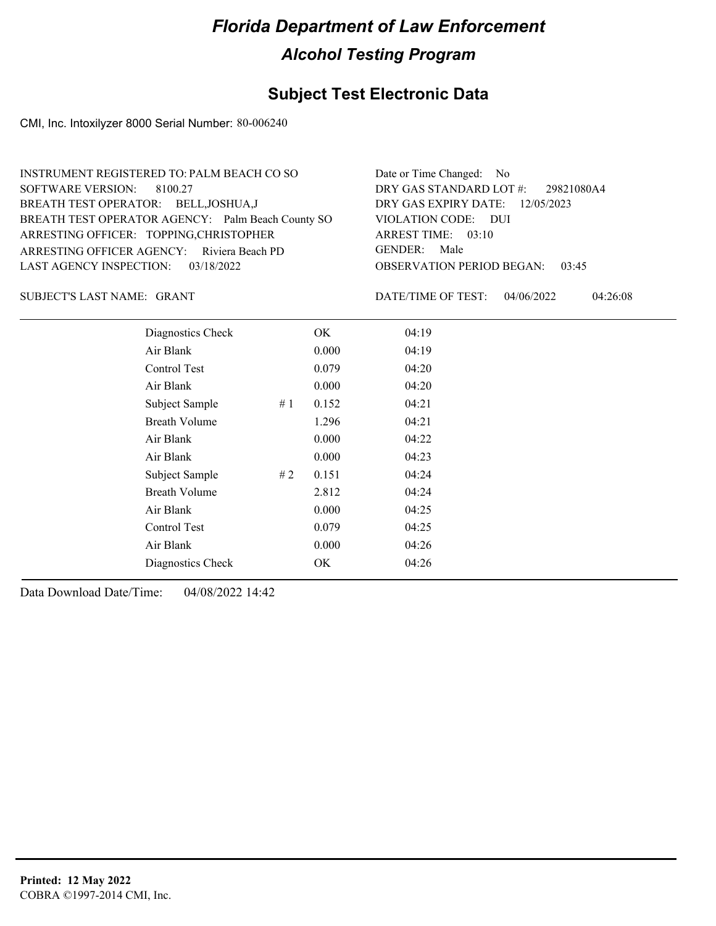#### **Subject Test Electronic Data**

CMI, Inc. Intoxilyzer 8000 Serial Number: 80-006240

| INSTRUMENT REGISTERED TO: PALM BEACH CO SO        | Date or Time Changed: No               |
|---------------------------------------------------|----------------------------------------|
| SOFTWARE VERSION: 8100.27                         | DRY GAS STANDARD LOT #: 29821080A4     |
| BREATH TEST OPERATOR: BELL, JOSHUA, J             | DRY GAS EXPIRY DATE: 12/05/2023        |
| BREATH TEST OPERATOR AGENCY: Palm Beach County SO | VIOLATION CODE: DUI                    |
| ARRESTING OFFICER: TOPPING, CHRISTOPHER           | ARREST TIME: 03:10                     |
| ARRESTING OFFICER AGENCY: Riviera Beach PD        | GENDER: Male                           |
| LAST AGENCY INSPECTION: 03/18/2022                | <b>OBSERVATION PERIOD BEGAN: 03:45</b> |
|                                                   |                                        |

SUBJECT'S LAST NAME: GRANT **Example 20** OATE/TIME OF TEST:

DATE/TIME OF TEST: 04/06/2022 04:26:08

| Diagnostics Check    |    | OK    | 04:19 |
|----------------------|----|-------|-------|
| Air Blank            |    | 0.000 | 04:19 |
| Control Test         |    | 0.079 | 04:20 |
| Air Blank            |    | 0.000 | 04:20 |
| Subject Sample       | #1 | 0.152 | 04:21 |
| <b>Breath Volume</b> |    | 1.296 | 04:21 |
| Air Blank            |    | 0.000 | 04:22 |
| Air Blank            |    | 0.000 | 04:23 |
| Subject Sample       | #2 | 0.151 | 04:24 |
| <b>Breath Volume</b> |    | 2.812 | 04:24 |
| Air Blank            |    | 0.000 | 04:25 |
| Control Test         |    | 0.079 | 04:25 |
| Air Blank            |    | 0.000 | 04:26 |
| Diagnostics Check    |    | OK    | 04:26 |
|                      |    |       |       |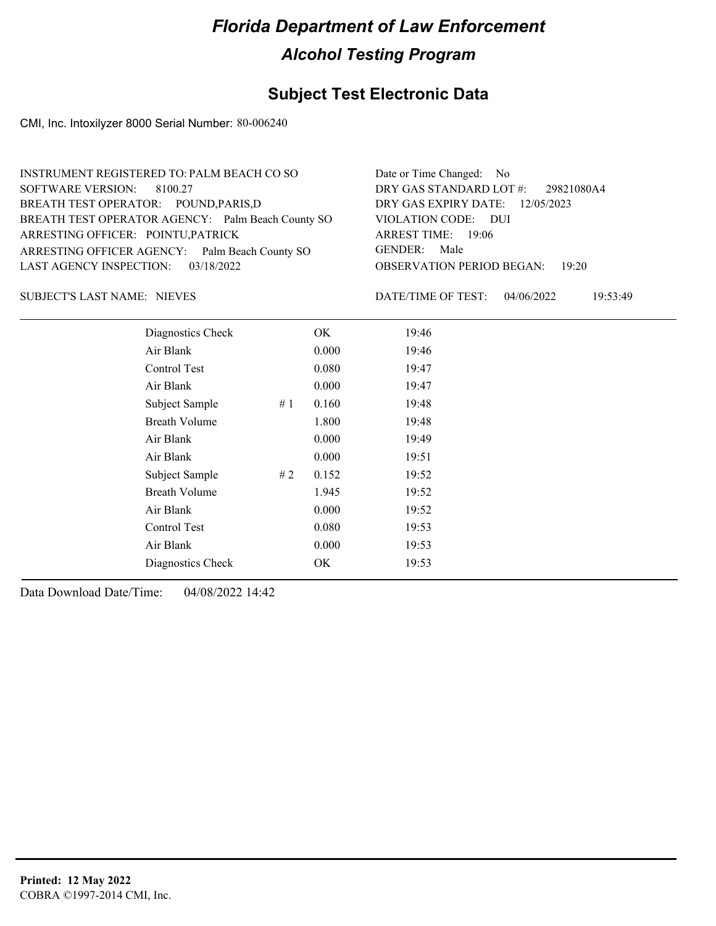#### **Subject Test Electronic Data**

CMI, Inc. Intoxilyzer 8000 Serial Number: 80-006240

| INSTRUMENT REGISTERED TO: PALM BEACH CO SO        | Date or Time Changed: No               |
|---------------------------------------------------|----------------------------------------|
| SOFTWARE VERSION: 8100.27                         | DRY GAS STANDARD LOT #: 29821080A4     |
| BREATH TEST OPERATOR: POUND, PARIS, D             | DRY GAS EXPIRY DATE: $12/05/2023$      |
| BREATH TEST OPERATOR AGENCY: Palm Beach County SO | VIOLATION CODE: DUI                    |
| ARRESTING OFFICER: POINTU, PATRICK                | ARREST TIME: 19:06                     |
| ARRESTING OFFICER AGENCY: Palm Beach County SO    | GENDER: Male                           |
| LAST AGENCY INSPECTION: 03/18/2022                | <b>OBSERVATION PERIOD BEGAN: 19:20</b> |
|                                                   |                                        |

SUBJECT'S LAST NAME: NIEVES **Example 20** DATE/TIME OF TEST:

DATE/TIME OF TEST: 04/06/2022 19:53:49

| Diagnostics Check    |    | OK    | 19:46 |
|----------------------|----|-------|-------|
| Air Blank            |    | 0.000 | 19:46 |
| Control Test         |    | 0.080 | 19:47 |
| Air Blank            |    | 0.000 | 19:47 |
| Subject Sample       | #1 | 0.160 | 19:48 |
| <b>Breath Volume</b> |    | 1.800 | 19:48 |
| Air Blank            |    | 0.000 | 19:49 |
| Air Blank            |    | 0.000 | 19:51 |
| Subject Sample       | #2 | 0.152 | 19:52 |
| <b>Breath Volume</b> |    | 1.945 | 19:52 |
| Air Blank            |    | 0.000 | 19:52 |
| Control Test         |    | 0.080 | 19:53 |
| Air Blank            |    | 0.000 | 19:53 |
| Diagnostics Check    |    | OK    | 19:53 |
|                      |    |       |       |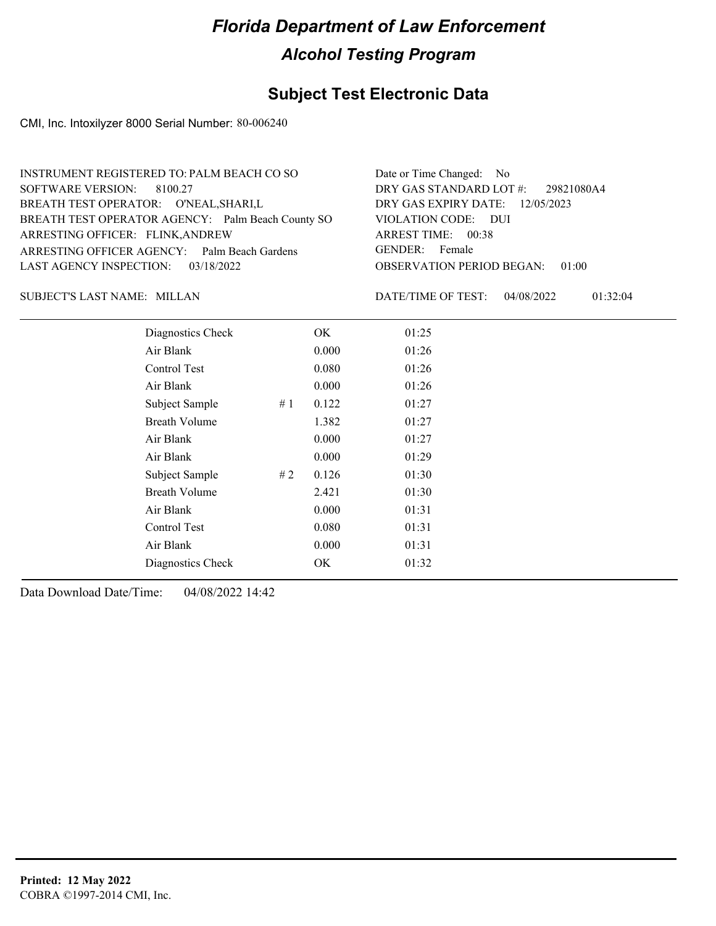#### **Subject Test Electronic Data**

CMI, Inc. Intoxilyzer 8000 Serial Number: 80-006240

| INSTRUMENT REGISTERED TO: PALM BEACH CO SO        | Date or Time Changed: No               |
|---------------------------------------------------|----------------------------------------|
| SOFTWARE VERSION: 8100.27                         | DRY GAS STANDARD LOT #: 29821080A4     |
| BREATH TEST OPERATOR: O'NEAL, SHARI, L            | DRY GAS EXPIRY DATE: 12/05/2023        |
| BREATH TEST OPERATOR AGENCY: Palm Beach County SO | VIOLATION CODE: DUI                    |
| ARRESTING OFFICER: FLINK, ANDREW                  | ARREST TIME: 00:38                     |
| ARRESTING OFFICER AGENCY: Palm Beach Gardens      | GENDER: Female                         |
| LAST AGENCY INSPECTION: 03/18/2022                | <b>OBSERVATION PERIOD BEGAN: 01:00</b> |
|                                                   |                                        |

#### SUBJECT'S LAST NAME: MILLAN DATE/TIME OF TEST:

DATE/TIME OF TEST: 04/08/2022 01:32:04

| Diagnostics Check    |    | OK    | 01:25 |  |  |
|----------------------|----|-------|-------|--|--|
| Air Blank            |    | 0.000 | 01:26 |  |  |
| Control Test         |    | 0.080 | 01:26 |  |  |
| Air Blank            |    | 0.000 | 01:26 |  |  |
| Subject Sample       | #1 | 0.122 | 01:27 |  |  |
| <b>Breath Volume</b> |    | 1.382 | 01:27 |  |  |
| Air Blank            |    | 0.000 | 01:27 |  |  |
| Air Blank            |    | 0.000 | 01:29 |  |  |
| Subject Sample       | #2 | 0.126 | 01:30 |  |  |
| <b>Breath Volume</b> |    | 2.421 | 01:30 |  |  |
| Air Blank            |    | 0.000 | 01:31 |  |  |
| Control Test         |    | 0.080 | 01:31 |  |  |
| Air Blank            |    | 0.000 | 01:31 |  |  |
| Diagnostics Check    |    | OK    | 01:32 |  |  |
|                      |    |       |       |  |  |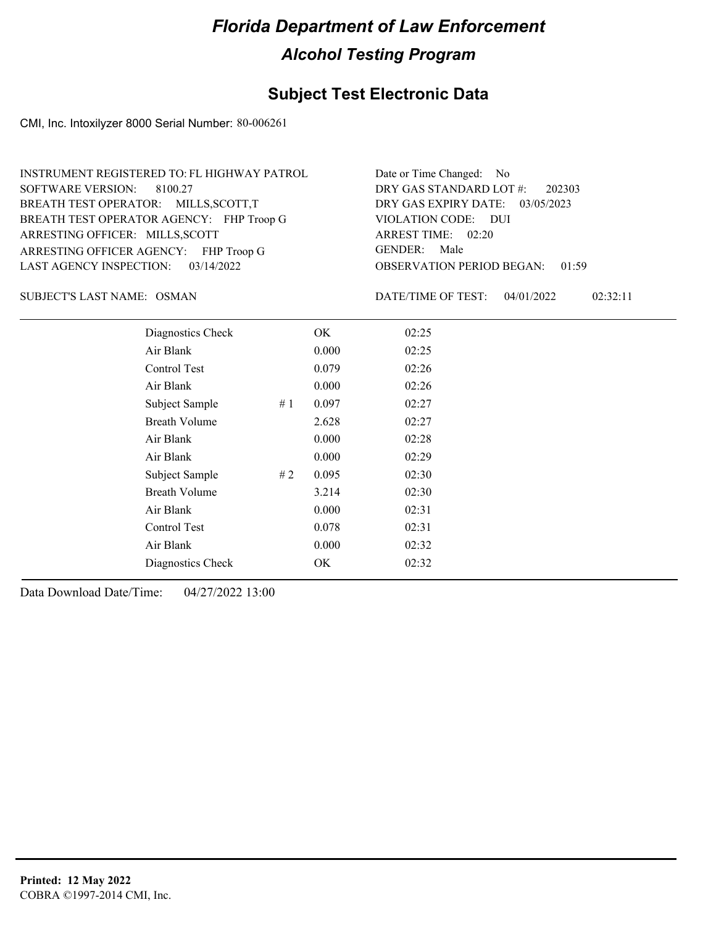### **Subject Test Electronic Data**

CMI, Inc. Intoxilyzer 8000 Serial Number: 80-006261

| INSTRUMENT REGISTERED TO: FL HIGHWAY PATROL | Date or Time Changed: No               |
|---------------------------------------------|----------------------------------------|
| SOFTWARE VERSION: 8100.27                   | DRY GAS STANDARD LOT #: 202303         |
| BREATH TEST OPERATOR: MILLS, SCOTT, T       | DRY GAS EXPIRY DATE: 03/05/2023        |
| BREATH TEST OPERATOR AGENCY: FHP Troop G    | VIOLATION CODE: DUI                    |
| ARRESTING OFFICER: MILLS, SCOTT             | ARREST TIME: 02:20                     |
| ARRESTING OFFICER AGENCY: FHP Troop G       | GENDER: Male                           |
| LAST AGENCY INSPECTION: $03/14/2022$        | <b>OBSERVATION PERIOD BEGAN: 01:59</b> |

SUBJECT'S LAST NAME: OSMAN DATE/TIME OF TEST:

DATE/TIME OF TEST: 04/01/2022 02:32:11

| Diagnostics Check    |    | OK    | 02:25 |  |
|----------------------|----|-------|-------|--|
| Air Blank            |    | 0.000 | 02:25 |  |
| Control Test         |    | 0.079 | 02:26 |  |
| Air Blank            |    | 0.000 | 02:26 |  |
| Subject Sample       | #1 | 0.097 | 02:27 |  |
| <b>Breath Volume</b> |    | 2.628 | 02:27 |  |
| Air Blank            |    | 0.000 | 02:28 |  |
| Air Blank            |    | 0.000 | 02:29 |  |
| Subject Sample       | #2 | 0.095 | 02:30 |  |
| <b>Breath Volume</b> |    | 3.214 | 02:30 |  |
| Air Blank            |    | 0.000 | 02:31 |  |
| Control Test         |    | 0.078 | 02:31 |  |
| Air Blank            |    | 0.000 | 02:32 |  |
| Diagnostics Check    |    | OK    | 02:32 |  |
|                      |    |       |       |  |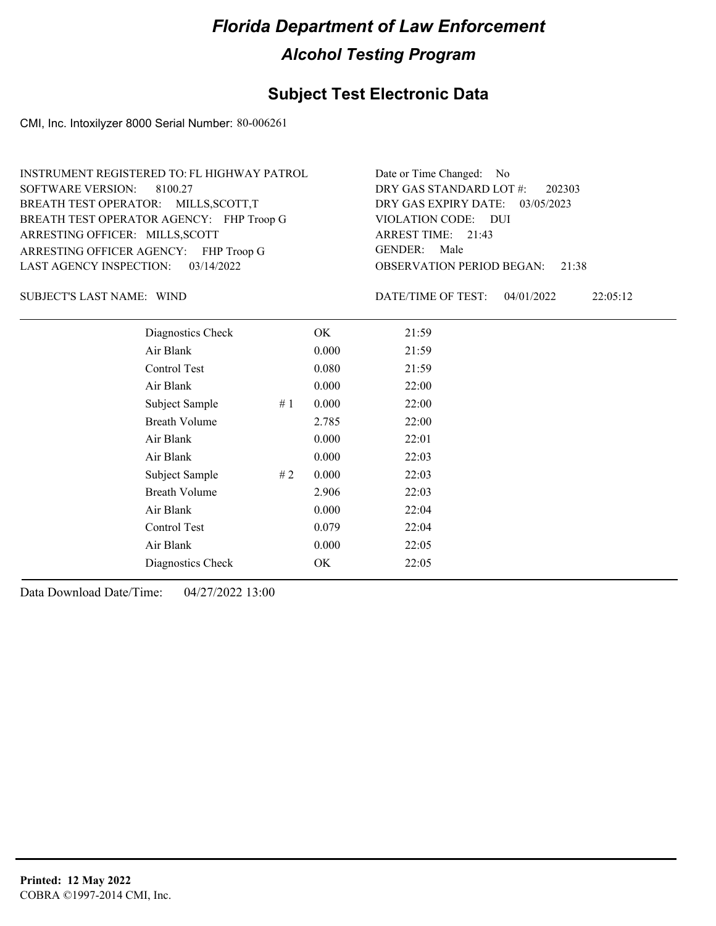### **Subject Test Electronic Data**

CMI, Inc. Intoxilyzer 8000 Serial Number: 80-006261

| INSTRUMENT REGISTERED TO: FL HIGHWAY PATROL | Date or Time Changed: No               |
|---------------------------------------------|----------------------------------------|
| SOFTWARE VERSION: 8100.27                   | DRY GAS STANDARD LOT #: 202303         |
| BREATH TEST OPERATOR: MILLS, SCOTT, T       | DRY GAS EXPIRY DATE: 03/05/2023        |
| BREATH TEST OPERATOR AGENCY: FHP Troop G    | VIOLATION CODE: DUI                    |
| ARRESTING OFFICER: MILLS, SCOTT             | ARREST TIME: 21:43                     |
| ARRESTING OFFICER AGENCY: FHP Troop G       | GENDER: Male                           |
| LAST AGENCY INSPECTION: $03/14/2022$        | <b>OBSERVATION PERIOD BEGAN: 21:38</b> |

SUBJECT'S LAST NAME: WIND DATE/TIME OF TEST:

DATE/TIME OF TEST: 04/01/2022 22:05:12

| Diagnostics Check    | OK    | 21:59 |
|----------------------|-------|-------|
| Air Blank            | 0.000 | 21:59 |
| Control Test         | 0.080 | 21:59 |
| Air Blank            | 0.000 | 22:00 |
| Subject Sample<br>#1 | 0.000 | 22:00 |
| <b>Breath Volume</b> | 2.785 | 22:00 |
| Air Blank            | 0.000 | 22:01 |
| Air Blank            | 0.000 | 22:03 |
| Subject Sample<br>#2 | 0.000 | 22:03 |
| <b>Breath Volume</b> | 2.906 | 22:03 |
| Air Blank            | 0.000 | 22:04 |
| Control Test         | 0.079 | 22:04 |
| Air Blank            | 0.000 | 22:05 |
| Diagnostics Check    | OK    | 22:05 |
|                      |       |       |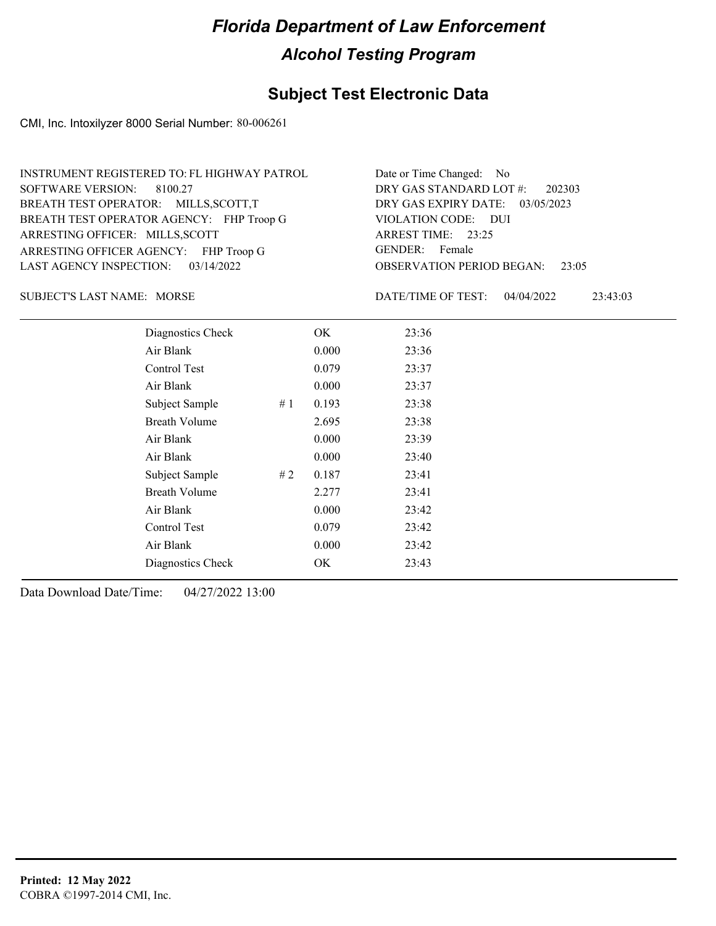#### **Subject Test Electronic Data**

CMI, Inc. Intoxilyzer 8000 Serial Number: 80-006261

| INSTRUMENT REGISTERED TO: FL HIGHWAY PATROL | Date or Time Changed: No               |
|---------------------------------------------|----------------------------------------|
| SOFTWARE VERSION: 8100.27                   | DRY GAS STANDARD LOT #: 202303         |
| BREATH TEST OPERATOR: MILLS, SCOTT, T       | DRY GAS EXPIRY DATE: 03/05/2023        |
| BREATH TEST OPERATOR AGENCY: FHP Troop G    | VIOLATION CODE: DUI                    |
| ARRESTING OFFICER: MILLS, SCOTT             | ARREST TIME: 23:25                     |
| ARRESTING OFFICER AGENCY: FHP Troop G       | GENDER: Female                         |
| LAST AGENCY INSPECTION: 03/14/2022          | <b>OBSERVATION PERIOD BEGAN: 23:05</b> |

SUBJECT'S LAST NAME: MORSE **Example 20** DATE/TIME OF TEST:

DATE/TIME OF TEST: 04/04/2022 23:43:03

| Diagnostics Check    |    | OK    | 23:36 |
|----------------------|----|-------|-------|
| Air Blank            |    | 0.000 | 23:36 |
| Control Test         |    | 0.079 | 23:37 |
| Air Blank            |    | 0.000 | 23:37 |
| Subject Sample       | #1 | 0.193 | 23:38 |
| <b>Breath Volume</b> |    | 2.695 | 23:38 |
| Air Blank            |    | 0.000 | 23:39 |
| Air Blank            |    | 0.000 | 23:40 |
| Subject Sample       | #2 | 0.187 | 23:41 |
| <b>Breath Volume</b> |    | 2.277 | 23:41 |
| Air Blank            |    | 0.000 | 23:42 |
| Control Test         |    | 0.079 | 23:42 |
| Air Blank            |    | 0.000 | 23:42 |
| Diagnostics Check    |    | OK    | 23:43 |
|                      |    |       |       |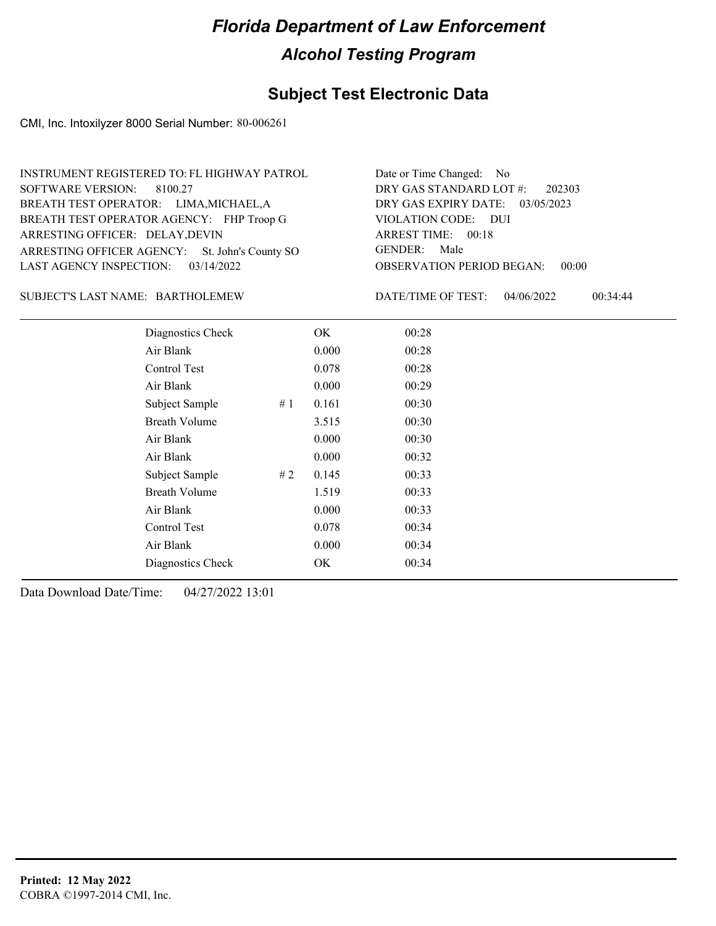### **Subject Test Electronic Data**

CMI, Inc. Intoxilyzer 8000 Serial Number: 80-006261

| INSTRUMENT REGISTERED TO: FL HIGHWAY PATROL    | Date or Time Changed: No               |
|------------------------------------------------|----------------------------------------|
| SOFTWARE VERSION: 8100.27                      | DRY GAS STANDARD LOT $\#$ : 202303     |
| BREATH TEST OPERATOR: LIMA, MICHAEL, A         | DRY GAS EXPIRY DATE: 03/05/2023        |
| BREATH TEST OPERATOR AGENCY: FHP Troop G       | VIOLATION CODE: DUI                    |
| ARRESTING OFFICER: DELAY, DEVIN                | ARREST TIME: 00:18                     |
| ARRESTING OFFICER AGENCY: St. John's County SO | GENDER: Male                           |
| LAST AGENCY INSPECTION: $03/14/2022$           | <b>OBSERVATION PERIOD BEGAN: 00:00</b> |

#### BARTHOLEMEW SUBJECT'S LAST NAME: DATE/TIME OF TEST:

DATE/TIME OF TEST: 04/06/2022 00:34:44

| Diagnostics Check    |     | OK    | 00:28 |
|----------------------|-----|-------|-------|
| Air Blank            |     | 0.000 | 00:28 |
| Control Test         |     | 0.078 | 00:28 |
| Air Blank            |     | 0.000 | 00:29 |
| Subject Sample       | #1  | 0.161 | 00:30 |
| <b>Breath Volume</b> |     | 3.515 | 00:30 |
| Air Blank            |     | 0.000 | 00:30 |
| Air Blank            |     | 0.000 | 00:32 |
| Subject Sample       | # 2 | 0.145 | 00:33 |
| <b>Breath Volume</b> |     | 1.519 | 00:33 |
| Air Blank            |     | 0.000 | 00:33 |
| Control Test         |     | 0.078 | 00:34 |
| Air Blank            |     | 0.000 | 00:34 |
| Diagnostics Check    |     | OK    | 00:34 |
|                      |     |       |       |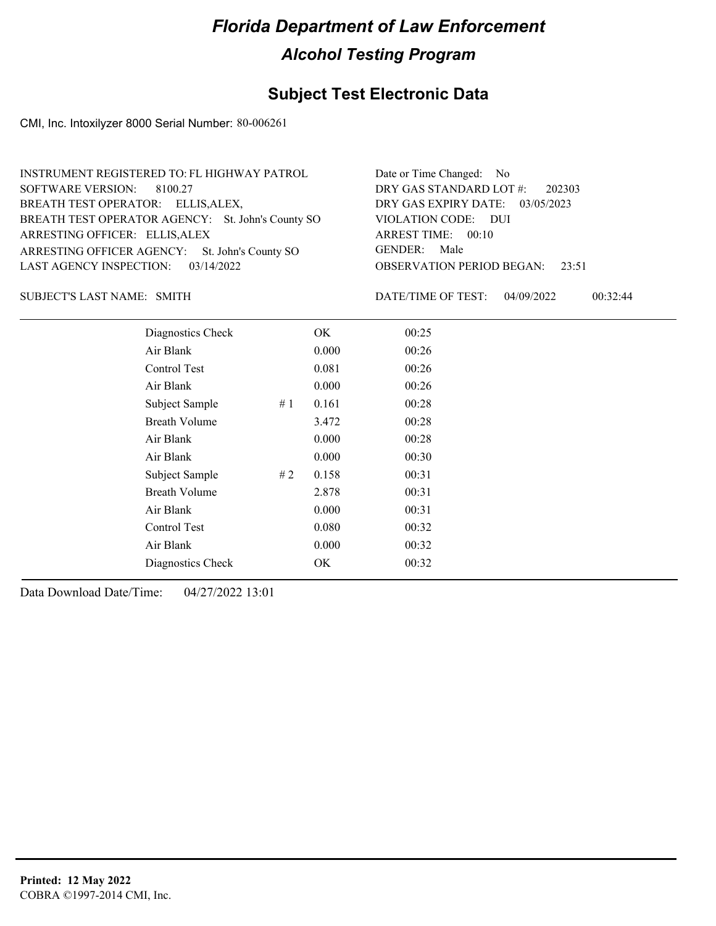#### **Subject Test Electronic Data**

CMI, Inc. Intoxilyzer 8000 Serial Number: 80-006261

| INSTRUMENT REGISTERED TO: FL HIGHWAY PATROL       | Date or Time Changed: No               |
|---------------------------------------------------|----------------------------------------|
| SOFTWARE VERSION: 8100.27                         | DRY GAS STANDARD LOT $\#$ : 202303     |
| BREATH TEST OPERATOR: ELLIS, ALEX,                | DRY GAS EXPIRY DATE: 03/05/2023        |
| BREATH TEST OPERATOR AGENCY: St. John's County SO | VIOLATION CODE: DUI                    |
| ARRESTING OFFICER: ELLIS, ALEX                    | ARREST TIME: 00:10                     |
| ARRESTING OFFICER AGENCY: St. John's County SO    | GENDER: Male                           |
| LAST AGENCY INSPECTION: $03/14/2022$              | <b>OBSERVATION PERIOD BEGAN: 23:51</b> |

SUBJECT'S LAST NAME: SMITH **Example 2018** DATE/TIME OF TEST:

DATE/TIME OF TEST: 04/09/2022 00:32:44

| Diagnostics Check    |    | OK    | 00:25 |  |
|----------------------|----|-------|-------|--|
| Air Blank            |    | 0.000 | 00:26 |  |
| Control Test         |    | 0.081 | 00:26 |  |
| Air Blank            |    | 0.000 | 00:26 |  |
| Subject Sample       | #1 | 0.161 | 00:28 |  |
| <b>Breath Volume</b> |    | 3.472 | 00:28 |  |
| Air Blank            |    | 0.000 | 00:28 |  |
| Air Blank            |    | 0.000 | 00:30 |  |
| Subject Sample       | #2 | 0.158 | 00:31 |  |
| <b>Breath Volume</b> |    | 2.878 | 00:31 |  |
| Air Blank            |    | 0.000 | 00:31 |  |
| <b>Control Test</b>  |    | 0.080 | 00:32 |  |
| Air Blank            |    | 0.000 | 00:32 |  |
| Diagnostics Check    |    | OK    | 00:32 |  |
|                      |    |       |       |  |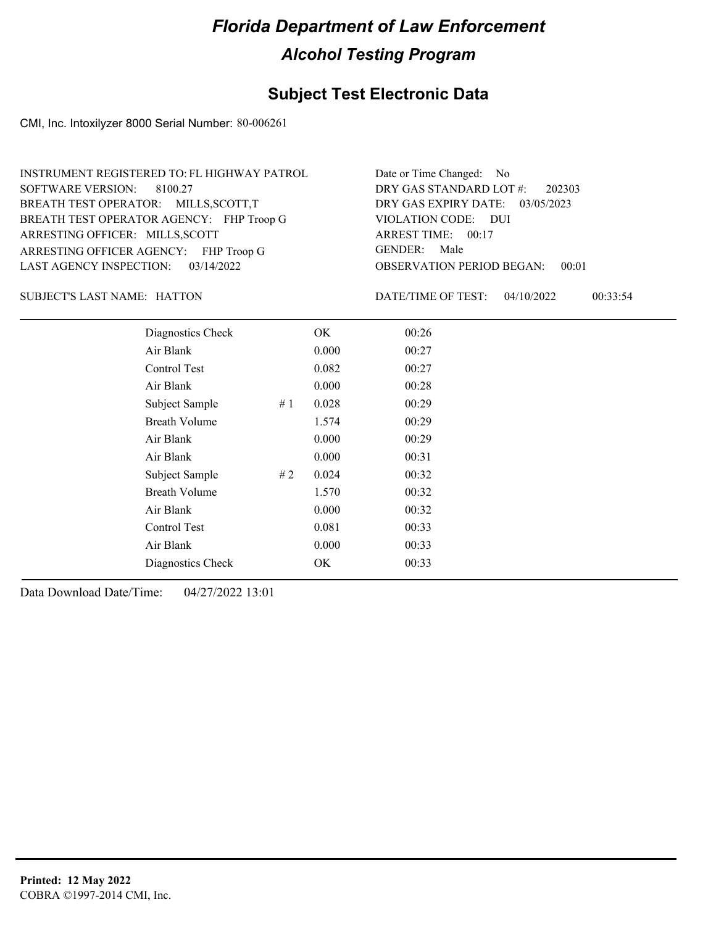### **Subject Test Electronic Data**

CMI, Inc. Intoxilyzer 8000 Serial Number: 80-006261

| INSTRUMENT REGISTERED TO: FL HIGHWAY PATROL | Date or Time Changed: No               |
|---------------------------------------------|----------------------------------------|
| SOFTWARE VERSION: 8100.27                   | DRY GAS STANDARD LOT $\#$ : 202303     |
| BREATH TEST OPERATOR: MILLS, SCOTT, T       | DRY GAS EXPIRY DATE: 03/05/2023        |
| BREATH TEST OPERATOR AGENCY: FHP Troop G    | VIOLATION CODE: DUI                    |
| ARRESTING OFFICER: MILLS, SCOTT             | ARREST TIME: 00:17                     |
| ARRESTING OFFICER AGENCY: FHP Troop G       | GENDER: Male                           |
| LAST AGENCY INSPECTION: $03/14/2022$        | <b>OBSERVATION PERIOD BEGAN: 00:01</b> |

SUBJECT'S LAST NAME: HATTON DATE/TIME OF TEST:

DATE/TIME OF TEST: 04/10/2022 00:33:54

| Diagnostics Check    |    | OK    | 00:26 |
|----------------------|----|-------|-------|
| Air Blank            |    | 0.000 | 00:27 |
| Control Test         |    | 0.082 | 00:27 |
| Air Blank            |    | 0.000 | 00:28 |
| Subject Sample       | #1 | 0.028 | 00:29 |
| <b>Breath Volume</b> |    | 1.574 | 00:29 |
| Air Blank            |    | 0.000 | 00:29 |
| Air Blank            |    | 0.000 | 00:31 |
| Subject Sample       | #2 | 0.024 | 00:32 |
| <b>Breath Volume</b> |    | 1.570 | 00:32 |
| Air Blank            |    | 0.000 | 00:32 |
| Control Test         |    | 0.081 | 00:33 |
| Air Blank            |    | 0.000 | 00:33 |
| Diagnostics Check    |    | OK    | 00:33 |
|                      |    |       |       |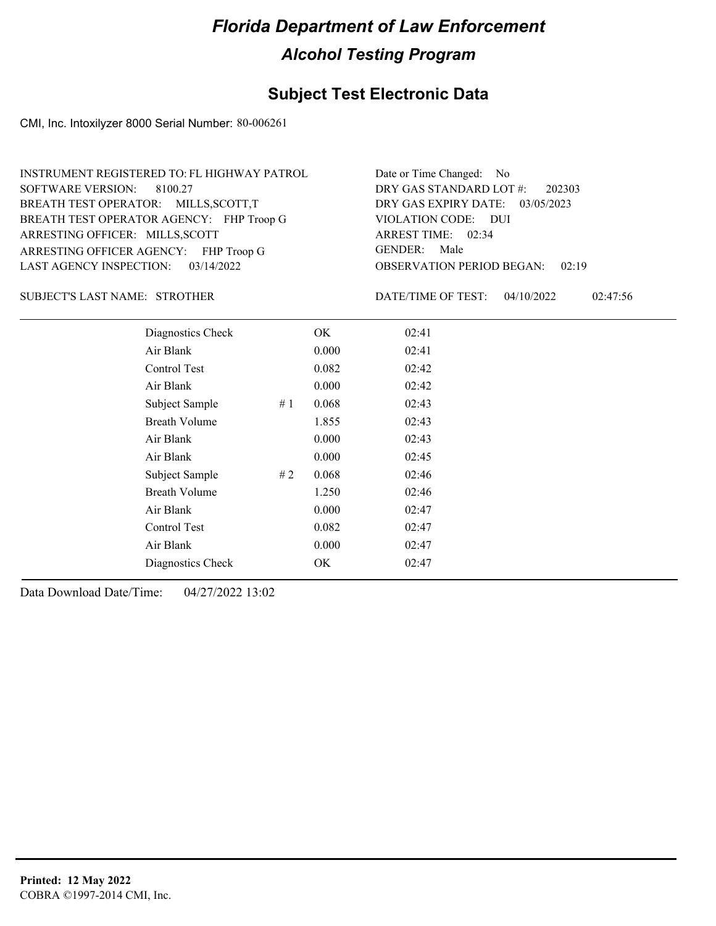#### **Subject Test Electronic Data**

CMI, Inc. Intoxilyzer 8000 Serial Number: 80-006261

| INSTRUMENT REGISTERED TO: FL HIGHWAY PATROL | Date or Time Changed: No               |
|---------------------------------------------|----------------------------------------|
| SOFTWARE VERSION: 8100.27                   | DRY GAS STANDARD LOT #: 202303         |
| BREATH TEST OPERATOR: MILLS, SCOTT, T       | DRY GAS EXPIRY DATE: 03/05/2023        |
| BREATH TEST OPERATOR AGENCY: FHP Troop G    | VIOLATION CODE: DUI                    |
| ARRESTING OFFICER: MILLS, SCOTT             | ARREST TIME: 02:34                     |
| ARRESTING OFFICER AGENCY: FHP Troop G       | GENDER: Male                           |
| LAST AGENCY INSPECTION: $03/14/2022$        | <b>OBSERVATION PERIOD BEGAN: 02:19</b> |

#### STROTHER SUBJECT'S LAST NAME: DATE/TIME OF TEST:

DATE/TIME OF TEST: 04/10/2022 02:47:56

| Diagnostics Check    |    | OK    | 02:41 |
|----------------------|----|-------|-------|
| Air Blank            |    | 0.000 | 02:41 |
| Control Test         |    | 0.082 | 02:42 |
| Air Blank            |    | 0.000 | 02:42 |
| Subject Sample       | #1 | 0.068 | 02:43 |
| <b>Breath Volume</b> |    | 1.855 | 02:43 |
| Air Blank            |    | 0.000 | 02:43 |
| Air Blank            |    | 0.000 | 02:45 |
| Subject Sample       | #2 | 0.068 | 02:46 |
| <b>Breath Volume</b> |    | 1.250 | 02:46 |
| Air Blank            |    | 0.000 | 02:47 |
| Control Test         |    | 0.082 | 02:47 |
| Air Blank            |    | 0.000 | 02:47 |
| Diagnostics Check    |    | OK    | 02:47 |
|                      |    |       |       |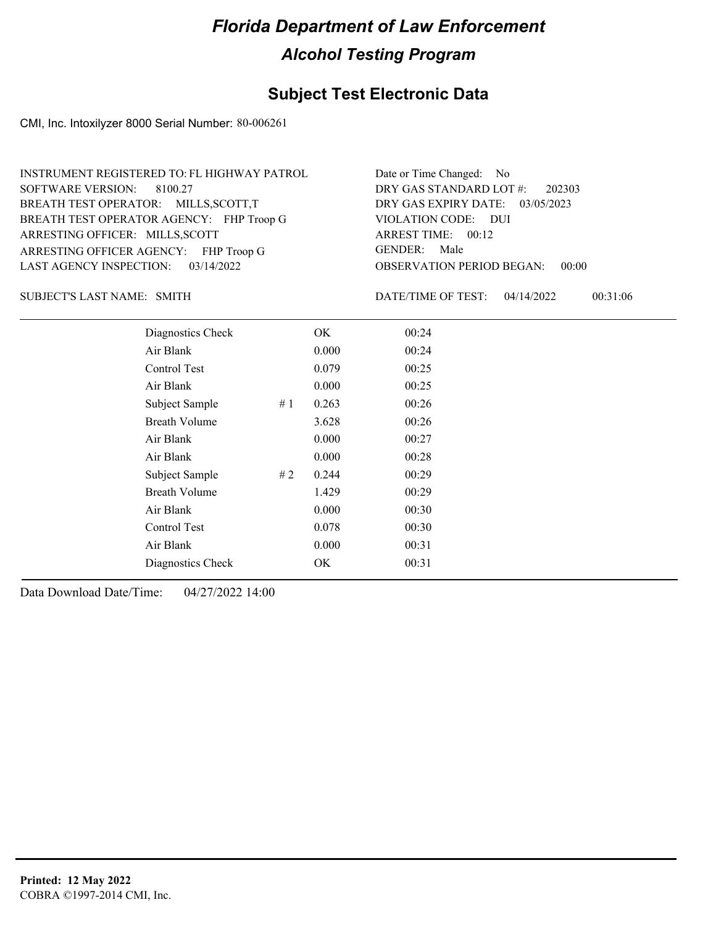#### **Subject Test Electronic Data**

CMI, Inc. Intoxilyzer 8000 Serial Number: 80-006261

| INSTRUMENT REGISTERED TO: FL HIGHWAY PATROL | Date or Time Changed: No               |
|---------------------------------------------|----------------------------------------|
| SOFTWARE VERSION: 8100.27                   | DRY GAS STANDARD LOT #: 202303         |
| BREATH TEST OPERATOR: MILLS, SCOTT, T       | DRY GAS EXPIRY DATE: 03/05/2023        |
| BREATH TEST OPERATOR AGENCY: FHP Troop G    | VIOLATION CODE: DUI                    |
| ARRESTING OFFICER: MILLS, SCOTT             | ARREST TIME: 00:12                     |
| ARRESTING OFFICER AGENCY: FHP Troop G       | GENDER: Male                           |
| LAST AGENCY INSPECTION: $03/14/2022$        | <b>OBSERVATION PERIOD BEGAN: 00:00</b> |

SUBJECT'S LAST NAME: SMITH **Example 2018** DATE/TIME OF TEST:

DATE/TIME OF TEST: 04/14/2022 00:31:06

| Diagnostics Check    |    | OK    | 00:24 |  |
|----------------------|----|-------|-------|--|
| Air Blank            |    | 0.000 | 00:24 |  |
| Control Test         |    | 0.079 | 00:25 |  |
| Air Blank            |    | 0.000 | 00:25 |  |
| Subject Sample       | #1 | 0.263 | 00:26 |  |
| <b>Breath Volume</b> |    | 3.628 | 00:26 |  |
| Air Blank            |    | 0.000 | 00:27 |  |
| Air Blank            |    | 0.000 | 00:28 |  |
| Subject Sample       | #2 | 0.244 | 00:29 |  |
| <b>Breath Volume</b> |    | 1.429 | 00:29 |  |
| Air Blank            |    | 0.000 | 00:30 |  |
| Control Test         |    | 0.078 | 00:30 |  |
| Air Blank            |    | 0.000 | 00:31 |  |
| Diagnostics Check    |    | OK    | 00:31 |  |
|                      |    |       |       |  |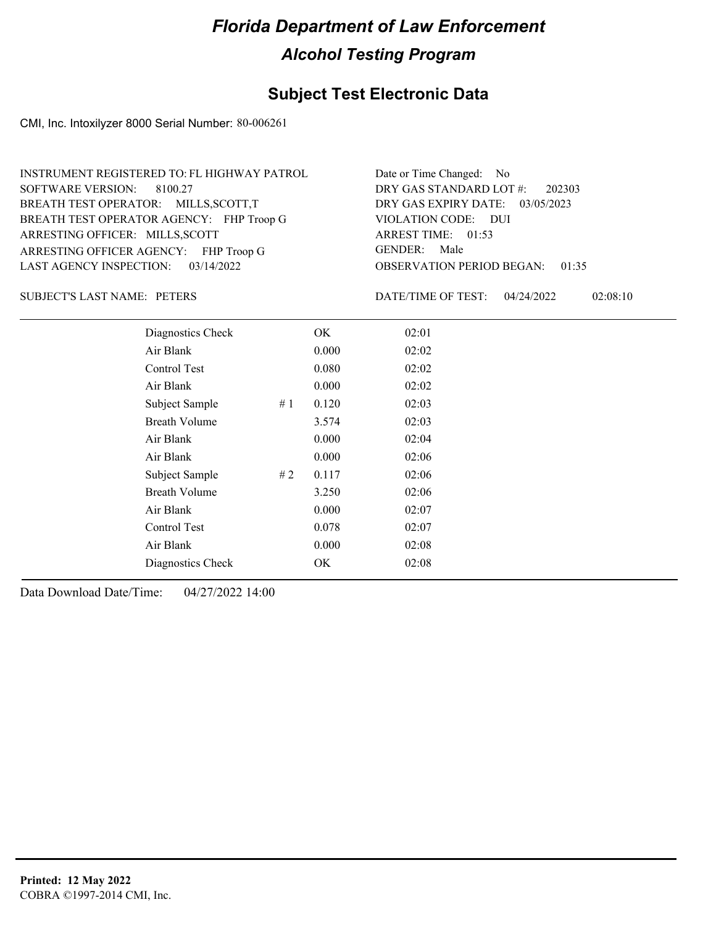### **Subject Test Electronic Data**

CMI, Inc. Intoxilyzer 8000 Serial Number: 80-006261

| INSTRUMENT REGISTERED TO: FL HIGHWAY PATROL | Date or Time Changed: No               |
|---------------------------------------------|----------------------------------------|
| SOFTWARE VERSION: 8100.27                   | DRY GAS STANDARD LOT $\#$ : 202303     |
| BREATH TEST OPERATOR: MILLS, SCOTT, T       | DRY GAS EXPIRY DATE: 03/05/2023        |
| BREATH TEST OPERATOR AGENCY: FHP Troop G    | VIOLATION CODE: DUI                    |
| ARRESTING OFFICER: MILLS, SCOTT             | ARREST TIME: 01:53                     |
| ARRESTING OFFICER AGENCY: FHP Troop G       | GENDER: Male                           |
| LAST AGENCY INSPECTION: 03/14/2022          | <b>OBSERVATION PERIOD BEGAN: 01:35</b> |

SUBJECT'S LAST NAME: PETERS DATE/TIME OF TEST:

DATE/TIME OF TEST: 04/24/2022 02:08:10

| Diagnostics Check    |    | OK    | 02:01 |
|----------------------|----|-------|-------|
| Air Blank            |    | 0.000 | 02:02 |
| Control Test         |    | 0.080 | 02:02 |
| Air Blank            |    | 0.000 | 02:02 |
| Subject Sample       | #1 | 0.120 | 02:03 |
| <b>Breath Volume</b> |    | 3.574 | 02:03 |
| Air Blank            |    | 0.000 | 02:04 |
| Air Blank            |    | 0.000 | 02:06 |
| Subject Sample       | #2 | 0.117 | 02:06 |
| <b>Breath Volume</b> |    | 3.250 | 02:06 |
| Air Blank            |    | 0.000 | 02:07 |
| <b>Control Test</b>  |    | 0.078 | 02:07 |
| Air Blank            |    | 0.000 | 02:08 |
| Diagnostics Check    |    | OK    | 02:08 |
|                      |    |       |       |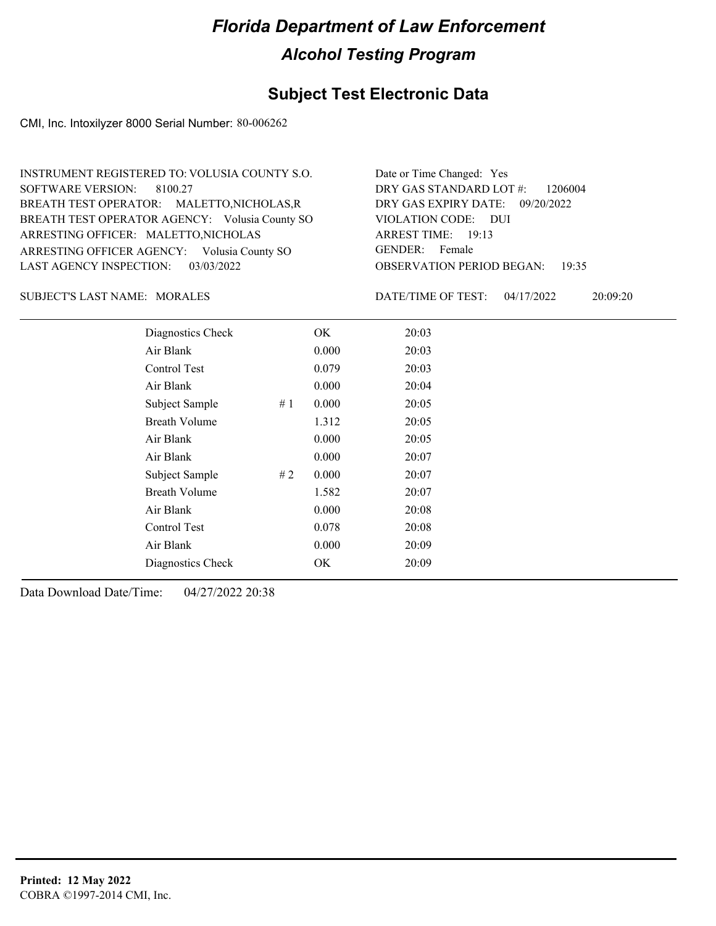#### **Subject Test Electronic Data**

CMI, Inc. Intoxilyzer 8000 Serial Number: 80-006262

OBSERVATION PERIOD BEGAN: 19:35 ARRESTING OFFICER AGENCY: Volusia County SO GENDER: BREATH TEST OPERATOR AGENCY: Volusia County SO VIOLATION CODE: SOFTWARE VERSION: 8100.27 VIOLATION CODE: DUI ARREST TIME: 19:13 ARRESTING OFFICER: MALETTO, NICHOLAS DRY GAS EXPIRY DATE: 09/20/2022 DRY GAS STANDARD LOT #: 1206004 BREATH TEST OPERATOR: MALETTO,NICHOLAS,R LAST AGENCY INSPECTION: 03/03/2022 INSTRUMENT REGISTERED TO: VOLUSIA COUNTY S.O. Date or Time Changed: Yes GENDER: Female

SUBJECT'S LAST NAME: MORALES DATE/TIME OF TEST:

DATE/TIME OF TEST: 04/17/2022 20:09:20

| Diagnostics Check    |    | OK    | 20:03 |
|----------------------|----|-------|-------|
| Air Blank            |    | 0.000 | 20:03 |
| Control Test         |    | 0.079 | 20:03 |
| Air Blank            |    | 0.000 | 20:04 |
| Subject Sample       | #1 | 0.000 | 20:05 |
| <b>Breath Volume</b> |    | 1.312 | 20:05 |
| Air Blank            |    | 0.000 | 20:05 |
| Air Blank            |    | 0.000 | 20:07 |
| Subject Sample       | #2 | 0.000 | 20:07 |
| <b>Breath Volume</b> |    | 1.582 | 20:07 |
| Air Blank            |    | 0.000 | 20:08 |
| Control Test         |    | 0.078 | 20:08 |
| Air Blank            |    | 0.000 | 20:09 |
| Diagnostics Check    |    | OK    | 20:09 |
|                      |    |       |       |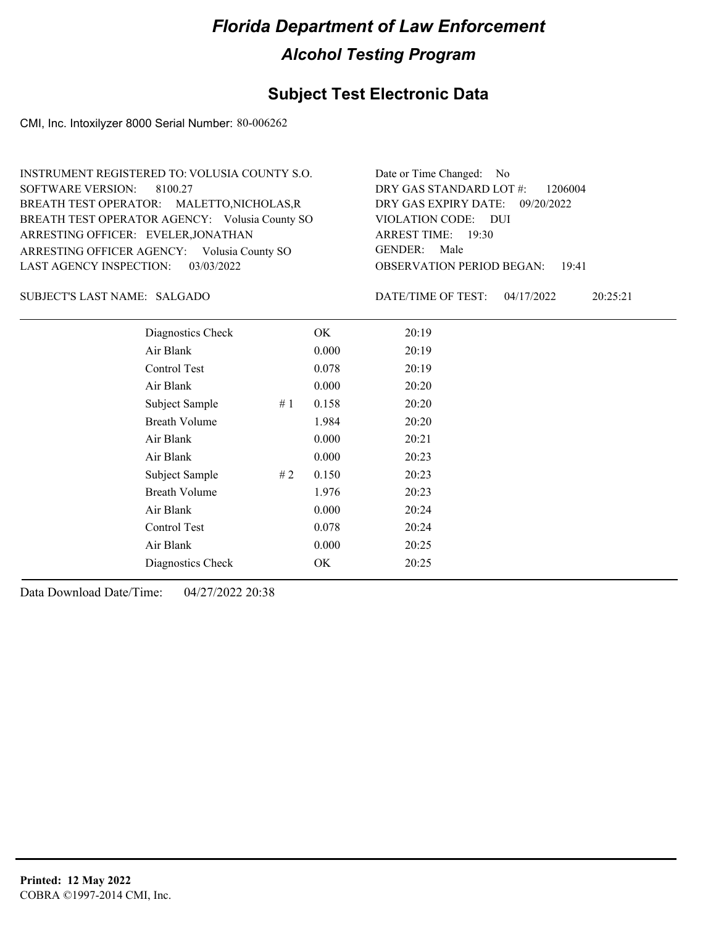#### **Subject Test Electronic Data**

CMI, Inc. Intoxilyzer 8000 Serial Number: 80-006262

OBSERVATION PERIOD BEGAN: 19:41 ARRESTING OFFICER AGENCY: Volusia County SO GENDER: BREATH TEST OPERATOR AGENCY: Volusia County SO VIOLATION CODE: SOFTWARE VERSION: 8100.27 VIOLATION CODE: DUI ARREST TIME: 19:30 ARRESTING OFFICER: EVELER, JONATHAN DRY GAS EXPIRY DATE: 09/20/2022 DRY GAS STANDARD LOT #: 1206004 BREATH TEST OPERATOR: MALETTO,NICHOLAS,R LAST AGENCY INSPECTION: 03/03/2022 INSTRUMENT REGISTERED TO: VOLUSIA COUNTY S.O. Date or Time Changed: No GENDER: Male

#### SALGADO SUBJECT'S LAST NAME: DATE/TIME OF TEST:

DATE/TIME OF TEST: 04/17/2022 20:25:21

| Diagnostics Check    |    | OK    | 20:19 |
|----------------------|----|-------|-------|
| Air Blank            |    | 0.000 | 20:19 |
| Control Test         |    | 0.078 | 20:19 |
| Air Blank            |    | 0.000 | 20:20 |
| Subject Sample       | #1 | 0.158 | 20:20 |
| <b>Breath Volume</b> |    | 1.984 | 20:20 |
| Air Blank            |    | 0.000 | 20:21 |
| Air Blank            |    | 0.000 | 20:23 |
| Subject Sample       | #2 | 0.150 | 20:23 |
| <b>Breath Volume</b> |    | 1.976 | 20:23 |
| Air Blank            |    | 0.000 | 20:24 |
| <b>Control Test</b>  |    | 0.078 | 20:24 |
| Air Blank            |    | 0.000 | 20:25 |
| Diagnostics Check    |    | OK    | 20:25 |
|                      |    |       |       |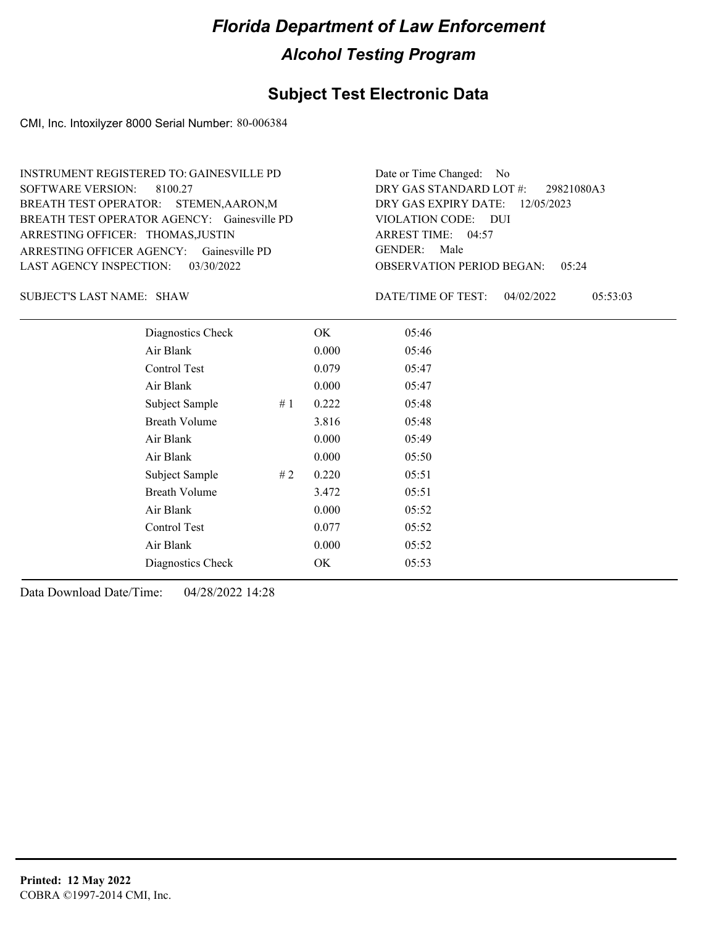#### **Subject Test Electronic Data**

CMI, Inc. Intoxilyzer 8000 Serial Number: 80-006384

ARRESTING OFFICER AGENCY: Gainesville PD GENDER: BREATH TEST OPERATOR AGENCY: Gainesville PD VIOLATION CODE: SOFTWARE VERSION: 8100.27 ARRESTING OFFICER: THOMAS, JUSTIN BREATH TEST OPERATOR: STEMEN,AARON,M LAST AGENCY INSPECTION: 03/30/2022 INSTRUMENT REGISTERED TO: GAINESVILLE PD

OBSERVATION PERIOD BEGAN: 05:24 VIOLATION CODE: DUI ARREST TIME: 04:57 12/05/2023 DRY GAS EXPIRY DATE: 29821080A3 DRY GAS STANDARD LOT #: Date or Time Changed: No GENDER: Male

SUBJECT'S LAST NAME: SHAW DATE/TIME OF TEST:

DATE/TIME OF TEST: 04/02/2022 05:53:03

| Diagnostics Check    | OK    | 05:46 |
|----------------------|-------|-------|
| Air Blank            | 0.000 | 05:46 |
| Control Test         | 0.079 | 05:47 |
| Air Blank            | 0.000 | 05:47 |
| Subject Sample<br>#1 | 0.222 | 05:48 |
| <b>Breath Volume</b> | 3.816 | 05:48 |
| Air Blank            | 0.000 | 05:49 |
| Air Blank            | 0.000 | 05:50 |
| Subject Sample<br>#2 | 0.220 | 05:51 |
| <b>Breath Volume</b> | 3.472 | 05:51 |
| Air Blank            | 0.000 | 05:52 |
| Control Test         | 0.077 | 05:52 |
| Air Blank            | 0.000 | 05:52 |
| Diagnostics Check    | OK    | 05:53 |
|                      |       |       |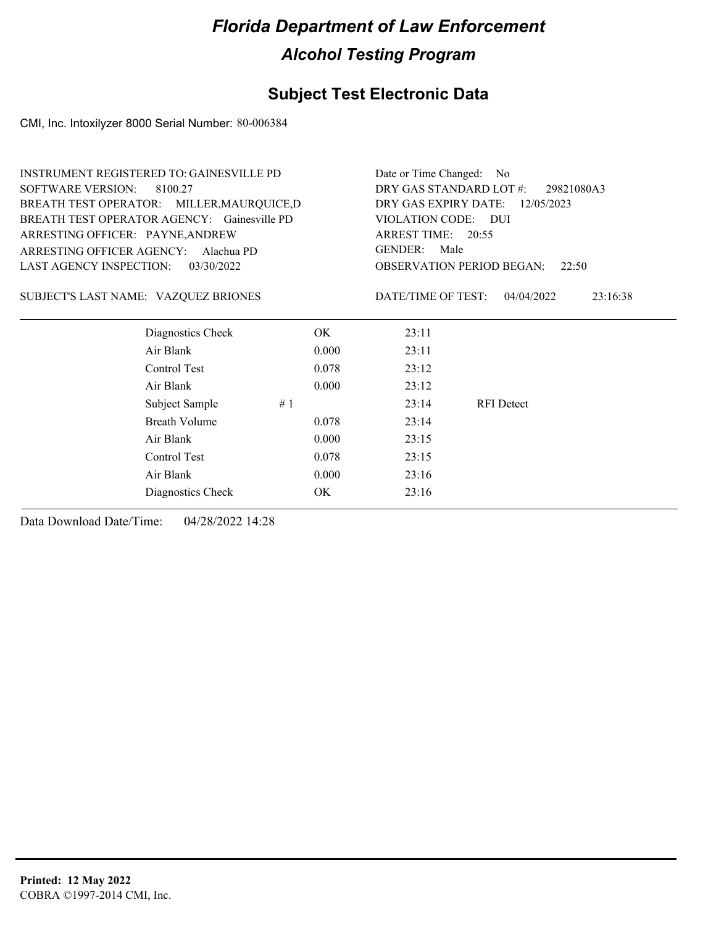### **Subject Test Electronic Data**

CMI, Inc. Intoxilyzer 8000 Serial Number: 80-006384

|                                  | <b>INSTRUMENT REGISTERED TO: GAINESVILLE PD</b> |                                                                             | Date or Time Changed: No                  |                   |          |  |  |
|----------------------------------|-------------------------------------------------|-----------------------------------------------------------------------------|-------------------------------------------|-------------------|----------|--|--|
| <b>SOFTWARE VERSION:</b>         | 8100.27                                         | DRY GAS STANDARD LOT #:<br>29821080A3<br>DRY GAS EXPIRY DATE:<br>12/05/2023 |                                           |                   |          |  |  |
|                                  | BREATH TEST OPERATOR: MILLER, MAURQUICE, D      |                                                                             |                                           |                   |          |  |  |
|                                  | BREATH TEST OPERATOR AGENCY: Gainesville PD     |                                                                             | VIOLATION CODE: DUI                       |                   |          |  |  |
| ARRESTING OFFICER: PAYNE, ANDREW |                                                 |                                                                             | ARREST TIME: 20:55                        |                   |          |  |  |
| ARRESTING OFFICER AGENCY:        | Alachua PD                                      | <b>GENDER:</b><br>Male                                                      |                                           |                   |          |  |  |
| LAST AGENCY INSPECTION:          | 03/30/2022                                      |                                                                             | <b>OBSERVATION PERIOD BEGAN:</b><br>22:50 |                   |          |  |  |
|                                  | SUBJECT'S LAST NAME: VAZQUEZ BRIONES            |                                                                             | DATE/TIME OF TEST:                        | 04/04/2022        | 23:16:38 |  |  |
|                                  | Diagnostics Check                               | OK.                                                                         | 23:11                                     |                   |          |  |  |
|                                  | Air Blank                                       | 0.000                                                                       | 23:11                                     |                   |          |  |  |
|                                  | Control Test                                    | 0.078                                                                       | 23:12                                     |                   |          |  |  |
|                                  | Air Blank                                       | 0.000                                                                       | 23:12                                     |                   |          |  |  |
|                                  | Subject Sample                                  | #1                                                                          | 23:14                                     | <b>RFI</b> Detect |          |  |  |
|                                  | <b>Breath Volume</b>                            | 0.078                                                                       | 23:14                                     |                   |          |  |  |
|                                  | Air Blank                                       | 0.000                                                                       | 23:15                                     |                   |          |  |  |
|                                  | Control Test                                    | 0.078                                                                       | 23:15                                     |                   |          |  |  |
|                                  | Air Blank                                       | 0.000                                                                       | 23:16                                     |                   |          |  |  |
|                                  | Diagnostics Check                               | OK                                                                          | 23:16                                     |                   |          |  |  |
|                                  |                                                 |                                                                             |                                           |                   |          |  |  |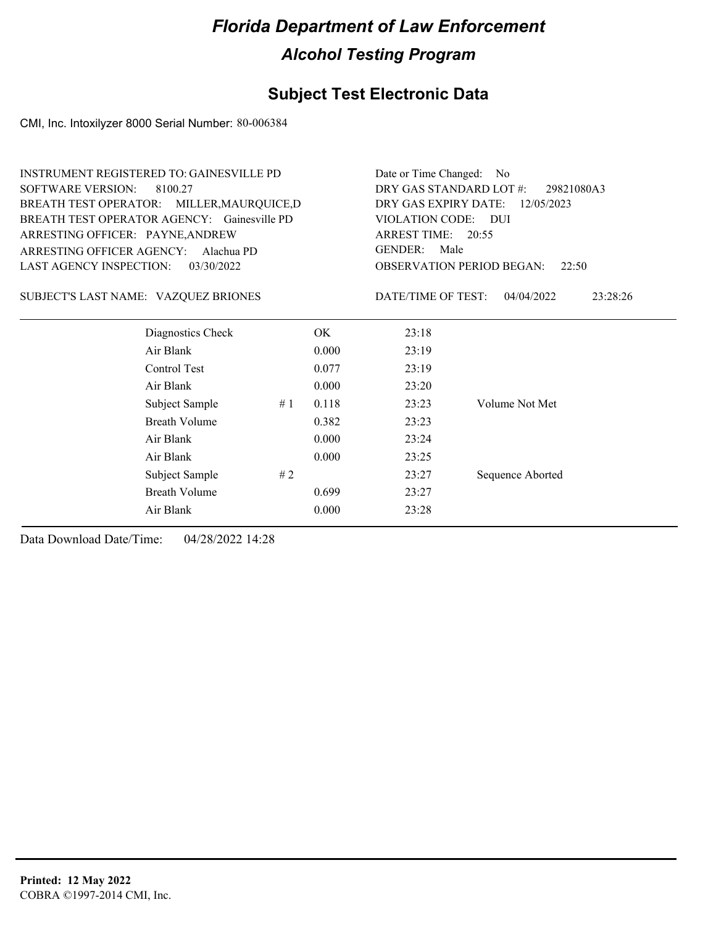### **Subject Test Electronic Data**

CMI, Inc. Intoxilyzer 8000 Serial Number: 80-006384

|                                       | <b>INSTRUMENT REGISTERED TO: GAINESVILLE PD</b> | Date or Time Changed:<br>N <sub>o</sub> |            |                                           |                        |  |
|---------------------------------------|-------------------------------------------------|-----------------------------------------|------------|-------------------------------------------|------------------------|--|
| <b>SOFTWARE VERSION:</b>              | 8100.27                                         | DRY GAS STANDARD LOT #:<br>29821080A3   |            |                                           |                        |  |
|                                       | BREATH TEST OPERATOR: MILLER, MAURQUICE, D      | DRY GAS EXPIRY DATE:<br>12/05/2023      |            |                                           |                        |  |
|                                       | BREATH TEST OPERATOR AGENCY: Gainesville PD     | <b>VIOLATION CODE:</b>                  | <b>DUI</b> |                                           |                        |  |
| ARRESTING OFFICER: PAYNE, ANDREW      |                                                 | ARREST TIME: 20:55                      |            |                                           |                        |  |
| ARRESTING OFFICER AGENCY:             | Alachua PD                                      | <b>GENDER:</b><br>Male                  |            |                                           |                        |  |
| LAST AGENCY INSPECTION:<br>03/30/2022 |                                                 |                                         |            | <b>OBSERVATION PERIOD BEGAN:</b><br>22:50 |                        |  |
| SUBJECT'S LAST NAME: VAZQUEZ BRIONES  |                                                 |                                         |            | DATE/TIME OF TEST:                        | 04/04/2022<br>23:28:26 |  |
|                                       | Diagnostics Check                               |                                         | OK         | 23:18                                     |                        |  |
|                                       | Air Blank                                       |                                         | 0.000      | 23:19                                     |                        |  |
|                                       | Control Test                                    |                                         | 0.077      | 23:19                                     |                        |  |
|                                       | Air Blank                                       |                                         | 0.000      | 23:20                                     |                        |  |
|                                       | Subject Sample                                  | #1                                      | 0.118      | 23:23                                     | Volume Not Met         |  |
|                                       | <b>Breath Volume</b>                            |                                         | 0.382      | 23:23                                     |                        |  |
|                                       | Air Blank                                       |                                         | 0.000      | 23:24                                     |                        |  |
|                                       | Air Blank                                       |                                         | 0.000      | 23:25                                     |                        |  |
|                                       | Subject Sample                                  | #2                                      |            | 23:27                                     | Sequence Aborted       |  |
|                                       | <b>Breath Volume</b>                            |                                         | 0.699      | 23:27                                     |                        |  |
|                                       | Air Blank                                       |                                         | 0.000      | 23:28                                     |                        |  |
|                                       |                                                 |                                         |            |                                           |                        |  |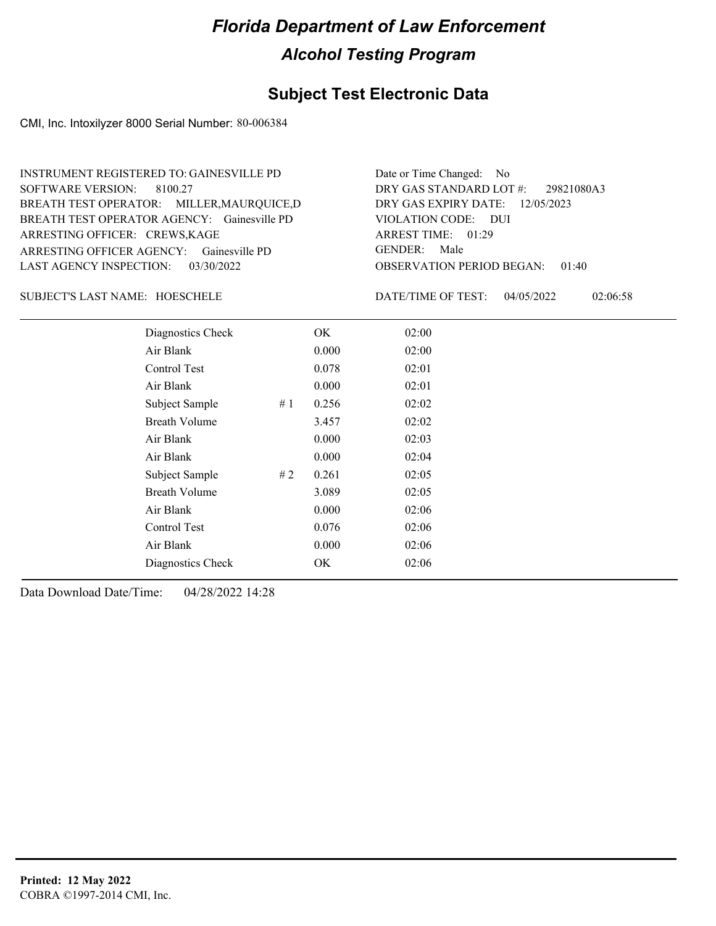#### **Subject Test Electronic Data**

CMI, Inc. Intoxilyzer 8000 Serial Number: 80-006384

ARRESTING OFFICER AGENCY: Gainesville PD GENDER: BREATH TEST OPERATOR AGENCY: Gainesville PD VIOLATION CODE: SOFTWARE VERSION: 8100.27 ARRESTING OFFICER: CREWS, KAGE BREATH TEST OPERATOR: MILLER,MAURQUICE,D LAST AGENCY INSPECTION: 03/30/2022 INSTRUMENT REGISTERED TO: GAINESVILLE PD

OBSERVATION PERIOD BEGAN: 01:40 VIOLATION CODE: DUI ARREST TIME: 01:29 12/05/2023 DRY GAS EXPIRY DATE: 29821080A3 DRY GAS STANDARD LOT #: Date or Time Changed: No GENDER: Male

SUBJECT'S LAST NAME: HOESCHELE DATE/TIME OF TEST:

DATE/TIME OF TEST: 04/05/2022 02:06:58

| Diagnostics Check    |    | OK    | 02:00 |
|----------------------|----|-------|-------|
| Air Blank            |    | 0.000 | 02:00 |
| Control Test         |    | 0.078 | 02:01 |
| Air Blank            |    | 0.000 | 02:01 |
| Subject Sample<br>#1 |    | 0.256 | 02:02 |
| <b>Breath Volume</b> |    | 3.457 | 02:02 |
| Air Blank            |    | 0.000 | 02:03 |
| Air Blank            |    | 0.000 | 02:04 |
| Subject Sample       | #2 | 0.261 | 02:05 |
| <b>Breath Volume</b> |    | 3.089 | 02:05 |
| Air Blank            |    | 0.000 | 02:06 |
| Control Test         |    | 0.076 | 02:06 |
| Air Blank            |    | 0.000 | 02:06 |
| Diagnostics Check    |    | OK    | 02:06 |
|                      |    |       |       |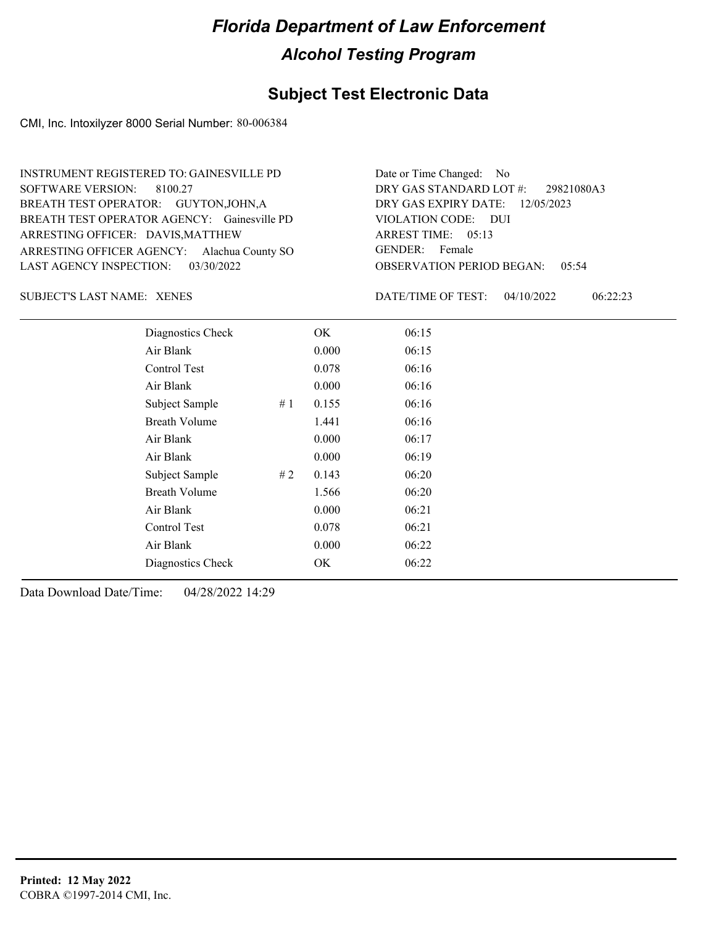#### **Subject Test Electronic Data**

CMI, Inc. Intoxilyzer 8000 Serial Number: 80-006384

ARRESTING OFFICER AGENCY: GENDER: Alachua County SO BREATH TEST OPERATOR AGENCY: Gainesville PD VIOLATION CODE: SOFTWARE VERSION: 8100.27 ARRESTING OFFICER: DAVIS, MATTHEW BREATH TEST OPERATOR: GUYTON,JOHN,A LAST AGENCY INSPECTION: 03/30/2022 INSTRUMENT REGISTERED TO: GAINESVILLE PD

OBSERVATION PERIOD BEGAN: 05:54 VIOLATION CODE: DUI ARREST TIME: 05:13 12/05/2023 DRY GAS EXPIRY DATE: 29821080A3 DRY GAS STANDARD LOT #: Date or Time Changed: No GENDER: Female

XENES SUBJECT'S LAST NAME: DATE/TIME OF TEST:

DATE/TIME OF TEST: 04/10/2022 06:22:23

| Diagnostics Check    |    | OK    | 06:15 |
|----------------------|----|-------|-------|
| Air Blank            |    | 0.000 | 06:15 |
| Control Test         |    | 0.078 | 06:16 |
| Air Blank            |    | 0.000 | 06:16 |
| Subject Sample       | #1 | 0.155 | 06:16 |
| <b>Breath Volume</b> |    | 1.441 | 06:16 |
| Air Blank            |    | 0.000 | 06:17 |
| Air Blank            |    | 0.000 | 06:19 |
| Subject Sample       | #2 | 0.143 | 06:20 |
| <b>Breath Volume</b> |    | 1.566 | 06:20 |
| Air Blank            |    | 0.000 | 06:21 |
| Control Test         |    | 0.078 | 06:21 |
| Air Blank            |    | 0.000 | 06:22 |
| Diagnostics Check    |    | OK    | 06:22 |
|                      |    |       |       |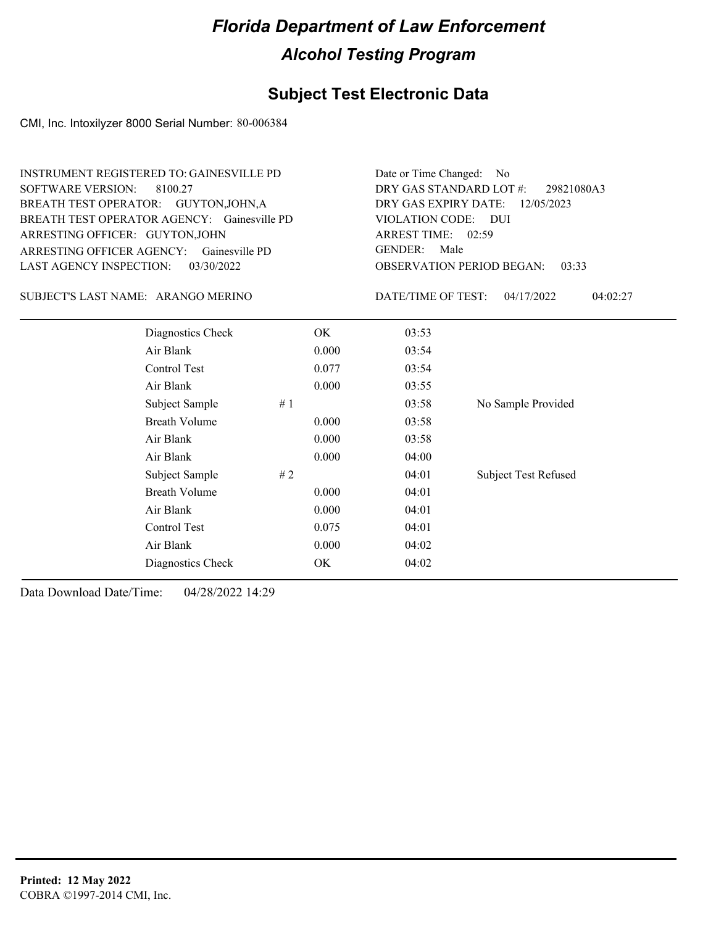### **Subject Test Electronic Data**

CMI, Inc. Intoxilyzer 8000 Serial Number: 80-006384

| <b>SOFTWARE VERSION:</b><br>ARRESTING OFFICER: GUYTON, JOHN<br>LAST AGENCY INSPECTION: | <b>INSTRUMENT REGISTERED TO: GAINESVILLE PD</b><br>8100.27<br>BREATH TEST OPERATOR: GUYTON, JOHN, A<br>BREATH TEST OPERATOR AGENCY: Gainesville PD<br>ARRESTING OFFICER AGENCY: Gainesville PD<br>03/30/2022 | Date or Time Changed:<br>DRY GAS STANDARD LOT #:<br>DRY GAS EXPIRY DATE:<br>VIOLATION CODE: DUI<br>ARREST TIME: 02:59<br><b>GENDER:</b><br>Male<br><b>OBSERVATION PERIOD BEGAN:</b> | - No<br>29821080A3<br>12/05/2023<br>03:33 |                    |                             |
|----------------------------------------------------------------------------------------|--------------------------------------------------------------------------------------------------------------------------------------------------------------------------------------------------------------|-------------------------------------------------------------------------------------------------------------------------------------------------------------------------------------|-------------------------------------------|--------------------|-----------------------------|
| SUBJECT'S LAST NAME: ARANGO MERINO                                                     |                                                                                                                                                                                                              |                                                                                                                                                                                     |                                           | DATE/TIME OF TEST: | 04/17/2022<br>04:02:27      |
|                                                                                        | Diagnostics Check                                                                                                                                                                                            |                                                                                                                                                                                     | OK                                        | 03:53              |                             |
|                                                                                        | Air Blank                                                                                                                                                                                                    |                                                                                                                                                                                     | 0.000                                     | 03:54              |                             |
|                                                                                        | Control Test                                                                                                                                                                                                 |                                                                                                                                                                                     | 0.077                                     | 03:54              |                             |
|                                                                                        | Air Blank                                                                                                                                                                                                    |                                                                                                                                                                                     | 0.000                                     | 03:55              |                             |
|                                                                                        | Subject Sample                                                                                                                                                                                               | #1                                                                                                                                                                                  |                                           | 03:58              | No Sample Provided          |
|                                                                                        | <b>Breath Volume</b>                                                                                                                                                                                         |                                                                                                                                                                                     | 0.000                                     | 03:58              |                             |
|                                                                                        | Air Blank                                                                                                                                                                                                    |                                                                                                                                                                                     | 0.000                                     | 03:58              |                             |
|                                                                                        | Air Blank                                                                                                                                                                                                    |                                                                                                                                                                                     | 0.000                                     | 04:00              |                             |
|                                                                                        | Subject Sample                                                                                                                                                                                               | # $2$                                                                                                                                                                               |                                           | 04:01              | <b>Subject Test Refused</b> |
|                                                                                        | <b>Breath Volume</b>                                                                                                                                                                                         |                                                                                                                                                                                     | 0.000                                     | 04:01              |                             |
|                                                                                        | Air Blank                                                                                                                                                                                                    |                                                                                                                                                                                     | 0.000                                     | 04:01              |                             |
|                                                                                        | Control Test                                                                                                                                                                                                 |                                                                                                                                                                                     | 0.075                                     | 04:01              |                             |
|                                                                                        | Air Blank                                                                                                                                                                                                    |                                                                                                                                                                                     | 0.000                                     | 04:02              |                             |
|                                                                                        | Diagnostics Check                                                                                                                                                                                            |                                                                                                                                                                                     | OK                                        | 04:02              |                             |
|                                                                                        |                                                                                                                                                                                                              |                                                                                                                                                                                     |                                           |                    |                             |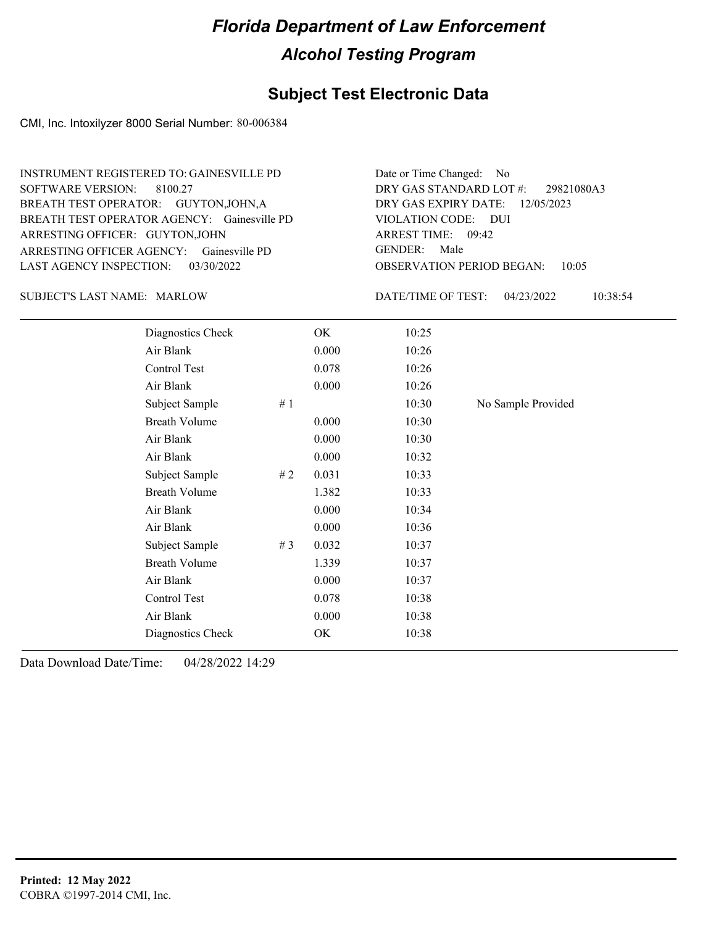#### **Subject Test Electronic Data**

CMI, Inc. Intoxilyzer 8000 Serial Number: 80-006384

ARRESTING OFFICER AGENCY: Gainesville PD GENDER: BREATH TEST OPERATOR AGENCY: Gainesville PD VIOLATION CODE: SOFTWARE VERSION: 8100.27 ARRESTING OFFICER: GUYTON,JOHN BREATH TEST OPERATOR: GUYTON,JOHN,A LAST AGENCY INSPECTION: 03/30/2022 INSTRUMENT REGISTERED TO: GAINESVILLE PD

OBSERVATION PERIOD BEGAN: 10:05 VIOLATION CODE: DUI 09:42 ARREST TIME: 12/05/2023 DRY GAS EXPIRY DATE: 29821080A3 DRY GAS STANDARD LOT #: Date or Time Changed: No GENDER: Male

SUBJECT'S LAST NAME: MARLOW DATE/TIME OF TEST:

DATE/TIME OF TEST: 04/23/2022 10:38:54

| Diagnostics Check    |       | OK    | 10:25 |                    |
|----------------------|-------|-------|-------|--------------------|
| Air Blank            |       | 0.000 | 10:26 |                    |
| Control Test         |       | 0.078 | 10:26 |                    |
| Air Blank            |       | 0.000 | 10:26 |                    |
| Subject Sample       | # $1$ |       | 10:30 | No Sample Provided |
| <b>Breath Volume</b> |       | 0.000 | 10:30 |                    |
| Air Blank            |       | 0.000 | 10:30 |                    |
| Air Blank            |       | 0.000 | 10:32 |                    |
| Subject Sample       | #2    | 0.031 | 10:33 |                    |
| <b>Breath Volume</b> |       | 1.382 | 10:33 |                    |
| Air Blank            |       | 0.000 | 10:34 |                    |
| Air Blank            |       | 0.000 | 10:36 |                    |
| Subject Sample       | # $3$ | 0.032 | 10:37 |                    |
| <b>Breath Volume</b> |       | 1.339 | 10:37 |                    |
| Air Blank            |       | 0.000 | 10:37 |                    |
| Control Test         |       | 0.078 | 10:38 |                    |
| Air Blank            |       | 0.000 | 10:38 |                    |
| Diagnostics Check    |       | OK    | 10:38 |                    |
|                      |       |       |       |                    |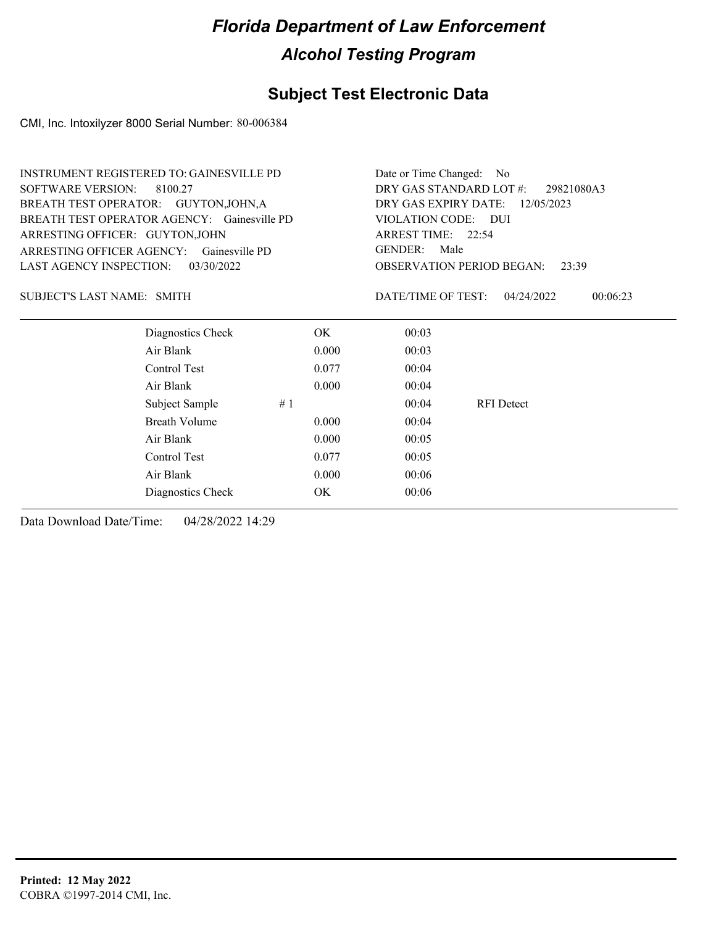### **Subject Test Electronic Data**

CMI, Inc. Intoxilyzer 8000 Serial Number: 80-006384

|                                    | INSTRUMENT REGISTERED TO: GAINESVILLE PD    |                                       |       | Date or Time Changed: No           |                                           |  |
|------------------------------------|---------------------------------------------|---------------------------------------|-------|------------------------------------|-------------------------------------------|--|
| <b>SOFTWARE VERSION:</b>           | 8100.27                                     | DRY GAS STANDARD LOT #:<br>29821080A3 |       |                                    |                                           |  |
|                                    | BREATH TEST OPERATOR: GUYTON, JOHN, A       |                                       |       | DRY GAS EXPIRY DATE:<br>12/05/2023 |                                           |  |
|                                    | BREATH TEST OPERATOR AGENCY: Gainesville PD |                                       |       | VIOLATION CODE: DUI                |                                           |  |
| ARRESTING OFFICER: GUYTON, JOHN    |                                             |                                       |       | ARREST TIME: 22:54                 |                                           |  |
|                                    | ARRESTING OFFICER AGENCY: Gainesville PD    |                                       |       | <b>GENDER:</b><br>Male             |                                           |  |
| LAST AGENCY INSPECTION: 03/30/2022 |                                             |                                       |       |                                    | <b>OBSERVATION PERIOD BEGAN:</b><br>23:39 |  |
| SUBJECT'S LAST NAME: SMITH         |                                             |                                       |       | DATE/TIME OF TEST:                 | 04/24/2022<br>00:06:23                    |  |
|                                    | Diagnostics Check                           |                                       | OK.   | 00:03                              |                                           |  |
|                                    | Air Blank                                   |                                       | 0.000 | 00:03                              |                                           |  |
|                                    | Control Test                                |                                       | 0.077 | 00:04                              |                                           |  |
|                                    | Air Blank                                   |                                       | 0.000 | 00:04                              |                                           |  |
|                                    | Subject Sample                              | #1                                    |       | 00:04                              | <b>RFI</b> Detect                         |  |
|                                    | <b>Breath Volume</b>                        |                                       | 0.000 | 00:04                              |                                           |  |
|                                    | Air Blank                                   |                                       | 0.000 | 00:05                              |                                           |  |
|                                    | Control Test                                |                                       | 0.077 | 00:05                              |                                           |  |
|                                    | Air Blank                                   |                                       | 0.000 | 00:06                              |                                           |  |
|                                    |                                             |                                       |       |                                    |                                           |  |

Diagnostics Check OK 00:06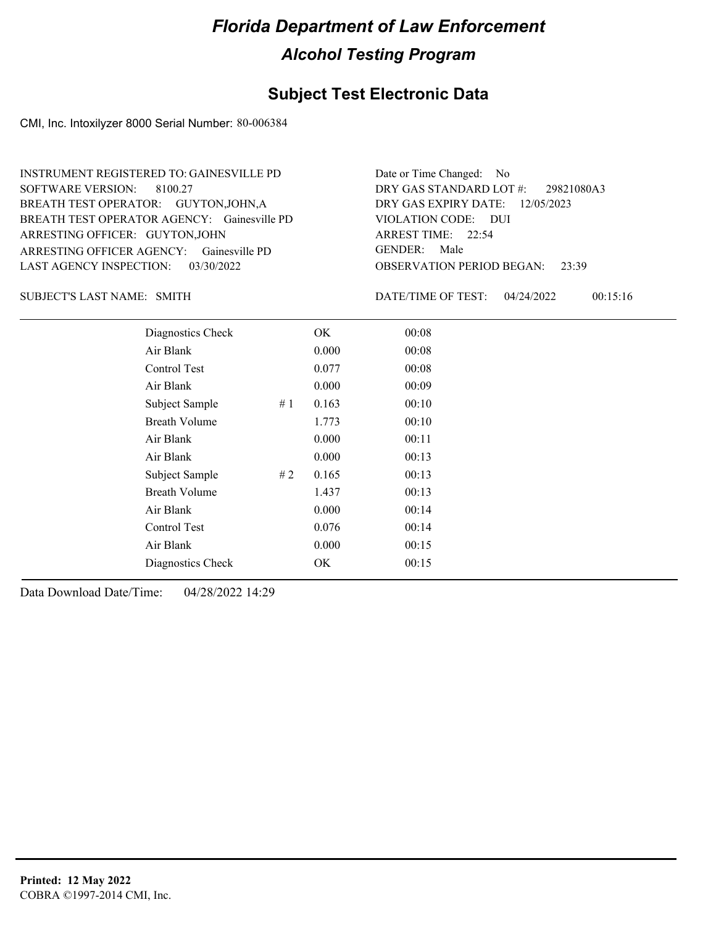#### **Subject Test Electronic Data**

CMI, Inc. Intoxilyzer 8000 Serial Number: 80-006384

ARRESTING OFFICER AGENCY: Gainesville PD GENDER: BREATH TEST OPERATOR AGENCY: Gainesville PD VIOLATION CODE: SOFTWARE VERSION: 8100.27 ARRESTING OFFICER: GUYTON,JOHN BREATH TEST OPERATOR: GUYTON,JOHN,A LAST AGENCY INSPECTION: 03/30/2022 INSTRUMENT REGISTERED TO: GAINESVILLE PD

OBSERVATION PERIOD BEGAN: 23:39 VIOLATION CODE: DUI ARREST TIME: 22:54 12/05/2023 DRY GAS EXPIRY DATE: 29821080A3 DRY GAS STANDARD LOT #: Date or Time Changed: No GENDER: Male

SUBJECT'S LAST NAME: SMITH **Example 2018** DATE/TIME OF TEST:

DATE/TIME OF TEST: 04/24/2022 00:15:16

| Diagnostics Check    |    | OK    | 00:08 |
|----------------------|----|-------|-------|
| Air Blank            |    | 0.000 | 00:08 |
| Control Test         |    | 0.077 | 00:08 |
| Air Blank            |    | 0.000 | 00:09 |
| Subject Sample       | #1 | 0.163 | 00:10 |
| Breath Volume        |    | 1.773 | 00:10 |
| Air Blank            |    | 0.000 | 00:11 |
| Air Blank            |    | 0.000 | 00:13 |
| Subject Sample       | #2 | 0.165 | 00:13 |
| <b>Breath Volume</b> |    | 1.437 | 00:13 |
| Air Blank            |    | 0.000 | 00:14 |
| Control Test         |    | 0.076 | 00:14 |
| Air Blank            |    | 0.000 | 00:15 |
| Diagnostics Check    |    | OK    | 00:15 |
|                      |    |       |       |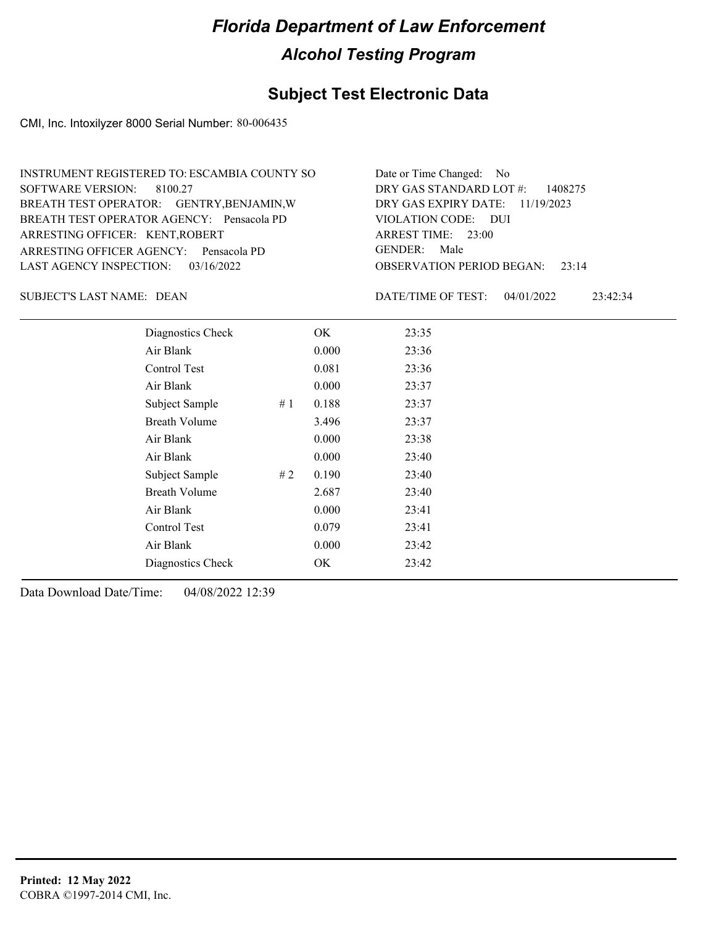### **Subject Test Electronic Data**

CMI, Inc. Intoxilyzer 8000 Serial Number: 80-006435

| INSTRUMENT REGISTERED TO: ESCAMBIA COUNTY SO | Date or Time Changed: No               |
|----------------------------------------------|----------------------------------------|
| SOFTWARE VERSION: 8100.27                    | DRY GAS STANDARD LOT $\#$ : 1408275    |
| BREATH TEST OPERATOR: GENTRY, BENJAMIN, W    | DRY GAS EXPIRY DATE: $11/19/2023$      |
| BREATH TEST OPERATOR AGENCY: Pensacola PD    | VIOLATION CODE: DUI                    |
| ARRESTING OFFICER: KENT, ROBERT              | ARREST TIME: 23:00                     |
| ARRESTING OFFICER AGENCY: Pensacola PD       | GENDER: Male                           |
| LAST AGENCY INSPECTION: $03/16/2022$         | <b>OBSERVATION PERIOD BEGAN:</b> 23:14 |

SUBJECT'S LAST NAME: DEAN DATE/TIME OF TEST:

DATE/TIME OF TEST: 04/01/2022 23:42:34

| Diagnostics Check    |    | OK    | 23:35 |
|----------------------|----|-------|-------|
| Air Blank            |    | 0.000 | 23:36 |
| Control Test         |    | 0.081 | 23:36 |
| Air Blank            |    | 0.000 | 23:37 |
| Subject Sample       | #1 | 0.188 | 23:37 |
| <b>Breath Volume</b> |    | 3.496 | 23:37 |
| Air Blank            |    | 0.000 | 23:38 |
| Air Blank            |    | 0.000 | 23:40 |
| Subject Sample       | #2 | 0.190 | 23:40 |
| <b>Breath Volume</b> |    | 2.687 | 23:40 |
| Air Blank            |    | 0.000 | 23:41 |
| <b>Control Test</b>  |    | 0.079 | 23:41 |
| Air Blank            |    | 0.000 | 23:42 |
| Diagnostics Check    |    | OK    | 23:42 |
|                      |    |       |       |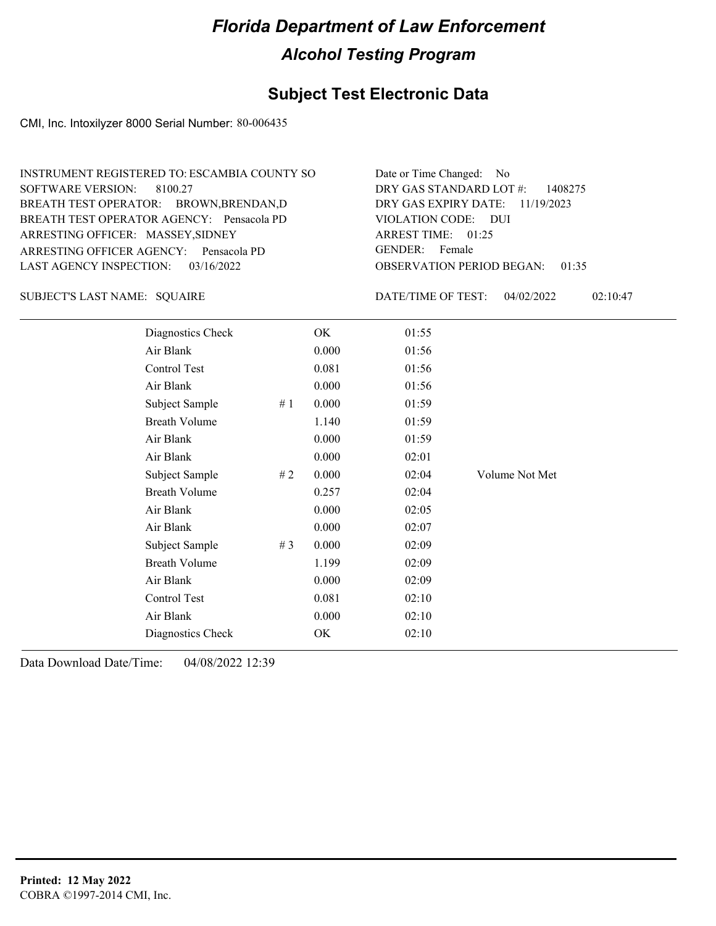### **Subject Test Electronic Data**

CMI, Inc. Intoxilyzer 8000 Serial Number: 80-006435

| INSTRUMENT REGISTERED TO: ESCAMBIA COUNTY SO | Date or Time Changed: No               |
|----------------------------------------------|----------------------------------------|
| SOFTWARE VERSION: 8100.27                    | DRY GAS STANDARD LOT $\#$ : 1408275    |
| BREATH TEST OPERATOR: BROWN, BRENDAN, D      | DRY GAS EXPIRY DATE: $11/19/2023$      |
| BREATH TEST OPERATOR AGENCY: Pensacola PD    | VIOLATION CODE: DUI                    |
| ARRESTING OFFICER: MASSEY, SIDNEY            | ARREST TIME: 01:25                     |
| ARRESTING OFFICER AGENCY: Pensacola PD       | GENDER: Female                         |
| LAST AGENCY INSPECTION: 03/16/2022           | <b>OBSERVATION PERIOD BEGAN: 01:35</b> |

SQUAIRE SUBJECT'S LAST NAME: DATE/TIME OF TEST:

DATE/TIME OF TEST: 04/02/2022 02:10:47

| Diagnostics Check    |       | OK    | 01:55 |                |
|----------------------|-------|-------|-------|----------------|
| Air Blank            |       | 0.000 | 01:56 |                |
| Control Test         |       | 0.081 | 01:56 |                |
| Air Blank            |       | 0.000 | 01:56 |                |
| Subject Sample       | #1    | 0.000 | 01:59 |                |
| <b>Breath Volume</b> |       | 1.140 | 01:59 |                |
| Air Blank            |       | 0.000 | 01:59 |                |
| Air Blank            |       | 0.000 | 02:01 |                |
| Subject Sample       | #2    | 0.000 | 02:04 | Volume Not Met |
| <b>Breath Volume</b> |       | 0.257 | 02:04 |                |
| Air Blank            |       | 0.000 | 02:05 |                |
| Air Blank            |       | 0.000 | 02:07 |                |
| Subject Sample       | # $3$ | 0.000 | 02:09 |                |
| <b>Breath Volume</b> |       | 1.199 | 02:09 |                |
| Air Blank            |       | 0.000 | 02:09 |                |
| <b>Control Test</b>  |       | 0.081 | 02:10 |                |
| Air Blank            |       | 0.000 | 02:10 |                |
| Diagnostics Check    |       | OK    | 02:10 |                |
|                      |       |       |       |                |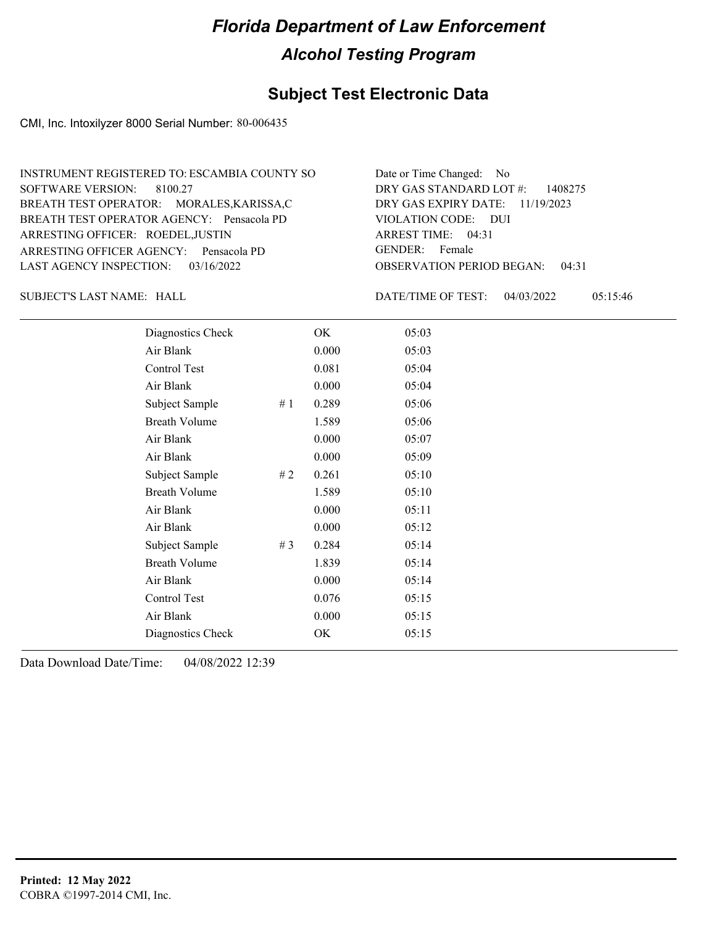#### **Subject Test Electronic Data**

CMI, Inc. Intoxilyzer 8000 Serial Number: 80-006435

| INSTRUMENT REGISTERED TO: ESCAMBIA COUNTY SO | Date or Time Changed: No               |
|----------------------------------------------|----------------------------------------|
| SOFTWARE VERSION: 8100.27                    | DRY GAS STANDARD LOT $\#$ : 1408275    |
| BREATH TEST OPERATOR: MORALES, KARISSA, C    | DRY GAS EXPIRY DATE: $11/19/2023$      |
| BREATH TEST OPERATOR AGENCY: Pensacola PD    | VIOLATION CODE: DUI                    |
| ARRESTING OFFICER: ROEDEL, JUSTIN            | ARREST TIME: 04:31                     |
| ARRESTING OFFICER AGENCY: Pensacola PD       | GENDER: Female                         |
| LAST AGENCY INSPECTION: $03/16/2022$         | <b>OBSERVATION PERIOD BEGAN: 04:31</b> |

SUBJECT'S LAST NAME: HALL DATE/TIME OF TEST:

DATE/TIME OF TEST: 04/03/2022 05:15:46

| Diagnostics Check    |       | OK    | 05:03 |
|----------------------|-------|-------|-------|
| Air Blank            |       | 0.000 | 05:03 |
| Control Test         |       | 0.081 | 05:04 |
| Air Blank            |       | 0.000 | 05:04 |
| Subject Sample       | #1    | 0.289 | 05:06 |
| <b>Breath Volume</b> |       | 1.589 | 05:06 |
| Air Blank            |       | 0.000 | 05:07 |
| Air Blank            |       | 0.000 | 05:09 |
| Subject Sample       | #2    | 0.261 | 05:10 |
| <b>Breath Volume</b> |       | 1.589 | 05:10 |
| Air Blank            |       | 0.000 | 05:11 |
| Air Blank            |       | 0.000 | 05:12 |
| Subject Sample       | # $3$ | 0.284 | 05:14 |
| <b>Breath Volume</b> |       | 1.839 | 05:14 |
| Air Blank            |       | 0.000 | 05:14 |
| Control Test         |       | 0.076 | 05:15 |
| Air Blank            |       | 0.000 | 05:15 |
| Diagnostics Check    |       | OK    | 05:15 |
|                      |       |       |       |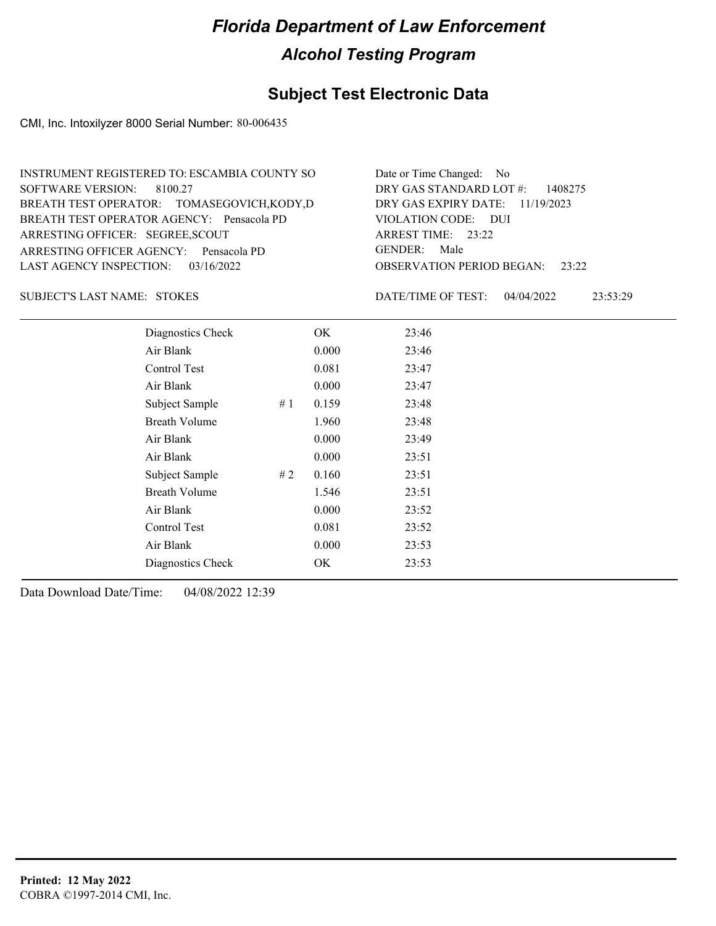### **Subject Test Electronic Data**

CMI, Inc. Intoxilyzer 8000 Serial Number: 80-006435

| INSTRUMENT REGISTERED TO: ESCAMBIA COUNTY SO | Date or Time Changed: No               |
|----------------------------------------------|----------------------------------------|
| SOFTWARE VERSION: 8100.27                    | DRY GAS STANDARD LOT $\#$ : 1408275    |
| BREATH TEST OPERATOR: TOMASEGOVICH, KODY, D  | DRY GAS EXPIRY DATE: $11/19/2023$      |
| BREATH TEST OPERATOR AGENCY: Pensacola PD    | VIOLATION CODE: DUI                    |
| ARRESTING OFFICER: SEGREE, SCOUT             | ARREST TIME: 23:22                     |
| ARRESTING OFFICER AGENCY: Pensacola PD       | GENDER: Male                           |
| LAST AGENCY INSPECTION: $03/16/2022$         | <b>OBSERVATION PERIOD BEGAN: 23:22</b> |

#### STOKES SUBJECT'S LAST NAME: DATE/TIME OF TEST:

DATE/TIME OF TEST: 04/04/2022 23:53:29

| Diagnostics Check    | OK    | 23:46 |
|----------------------|-------|-------|
| Air Blank            | 0.000 | 23:46 |
| Control Test         | 0.081 | 23:47 |
| Air Blank            | 0.000 | 23:47 |
| Subject Sample<br>#1 | 0.159 | 23:48 |
| <b>Breath Volume</b> | 1.960 | 23:48 |
| Air Blank            | 0.000 | 23:49 |
| Air Blank            | 0.000 | 23:51 |
| Subject Sample<br>#2 | 0.160 | 23:51 |
| <b>Breath Volume</b> | 1.546 | 23:51 |
| Air Blank            | 0.000 | 23:52 |
| Control Test         | 0.081 | 23:52 |
| Air Blank            | 0.000 | 23:53 |
| Diagnostics Check    | OK    | 23:53 |
|                      |       |       |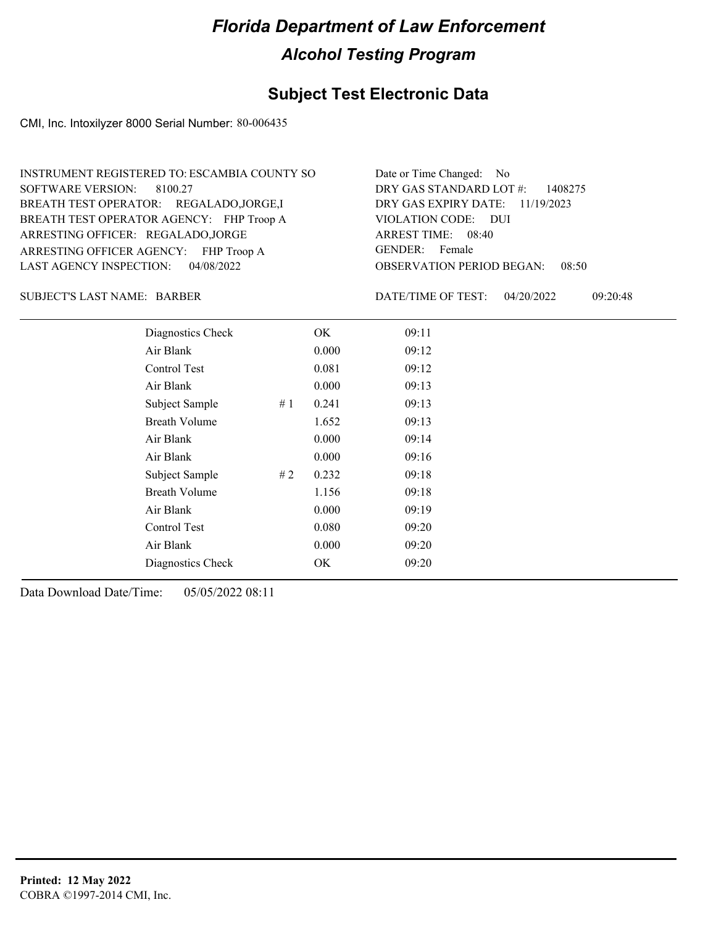#### **Subject Test Electronic Data**

CMI, Inc. Intoxilyzer 8000 Serial Number: 80-006435

| INSTRUMENT REGISTERED TO: ESCAMBIA COUNTY SO | Date or Time Changed: No               |
|----------------------------------------------|----------------------------------------|
| SOFTWARE VERSION: 8100.27                    | DRY GAS STANDARD LOT $\#$ : 1408275    |
| BREATH TEST OPERATOR: REGALADO, JORGE, I     | DRY GAS EXPIRY DATE: 11/19/2023        |
| BREATH TEST OPERATOR AGENCY: FHP Troop A     | VIOLATION CODE: DUI                    |
| ARRESTING OFFICER: REGALADO, JORGE           | ARREST TIME: 08:40                     |
| ARRESTING OFFICER AGENCY: FHP Troop A        | GENDER: Female                         |
| LAST AGENCY INSPECTION: 04/08/2022           | <b>OBSERVATION PERIOD BEGAN: 08:50</b> |

SUBJECT'S LAST NAME: BARBER DATE/TIME OF TEST:

DATE/TIME OF TEST: 04/20/2022 09:20:48

| Diagnostics Check    |    | OK    | 09:11 |
|----------------------|----|-------|-------|
| Air Blank            |    | 0.000 | 09:12 |
| Control Test         |    | 0.081 | 09:12 |
| Air Blank            |    | 0.000 | 09:13 |
| Subject Sample       | #1 | 0.241 | 09:13 |
| <b>Breath Volume</b> |    | 1.652 | 09:13 |
| Air Blank            |    | 0.000 | 09:14 |
| Air Blank            |    | 0.000 | 09:16 |
| Subject Sample       | #2 | 0.232 | 09:18 |
| <b>Breath Volume</b> |    | 1.156 | 09:18 |
| Air Blank            |    | 0.000 | 09:19 |
| Control Test         |    | 0.080 | 09:20 |
| Air Blank            |    | 0.000 | 09:20 |
| Diagnostics Check    |    | OK    | 09:20 |
|                      |    |       |       |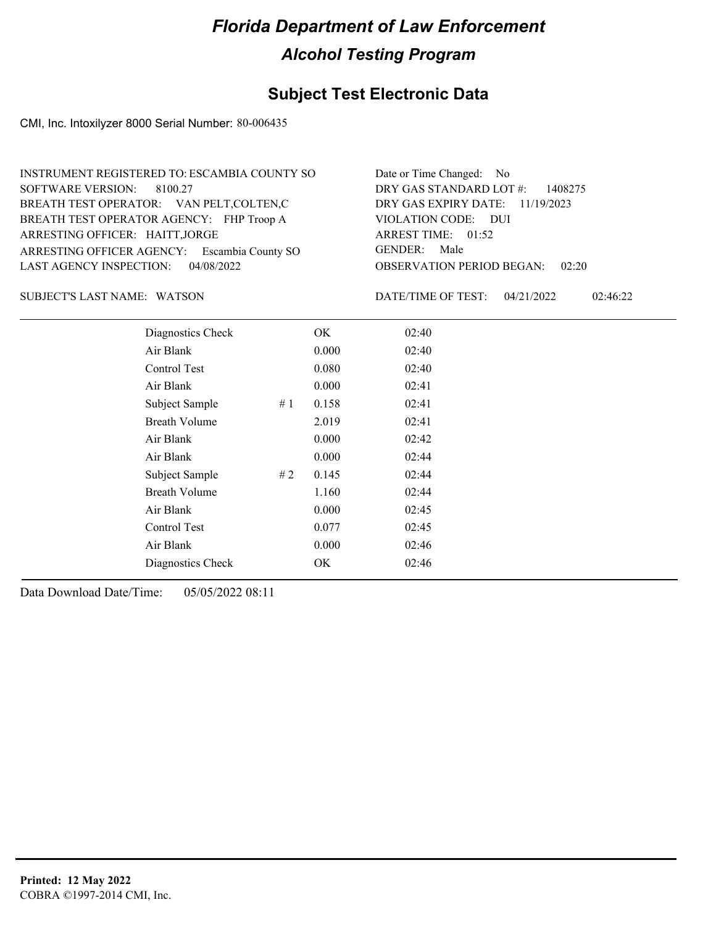#### **Subject Test Electronic Data**

CMI, Inc. Intoxilyzer 8000 Serial Number: 80-006435

| INSTRUMENT REGISTERED TO: ESCAMBIA COUNTY SO | Date or Time Changed: No               |
|----------------------------------------------|----------------------------------------|
| SOFTWARE VERSION: 8100.27                    | DRY GAS STANDARD LOT $\#$ : 1408275    |
| BREATH TEST OPERATOR: VAN PELT, COLTEN, C    | DRY GAS EXPIRY DATE: 11/19/2023        |
| BREATH TEST OPERATOR AGENCY: FHP Troop A     | VIOLATION CODE: DUI                    |
| ARRESTING OFFICER: HAITT, JORGE              | ARREST TIME: 01:52                     |
| ARRESTING OFFICER AGENCY: Escambia County SO | GENDER: Male                           |
| LAST AGENCY INSPECTION: 04/08/2022           | <b>OBSERVATION PERIOD BEGAN: 02:20</b> |

SUBJECT'S LAST NAME: WATSON DATE/TIME OF TEST:

DATE/TIME OF TEST: 04/21/2022 02:46:22

| Diagnostics Check    |    | OK    | 02:40 |
|----------------------|----|-------|-------|
| Air Blank            |    | 0.000 | 02:40 |
| Control Test         |    | 0.080 | 02:40 |
| Air Blank            |    | 0.000 | 02:41 |
| Subject Sample       | #1 | 0.158 | 02:41 |
| <b>Breath Volume</b> |    | 2.019 | 02:41 |
| Air Blank            |    | 0.000 | 02:42 |
| Air Blank            |    | 0.000 | 02:44 |
| Subject Sample       | #2 | 0.145 | 02:44 |
| <b>Breath Volume</b> |    | 1.160 | 02:44 |
| Air Blank            |    | 0.000 | 02:45 |
| Control Test         |    | 0.077 | 02:45 |
| Air Blank            |    | 0.000 | 02:46 |
| Diagnostics Check    |    | OK    | 02:46 |
|                      |    |       |       |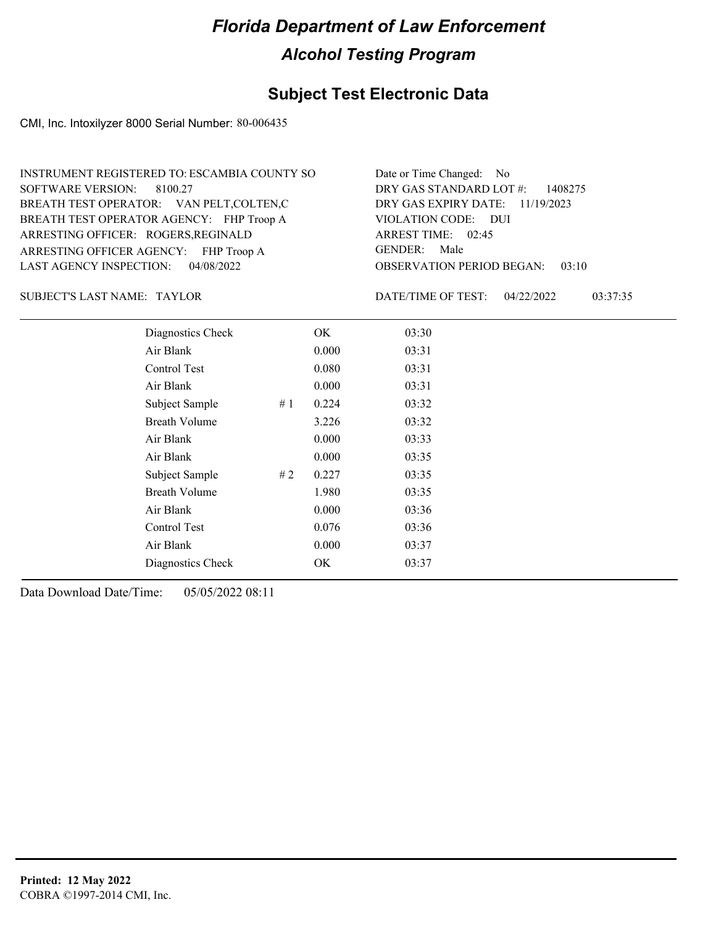#### **Subject Test Electronic Data**

CMI, Inc. Intoxilyzer 8000 Serial Number: 80-006435

OBSERVATION PERIOD BEGAN: 03:10 ARRESTING OFFICER AGENCY: FHP Troop A GENDER: BREATH TEST OPERATOR AGENCY: FHP Troop A VIOLATION CODE: SOFTWARE VERSION: 8100.27 VIOLATION CODE: DUI ARREST TIME: 02:45 ARRESTING OFFICER: ROGERS, REGINALD 11/19/2023 DRY GAS EXPIRY DATE: DRY GAS STANDARD LOT #: 1408275 BREATH TEST OPERATOR: VAN PELT,COLTEN,C LAST AGENCY INSPECTION: 04/08/2022 INSTRUMENT REGISTERED TO: ESCAMBIA COUNTY SO Date or Time Changed: No GENDER: Male

SUBJECT'S LAST NAME: TAYLOR DATE/TIME OF TEST:

DATE/TIME OF TEST: 04/22/2022 03:37:35

| Diagnostics Check    |    | OK    | 03:30 |
|----------------------|----|-------|-------|
| Air Blank            |    | 0.000 | 03:31 |
| Control Test         |    | 0.080 | 03:31 |
| Air Blank            |    | 0.000 | 03:31 |
| Subject Sample       | #1 | 0.224 | 03:32 |
| <b>Breath Volume</b> |    | 3.226 | 03:32 |
| Air Blank            |    | 0.000 | 03:33 |
| Air Blank            |    | 0.000 | 03:35 |
| Subject Sample       | #2 | 0.227 | 03:35 |
| <b>Breath Volume</b> |    | 1.980 | 03:35 |
| Air Blank            |    | 0.000 | 03:36 |
| Control Test         |    | 0.076 | 03:36 |
| Air Blank            |    | 0.000 | 03:37 |
| Diagnostics Check    |    | OK    | 03:37 |
|                      |    |       |       |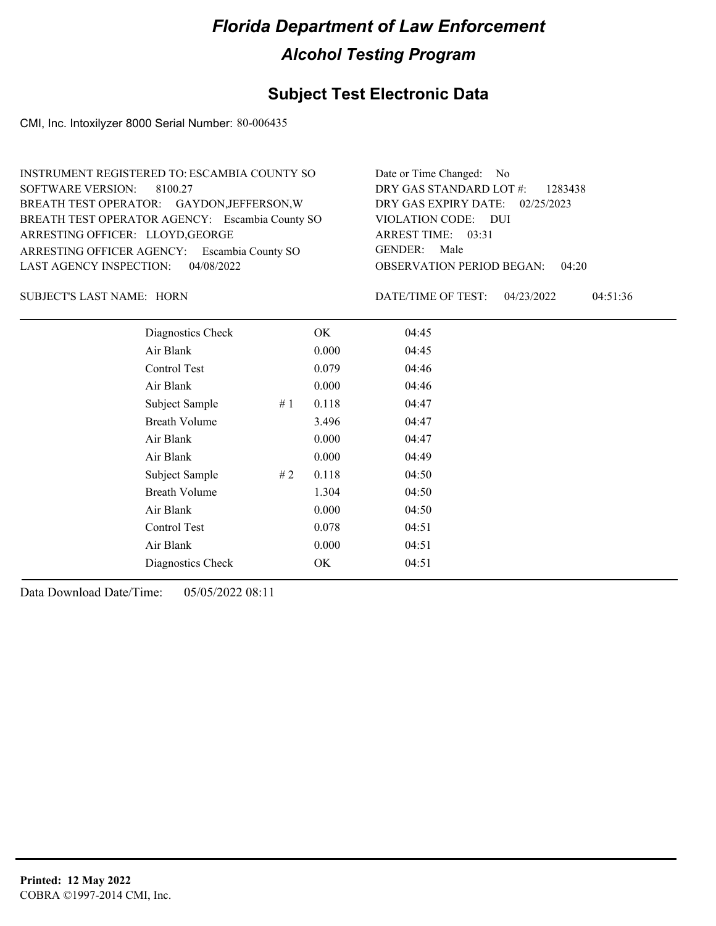### **Subject Test Electronic Data**

CMI, Inc. Intoxilyzer 8000 Serial Number: 80-006435

| INSTRUMENT REGISTERED TO: ESCAMBIA COUNTY SO    | Date or Time Changed: No               |
|-------------------------------------------------|----------------------------------------|
| SOFTWARE VERSION: 8100.27                       | DRY GAS STANDARD LOT $\#$ : 1283438    |
| BREATH TEST OPERATOR: GAYDON, JEFFERSON, W      | DRY GAS EXPIRY DATE: 02/25/2023        |
| BREATH TEST OPERATOR AGENCY: Escambia County SO | VIOLATION CODE: DUI                    |
| ARRESTING OFFICER: LLOYD, GEORGE                | ARREST TIME: 03:31                     |
| ARRESTING OFFICER AGENCY: Escambia County SO    | GENDER: Male                           |
| LAST AGENCY INSPECTION: $04/08/2022$            | <b>OBSERVATION PERIOD BEGAN: 04:20</b> |

SUBJECT'S LAST NAME: HORN DATE/TIME OF TEST:

DATE/TIME OF TEST: 04/23/2022 04:51:36

| Diagnostics Check    |    | OK    | 04:45 |  |  |
|----------------------|----|-------|-------|--|--|
| Air Blank            |    | 0.000 | 04:45 |  |  |
| Control Test         |    | 0.079 | 04:46 |  |  |
| Air Blank            |    | 0.000 | 04:46 |  |  |
| Subject Sample       | #1 | 0.118 | 04:47 |  |  |
| <b>Breath Volume</b> |    | 3.496 | 04:47 |  |  |
| Air Blank            |    | 0.000 | 04:47 |  |  |
| Air Blank            |    | 0.000 | 04:49 |  |  |
| Subject Sample       | #2 | 0.118 | 04:50 |  |  |
| <b>Breath Volume</b> |    | 1.304 | 04:50 |  |  |
| Air Blank            |    | 0.000 | 04:50 |  |  |
| Control Test         |    | 0.078 | 04:51 |  |  |
| Air Blank            |    | 0.000 | 04:51 |  |  |
| Diagnostics Check    |    | OK    | 04:51 |  |  |
|                      |    |       |       |  |  |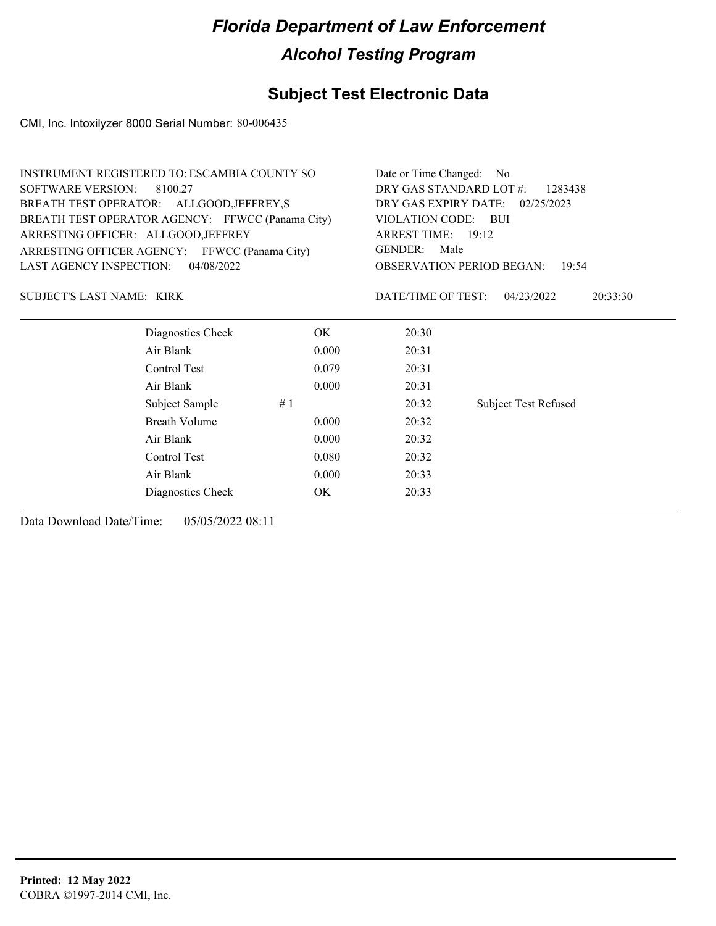### **Subject Test Electronic Data**

CMI, Inc. Intoxilyzer 8000 Serial Number: 80-006435

|                                     | INSTRUMENT REGISTERED TO: ESCAMBIA COUNTY SO     |                                    | Date or Time Changed: No           |                                           |  |
|-------------------------------------|--------------------------------------------------|------------------------------------|------------------------------------|-------------------------------------------|--|
| <b>SOFTWARE VERSION:</b><br>8100.27 |                                                  | DRY GAS STANDARD LOT #:<br>1283438 |                                    |                                           |  |
|                                     | BREATH TEST OPERATOR: ALLGOOD, JEFFREY, S        |                                    | DRY GAS EXPIRY DATE:<br>02/25/2023 |                                           |  |
|                                     | BREATH TEST OPERATOR AGENCY: FFWCC (Panama City) |                                    | <b>VIOLATION CODE:</b>             | – BUI                                     |  |
| ARRESTING OFFICER: ALLGOOD, JEFFREY |                                                  |                                    | ARREST TIME: 19:12                 |                                           |  |
|                                     | ARRESTING OFFICER AGENCY: FFWCC (Panama City)    |                                    | <b>GENDER:</b><br>Male             |                                           |  |
| <b>LAST AGENCY INSPECTION:</b>      | 04/08/2022                                       |                                    |                                    | <b>OBSERVATION PERIOD BEGAN:</b><br>19:54 |  |
| SUBJECT'S LAST NAME: KIRK           |                                                  |                                    | DATE/TIME OF TEST:                 | 04/23/2022<br>20:33:30                    |  |
|                                     | Diagnostics Check                                | OK.                                | 20:30                              |                                           |  |
|                                     | Air Blank                                        | 0.000                              | 20:31                              |                                           |  |
|                                     | Control Test                                     | 0.079                              | 20:31                              |                                           |  |
|                                     | Air Blank                                        | 0.000                              | 20:31                              |                                           |  |
|                                     | Subject Sample                                   | #1                                 | 20:32                              | <b>Subject Test Refused</b>               |  |
|                                     | <b>Breath Volume</b>                             | 0.000                              | 20:32                              |                                           |  |
|                                     | Air Blank                                        | 0.000                              | 20:32                              |                                           |  |
|                                     | Control Test                                     | 0.080                              | 20:32                              |                                           |  |
|                                     | Air Blank                                        | 0.000                              | 20:33                              |                                           |  |
|                                     | Diagnostics Check                                | <b>OK</b>                          | 20:33                              |                                           |  |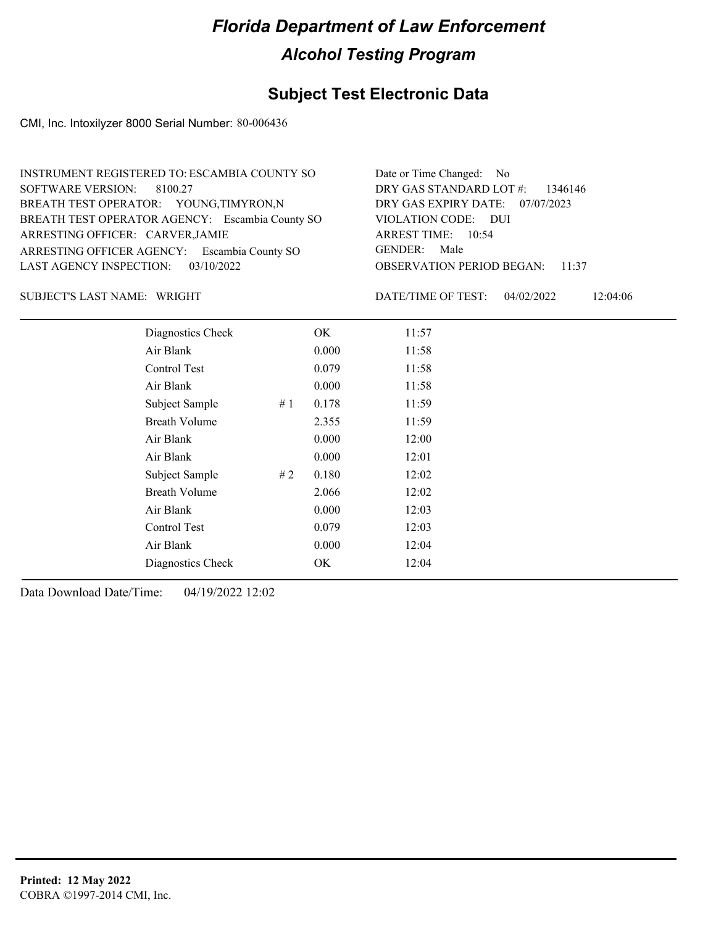### **Subject Test Electronic Data**

CMI, Inc. Intoxilyzer 8000 Serial Number: 80-006436

| INSTRUMENT REGISTERED TO: ESCAMBIA COUNTY SO    | Date or Time Changed: No               |
|-------------------------------------------------|----------------------------------------|
| SOFTWARE VERSION: 8100.27                       | DRY GAS STANDARD LOT $\#$ : 1346146    |
| BREATH TEST OPERATOR: YOUNG, TIMYRON, N         | DRY GAS EXPIRY DATE: 07/07/2023        |
| BREATH TEST OPERATOR AGENCY: Escambia County SO | VIOLATION CODE: DUI                    |
| ARRESTING OFFICER: CARVER, JAMIE                | ARREST TIME: 10:54                     |
| ARRESTING OFFICER AGENCY: Escambia County SO    | GENDER: Male                           |
| LAST AGENCY INSPECTION: $03/10/2022$            | <b>OBSERVATION PERIOD BEGAN: 11:37</b> |

SUBJECT'S LAST NAME: WRIGHT **Example 2018** DATE/TIME OF TEST:

DATE/TIME OF TEST: 04/02/2022 12:04:06

| Diagnostics Check    | OK    | 11:57 |
|----------------------|-------|-------|
| Air Blank            | 0.000 | 11:58 |
| Control Test         | 0.079 | 11:58 |
| Air Blank            | 0.000 | 11:58 |
| Subject Sample<br>#1 | 0.178 | 11:59 |
| <b>Breath Volume</b> | 2.355 | 11:59 |
| Air Blank            | 0.000 | 12:00 |
| Air Blank            | 0.000 | 12:01 |
| Subject Sample<br>#2 | 0.180 | 12:02 |
| <b>Breath Volume</b> | 2.066 | 12:02 |
| Air Blank            | 0.000 | 12:03 |
| Control Test         | 0.079 | 12:03 |
| Air Blank            | 0.000 | 12:04 |
| Diagnostics Check    | OK.   | 12:04 |
|                      |       |       |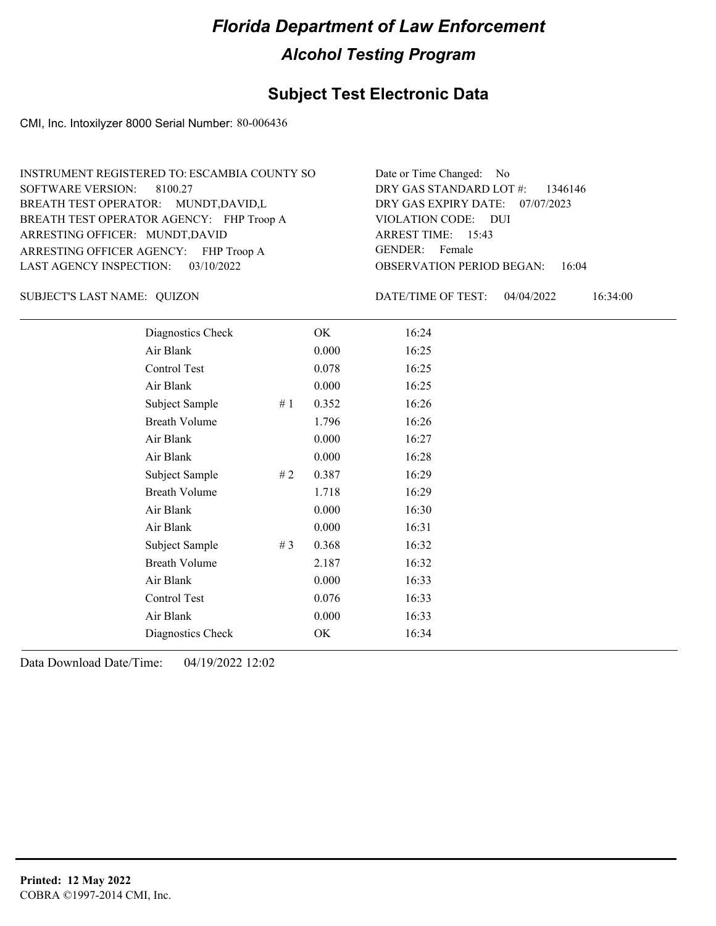#### **Subject Test Electronic Data**

CMI, Inc. Intoxilyzer 8000 Serial Number: 80-006436

| INSTRUMENT REGISTERED TO: ESCAMBIA COUNTY SO | Date or Time Changed: No               |
|----------------------------------------------|----------------------------------------|
| SOFTWARE VERSION: 8100.27                    | DRY GAS STANDARD LOT #: 1346146        |
| BREATH TEST OPERATOR: MUNDT, DAVID, L        | DRY GAS EXPIRY DATE: 07/07/2023        |
| BREATH TEST OPERATOR AGENCY: FHP Troop A     | VIOLATION CODE: DUI                    |
| ARRESTING OFFICER: MUNDT, DAVID              | ARREST TIME: 15:43                     |
| ARRESTING OFFICER AGENCY: FHP Troop A        | GENDER: Female                         |
| LAST AGENCY INSPECTION: 03/10/2022           | <b>OBSERVATION PERIOD BEGAN: 16:04</b> |

SUBJECT'S LAST NAME: QUIZON DATE/TIME OF TEST:

DATE/TIME OF TEST: 04/04/2022 16:34:00

| Diagnostics Check    |     | OK    | 16:24 |  |
|----------------------|-----|-------|-------|--|
| Air Blank            |     | 0.000 | 16:25 |  |
| Control Test         |     | 0.078 | 16:25 |  |
| Air Blank            |     | 0.000 | 16:25 |  |
| Subject Sample       | #1  | 0.352 | 16:26 |  |
| <b>Breath Volume</b> |     | 1.796 | 16:26 |  |
| Air Blank            |     | 0.000 | 16:27 |  |
| Air Blank            |     | 0.000 | 16:28 |  |
| Subject Sample       | # 2 | 0.387 | 16:29 |  |
| <b>Breath Volume</b> |     | 1.718 | 16:29 |  |
| Air Blank            |     | 0.000 | 16:30 |  |
| Air Blank            |     | 0.000 | 16:31 |  |
| Subject Sample       | #3  | 0.368 | 16:32 |  |
| <b>Breath Volume</b> |     | 2.187 | 16:32 |  |
| Air Blank            |     | 0.000 | 16:33 |  |
| Control Test         |     | 0.076 | 16:33 |  |
| Air Blank            |     | 0.000 | 16:33 |  |
| Diagnostics Check    |     | OK    | 16:34 |  |
|                      |     |       |       |  |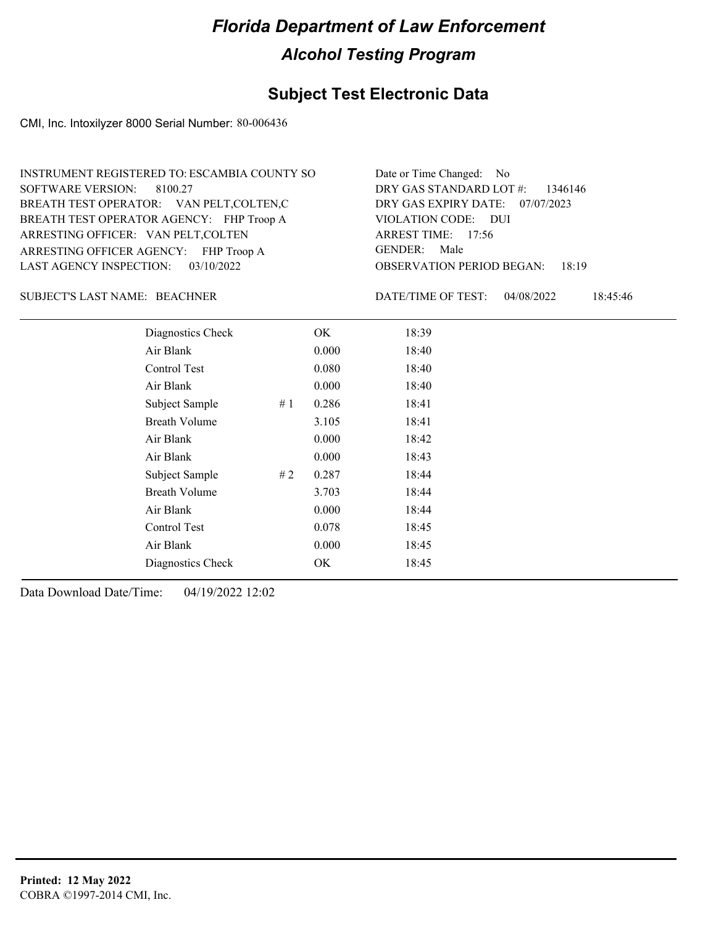#### **Subject Test Electronic Data**

CMI, Inc. Intoxilyzer 8000 Serial Number: 80-006436

| INSTRUMENT REGISTERED TO: ESCAMBIA COUNTY SO | Date or Time Changed: No               |
|----------------------------------------------|----------------------------------------|
| SOFTWARE VERSION: 8100.27                    | DRY GAS STANDARD LOT $\#$ : 1346146    |
| BREATH TEST OPERATOR: VAN PELT, COLTEN, C    | DRY GAS EXPIRY DATE: 07/07/2023        |
| BREATH TEST OPERATOR AGENCY: FHP Troop A     | VIOLATION CODE: DUI                    |
| ARRESTING OFFICER: VAN PELT, COLTEN          | ARREST TIME: 17:56                     |
| ARRESTING OFFICER AGENCY: FHP Troop A        | GENDER: Male                           |
| LAST AGENCY INSPECTION: $03/10/2022$         | <b>OBSERVATION PERIOD BEGAN: 18:19</b> |

BEACHNER SUBJECT'S LAST NAME: DATE/TIME OF TEST:

DATE/TIME OF TEST: 04/08/2022 18:45:46

| Diagnostics Check    |    | OK    | 18:39 |  |
|----------------------|----|-------|-------|--|
| Air Blank            |    | 0.000 | 18:40 |  |
| Control Test         |    | 0.080 | 18:40 |  |
| Air Blank            |    | 0.000 | 18:40 |  |
| Subject Sample       | #1 | 0.286 | 18:41 |  |
| <b>Breath Volume</b> |    | 3.105 | 18:41 |  |
| Air Blank            |    | 0.000 | 18:42 |  |
| Air Blank            |    | 0.000 | 18:43 |  |
| Subject Sample       | #2 | 0.287 | 18:44 |  |
| <b>Breath Volume</b> |    | 3.703 | 18:44 |  |
| Air Blank            |    | 0.000 | 18:44 |  |
| Control Test         |    | 0.078 | 18:45 |  |
| Air Blank            |    | 0.000 | 18:45 |  |
| Diagnostics Check    |    | OK    | 18:45 |  |
|                      |    |       |       |  |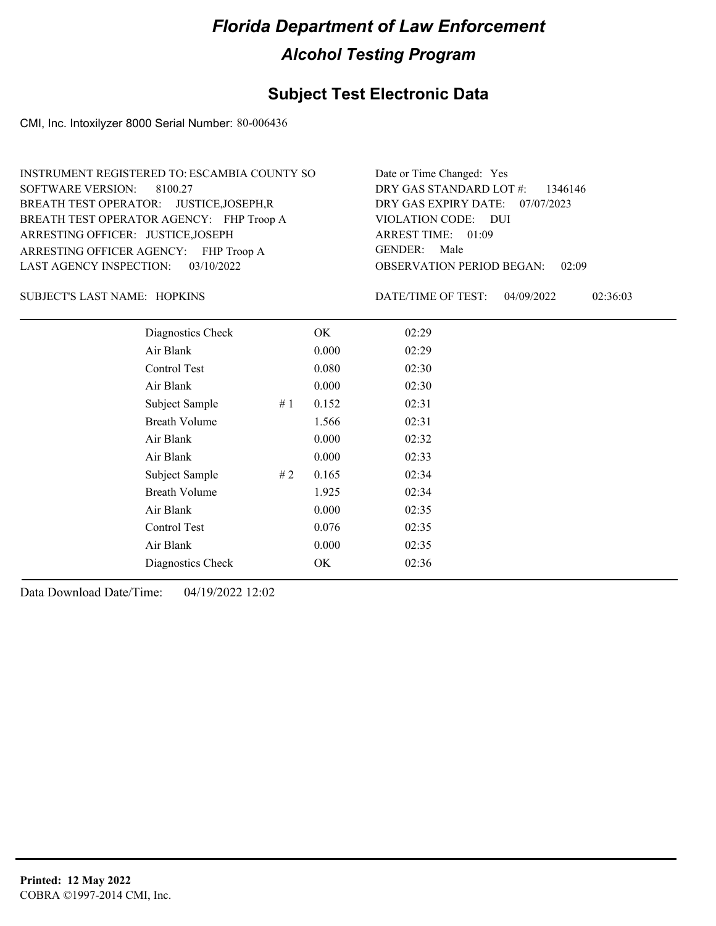#### **Subject Test Electronic Data**

CMI, Inc. Intoxilyzer 8000 Serial Number: 80-006436

| INSTRUMENT REGISTERED TO: ESCAMBIA COUNTY SO | Date or Time Changed: Yes              |
|----------------------------------------------|----------------------------------------|
| SOFTWARE VERSION: 8100.27                    | DRY GAS STANDARD LOT #: 1346146        |
| BREATH TEST OPERATOR: JUSTICE, JOSEPH, R     | DRY GAS EXPIRY DATE: 07/07/2023        |
| BREATH TEST OPERATOR AGENCY: FHP Troop A     | VIOLATION CODE: DUI                    |
| ARRESTING OFFICER: JUSTICE, JOSEPH           | ARREST TIME: 01:09                     |
| ARRESTING OFFICER AGENCY: FHP Troop A        | GENDER: Male                           |
| LAST AGENCY INSPECTION: 03/10/2022           | <b>OBSERVATION PERIOD BEGAN: 02:09</b> |

HOPKINS SUBJECT'S LAST NAME: DATE/TIME OF TEST:

DATE/TIME OF TEST: 04/09/2022 02:36:03

| Diagnostics Check    |    | OK    | 02:29 |
|----------------------|----|-------|-------|
| Air Blank            |    | 0.000 | 02:29 |
| Control Test         |    | 0.080 | 02:30 |
| Air Blank            |    | 0.000 | 02:30 |
| Subject Sample       | #1 | 0.152 | 02:31 |
| <b>Breath Volume</b> |    | 1.566 | 02:31 |
| Air Blank            |    | 0.000 | 02:32 |
| Air Blank            |    | 0.000 | 02:33 |
| Subject Sample       | #2 | 0.165 | 02:34 |
| <b>Breath Volume</b> |    | 1.925 | 02:34 |
| Air Blank            |    | 0.000 | 02:35 |
| Control Test         |    | 0.076 | 02:35 |
| Air Blank            |    | 0.000 | 02:35 |
| Diagnostics Check    |    | OK    | 02:36 |
|                      |    |       |       |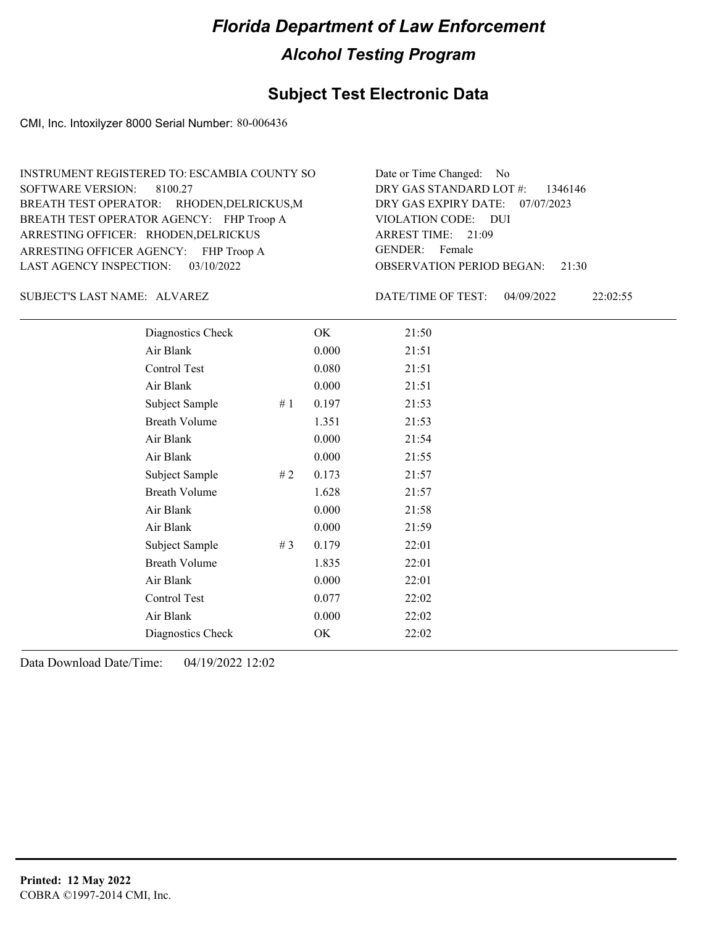#### **Subject Test Electronic Data**

CMI, Inc. Intoxilyzer 8000 Serial Number: 80-006436

ARRESTING OFFICER AGENCY: FHP Troop A GENDER: BREATH TEST OPERATOR AGENCY: FHP Troop A VIOLATION CODE: SOFTWARE VERSION: 8100.27 ARRESTING OFFICER: RHODEN, DELRICKUS BREATH TEST OPERATOR: RHODEN,DELRICKUS,M LAST AGENCY INSPECTION: 03/10/2022 INSTRUMENT REGISTERED TO: ESCAMBIA COUNTY SO

OBSERVATION PERIOD BEGAN: 21:30 VIOLATION CODE: DUI ARREST TIME: 21:09 DRY GAS EXPIRY DATE: 07/07/2023 DRY GAS STANDARD LOT #: 1346146 Date or Time Changed: No GENDER: Female

SUBJECT'S LAST NAME: ALVAREZ DATE/TIME OF TEST:

DATE/TIME OF TEST: 04/09/2022 22:02:55

| Diagnostics Check    |    | OK    | 21:50 |
|----------------------|----|-------|-------|
| Air Blank            |    | 0.000 | 21:51 |
| Control Test         |    | 0.080 | 21:51 |
| Air Blank            |    | 0.000 | 21:51 |
| Subject Sample       | #1 | 0.197 | 21:53 |
| <b>Breath Volume</b> |    | 1.351 | 21:53 |
| Air Blank            |    | 0.000 | 21:54 |
| Air Blank            |    | 0.000 | 21:55 |
| Subject Sample       | #2 | 0.173 | 21:57 |
| <b>Breath Volume</b> |    | 1.628 | 21:57 |
| Air Blank            |    | 0.000 | 21:58 |
| Air Blank            |    | 0.000 | 21:59 |
| Subject Sample       | #3 | 0.179 | 22:01 |
| <b>Breath Volume</b> |    | 1.835 | 22:01 |
| Air Blank            |    | 0.000 | 22:01 |
| Control Test         |    | 0.077 | 22:02 |
| Air Blank            |    | 0.000 | 22:02 |
| Diagnostics Check    |    | OK    | 22:02 |
|                      |    |       |       |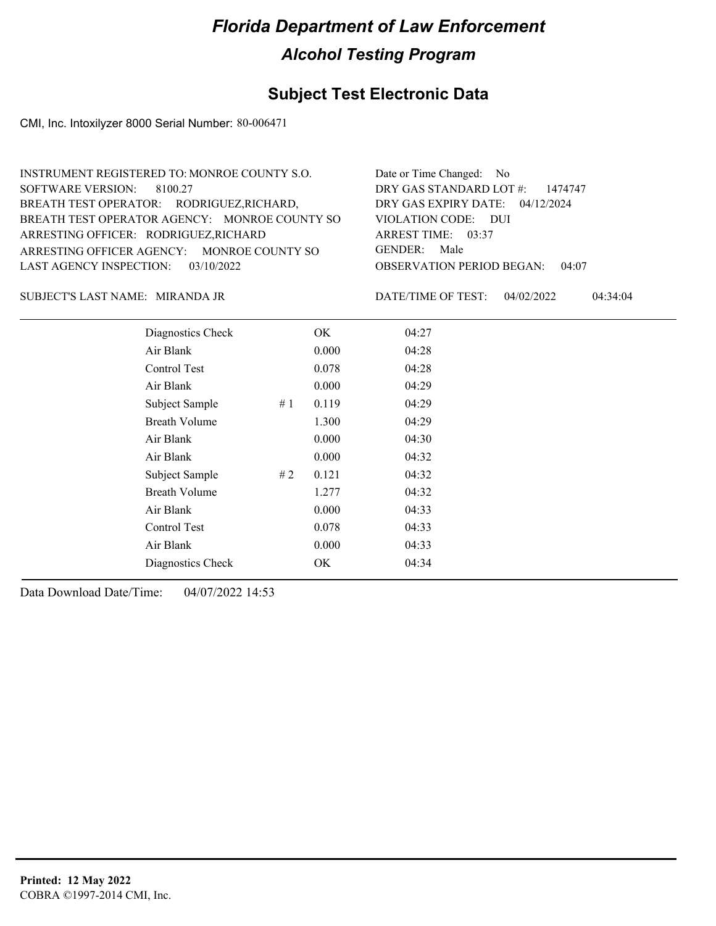### **Subject Test Electronic Data**

CMI, Inc. Intoxilyzer 8000 Serial Number: 80-006471

| INSTRUMENT REGISTERED TO: MONROE COUNTY S.O.  | Date or Time Changed: No               |
|-----------------------------------------------|----------------------------------------|
| SOFTWARE VERSION: 8100.27                     | DRY GAS STANDARD LOT $\#$ : 1474747    |
| BREATH TEST OPERATOR: RODRIGUEZ, RICHARD,     | DRY GAS EXPIRY DATE: $04/12/2024$      |
| BREATH TEST OPERATOR AGENCY: MONROE COUNTY SO | VIOLATION CODE: DUI                    |
| ARRESTING OFFICER: RODRIGUEZ, RICHARD         | ARREST TIME: 03:37                     |
| ARRESTING OFFICER AGENCY: MONROE COUNTY SO    | GENDER: Male                           |
| LAST AGENCY INSPECTION: 03/10/2022            | <b>OBSERVATION PERIOD BEGAN: 04:07</b> |
|                                               |                                        |

MIRANDA JR SUBJECT'S LAST NAME: DATE/TIME OF TEST:

DATE/TIME OF TEST: 04/02/2022 04:34:04

| Diagnostics Check    |    | OK    | 04:27 |
|----------------------|----|-------|-------|
| Air Blank            |    | 0.000 | 04:28 |
| Control Test         |    | 0.078 | 04:28 |
| Air Blank            |    | 0.000 | 04:29 |
| Subject Sample       | #1 | 0.119 | 04:29 |
| <b>Breath Volume</b> |    | 1.300 | 04:29 |
| Air Blank            |    | 0.000 | 04:30 |
| Air Blank            |    | 0.000 | 04:32 |
| Subject Sample       | #2 | 0.121 | 04:32 |
| <b>Breath Volume</b> |    | 1.277 | 04:32 |
| Air Blank            |    | 0.000 | 04:33 |
| <b>Control Test</b>  |    | 0.078 | 04:33 |
| Air Blank            |    | 0.000 | 04:33 |
| Diagnostics Check    |    | OK    | 04:34 |
|                      |    |       |       |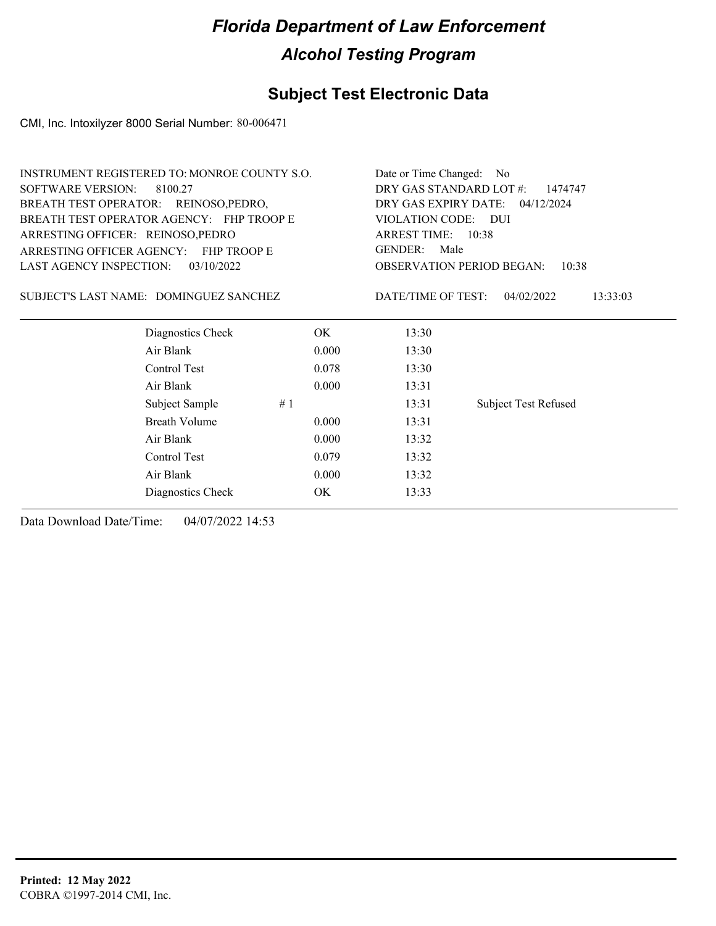### **Subject Test Electronic Data**

CMI, Inc. Intoxilyzer 8000 Serial Number: 80-006471

|                                                 | INSTRUMENT REGISTERED TO: MONROE COUNTY S.O. |       | Date or Time Changed:<br>N <sub>o</sub> |                                           |  |  |
|-------------------------------------------------|----------------------------------------------|-------|-----------------------------------------|-------------------------------------------|--|--|
| <b>SOFTWARE VERSION:</b>                        | 8100.27                                      |       | DRY GAS STANDARD LOT #:<br>1474747      |                                           |  |  |
| BREATH TEST OPERATOR: REINOSO, PEDRO,           |                                              |       | DRY GAS EXPIRY DATE: 04/12/2024         |                                           |  |  |
|                                                 | BREATH TEST OPERATOR AGENCY: FHP TROOP E     |       | VIOLATION CODE:                         | - DUI                                     |  |  |
| ARRESTING OFFICER: REINOSO, PEDRO               |                                              |       | ARREST TIME: 10:38                      |                                           |  |  |
| ARRESTING OFFICER AGENCY:<br><b>FHP TROOP E</b> |                                              |       | <b>GENDER:</b><br>Male                  |                                           |  |  |
| LAST AGENCY INSPECTION:                         | 03/10/2022                                   |       |                                         | <b>OBSERVATION PERIOD BEGAN:</b><br>10:38 |  |  |
| SUBJECT'S LAST NAME: DOMINGUEZ SANCHEZ          |                                              |       | DATE/TIME OF TEST:                      | 04/02/2022<br>13:33:03                    |  |  |
|                                                 | Diagnostics Check                            | OK.   | 13:30                                   |                                           |  |  |
|                                                 | Air Blank                                    | 0.000 | 13:30                                   |                                           |  |  |
|                                                 | Control Test                                 | 0.078 | 13:30                                   |                                           |  |  |
|                                                 | Air Blank                                    | 0.000 | 13:31                                   |                                           |  |  |
|                                                 | Subject Sample                               | #1    | 13:31                                   | <b>Subject Test Refused</b>               |  |  |
|                                                 | <b>Breath Volume</b>                         | 0.000 | 13:31                                   |                                           |  |  |
|                                                 | Air Blank                                    | 0.000 | 13:32                                   |                                           |  |  |
|                                                 | Control Test                                 | 0.079 | 13:32                                   |                                           |  |  |
|                                                 | Air Blank                                    | 0.000 | 13:32                                   |                                           |  |  |
|                                                 | Diagnostics Check                            | OK    | 13:33                                   |                                           |  |  |
|                                                 |                                              |       |                                         |                                           |  |  |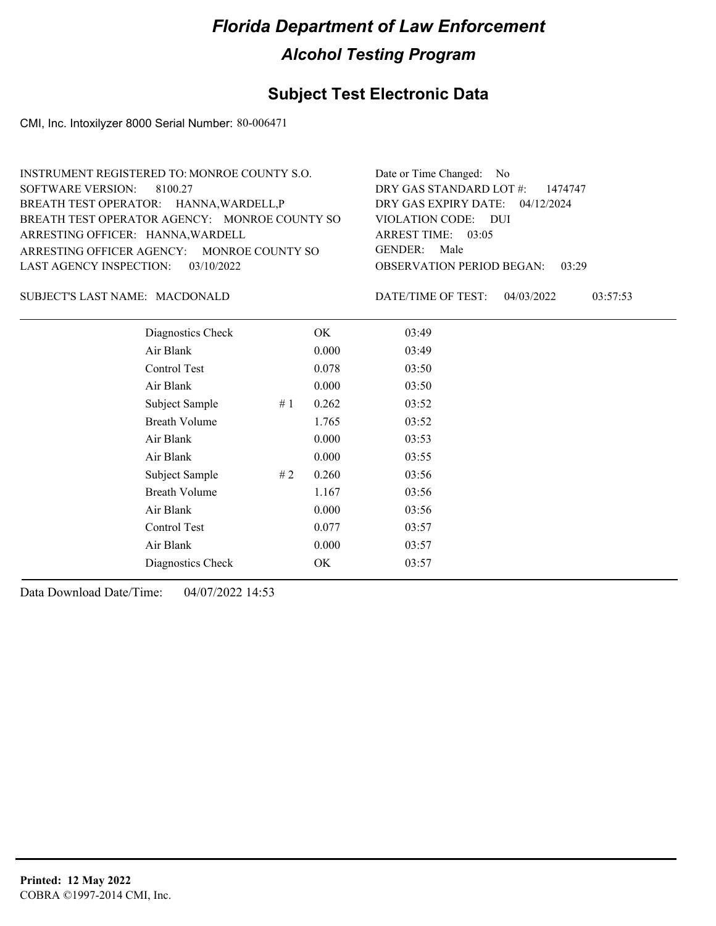### **Subject Test Electronic Data**

CMI, Inc. Intoxilyzer 8000 Serial Number: 80-006471

| INSTRUMENT REGISTERED TO: MONROE COUNTY S.O.  | Date or Time Changed: No               |
|-----------------------------------------------|----------------------------------------|
| SOFTWARE VERSION: 8100.27                     | DRY GAS STANDARD LOT $\#$ : 1474747    |
| BREATH TEST OPERATOR: HANNA, WARDELL, P       | DRY GAS EXPIRY DATE: $04/12/2024$      |
| BREATH TEST OPERATOR AGENCY: MONROE COUNTY SO | VIOLATION CODE: DUI                    |
| ARRESTING OFFICER: HANNA, WARDELL             | ARREST TIME: $03:05$                   |
| ARRESTING OFFICER AGENCY: MONROE COUNTY SO    | GENDER: Male                           |
| LAST AGENCY INSPECTION: $03/10/2022$          | <b>OBSERVATION PERIOD BEGAN: 03:29</b> |
|                                               |                                        |

SUBJECT'S LAST NAME: MACDONALD DATE/TIME OF TEST:

DATE/TIME OF TEST: 04/03/2022 03:57:53

| Diagnostics Check    |    | OK    | 03:49 |
|----------------------|----|-------|-------|
| Air Blank            |    | 0.000 | 03:49 |
| Control Test         |    | 0.078 | 03:50 |
| Air Blank            |    | 0.000 | 03:50 |
| Subject Sample       | #1 | 0.262 | 03:52 |
| <b>Breath Volume</b> |    | 1.765 | 03:52 |
| Air Blank            |    | 0.000 | 03:53 |
| Air Blank            |    | 0.000 | 03:55 |
| Subject Sample       | #2 | 0.260 | 03:56 |
| <b>Breath Volume</b> |    | 1.167 | 03:56 |
| Air Blank            |    | 0.000 | 03:56 |
| Control Test         |    | 0.077 | 03:57 |
| Air Blank            |    | 0.000 | 03:57 |
| Diagnostics Check    |    | OK    | 03:57 |
|                      |    |       |       |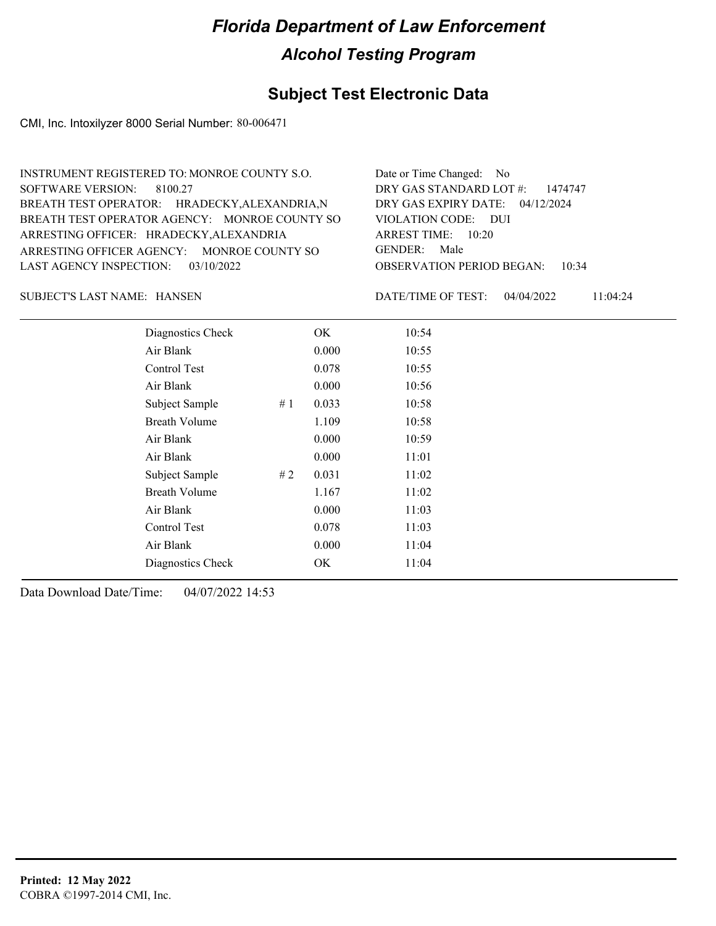### **Subject Test Electronic Data**

CMI, Inc. Intoxilyzer 8000 Serial Number: 80-006471

| INSTRUMENT REGISTERED TO: MONROE COUNTY S.O.  | Date or Time Changed: No               |
|-----------------------------------------------|----------------------------------------|
| SOFTWARE VERSION: 8100.27                     | DRY GAS STANDARD LOT #: 1474747        |
| BREATH TEST OPERATOR: HRADECKY, ALEXANDRIA, N | DRY GAS EXPIRY DATE: 04/12/2024        |
| BREATH TEST OPERATOR AGENCY: MONROE COUNTY SO | VIOLATION CODE: DUI                    |
| ARRESTING OFFICER: HRADECKY, ALEXANDRIA       | ARREST TIME: $10:20$                   |
| ARRESTING OFFICER AGENCY: MONROE COUNTY SO    | GENDER: Male                           |
| LAST AGENCY INSPECTION: $03/10/2022$          | <b>OBSERVATION PERIOD BEGAN: 10:34</b> |
|                                               |                                        |

HANSEN SUBJECT'S LAST NAME: DATE/TIME OF TEST:

DATE/TIME OF TEST: 04/04/2022 11:04:24

| Diagnostics Check    |    | OK    | 10:54 |  |  |
|----------------------|----|-------|-------|--|--|
| Air Blank            |    | 0.000 | 10:55 |  |  |
| Control Test         |    | 0.078 | 10:55 |  |  |
| Air Blank            |    | 0.000 | 10:56 |  |  |
| Subject Sample       | #1 | 0.033 | 10:58 |  |  |
| <b>Breath Volume</b> |    | 1.109 | 10:58 |  |  |
| Air Blank            |    | 0.000 | 10:59 |  |  |
| Air Blank            |    | 0.000 | 11:01 |  |  |
| Subject Sample       | #2 | 0.031 | 11:02 |  |  |
| <b>Breath Volume</b> |    | 1.167 | 11:02 |  |  |
| Air Blank            |    | 0.000 | 11:03 |  |  |
| Control Test         |    | 0.078 | 11:03 |  |  |
| Air Blank            |    | 0.000 | 11:04 |  |  |
| Diagnostics Check    |    | OK    | 11:04 |  |  |
|                      |    |       |       |  |  |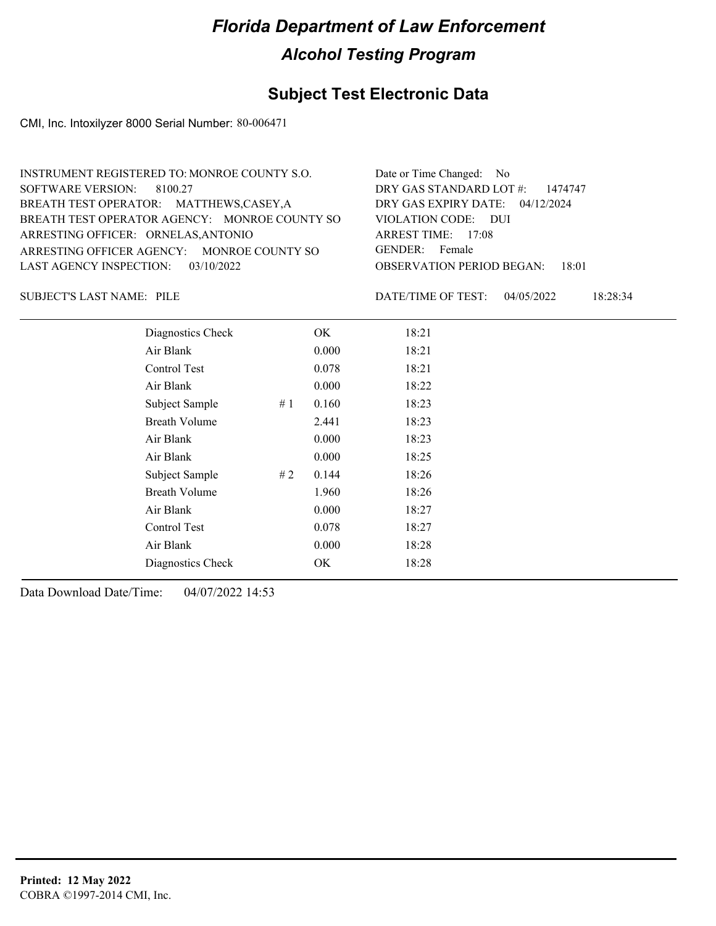### **Subject Test Electronic Data**

CMI, Inc. Intoxilyzer 8000 Serial Number: 80-006471

| INSTRUMENT REGISTERED TO: MONROE COUNTY S.O.  | Date or Time Changed: No               |
|-----------------------------------------------|----------------------------------------|
| SOFTWARE VERSION: 8100.27                     | DRY GAS STANDARD LOT #: 1474747        |
| BREATH TEST OPERATOR: MATTHEWS,CASEY,A        | DRY GAS EXPIRY DATE: 04/12/2024        |
| BREATH TEST OPERATOR AGENCY: MONROE COUNTY SO | VIOLATION CODE: DUI                    |
| ARRESTING OFFICER: ORNELAS, ANTONIO           | ARREST TIME: $17:08$                   |
| ARRESTING OFFICER AGENCY: MONROE COUNTY SO    | GENDER: Female                         |
| LAST AGENCY INSPECTION: 03/10/2022            | <b>OBSERVATION PERIOD BEGAN:</b> 18:01 |
|                                               |                                        |

SUBJECT'S LAST NAME: PILE **Example 20 SUBJECT'S LAST NAME:** PILE

DATE/TIME OF TEST: 04/05/2022 18:28:34

| Diagnostics Check    |    | OK    | 18:21 |  |
|----------------------|----|-------|-------|--|
| Air Blank            |    | 0.000 | 18:21 |  |
| Control Test         |    | 0.078 | 18:21 |  |
| Air Blank            |    | 0.000 | 18:22 |  |
| Subject Sample       | #1 | 0.160 | 18:23 |  |
| <b>Breath Volume</b> |    | 2.441 | 18:23 |  |
| Air Blank            |    | 0.000 | 18:23 |  |
| Air Blank            |    | 0.000 | 18:25 |  |
| Subject Sample       | #2 | 0.144 | 18:26 |  |
| <b>Breath Volume</b> |    | 1.960 | 18:26 |  |
| Air Blank            |    | 0.000 | 18:27 |  |
| <b>Control Test</b>  |    | 0.078 | 18:27 |  |
| Air Blank            |    | 0.000 | 18:28 |  |
| Diagnostics Check    |    | OK    | 18:28 |  |
|                      |    |       |       |  |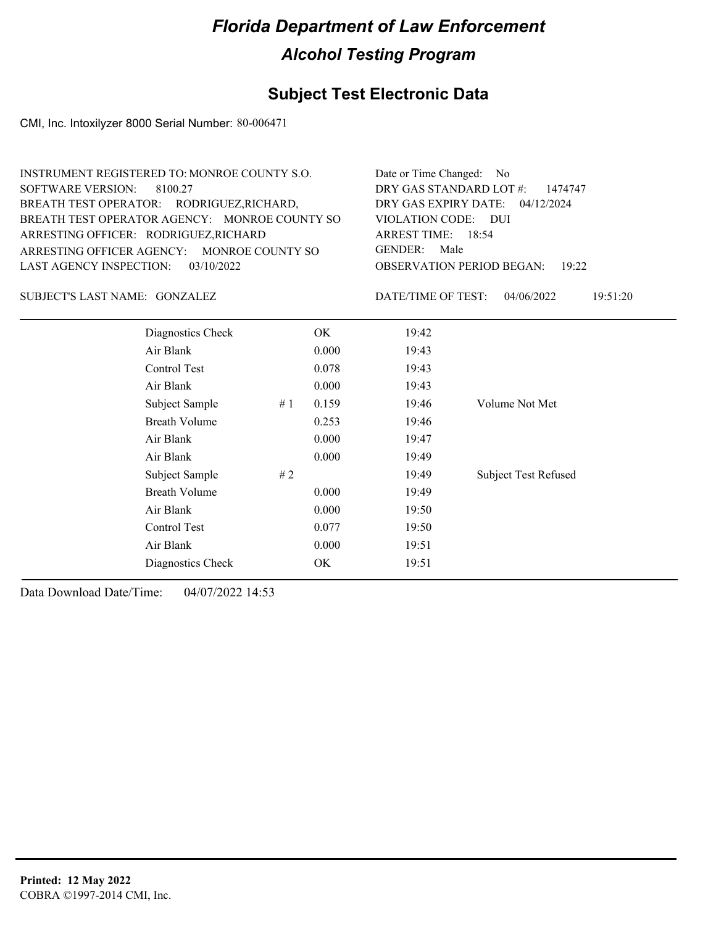### **Subject Test Electronic Data**

CMI, Inc. Intoxilyzer 8000 Serial Number: 80-006471

| INSTRUMENT REGISTERED TO: MONROE COUNTY S.O.  | Date or Time Changed: No               |
|-----------------------------------------------|----------------------------------------|
| SOFTWARE VERSION: 8100.27                     | DRY GAS STANDARD LOT $\#$ : 1474747    |
| BREATH TEST OPERATOR: RODRIGUEZ, RICHARD,     | DRY GAS EXPIRY DATE: 04/12/2024        |
| BREATH TEST OPERATOR AGENCY: MONROE COUNTY SO | VIOLATION CODE: DUI                    |
| ARRESTING OFFICER: RODRIGUEZ, RICHARD         | ARREST TIME: 18:54                     |
| ARRESTING OFFICER AGENCY: MONROE COUNTY SO    | GENDER: Male                           |
| LAST AGENCY INSPECTION: $03/10/2022$          | <b>OBSERVATION PERIOD BEGAN: 19:22</b> |

GONZALEZ SUBJECT'S LAST NAME: DATE/TIME OF TEST:

DATE/TIME OF TEST: 04/06/2022 19:51:20

| Diagnostics Check    |    | OK    | 19:42 |                             |
|----------------------|----|-------|-------|-----------------------------|
| Air Blank            |    | 0.000 | 19:43 |                             |
| Control Test         |    | 0.078 | 19:43 |                             |
| Air Blank            |    | 0.000 | 19:43 |                             |
| Subject Sample       | #1 | 0.159 | 19:46 | Volume Not Met              |
| <b>Breath Volume</b> |    | 0.253 | 19:46 |                             |
| Air Blank            |    | 0.000 | 19:47 |                             |
| Air Blank            |    | 0.000 | 19:49 |                             |
| Subject Sample       | #2 |       | 19:49 | <b>Subject Test Refused</b> |
| <b>Breath Volume</b> |    | 0.000 | 19:49 |                             |
| Air Blank            |    | 0.000 | 19:50 |                             |
| Control Test         |    | 0.077 | 19:50 |                             |
| Air Blank            |    | 0.000 | 19:51 |                             |
| Diagnostics Check    |    | OK    | 19:51 |                             |
|                      |    |       |       |                             |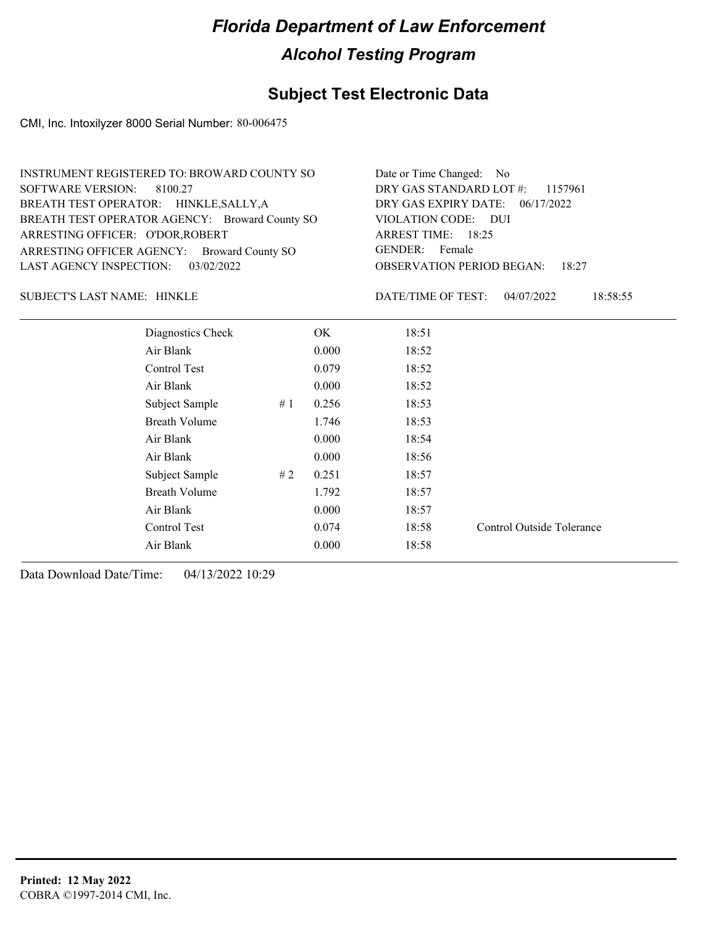#### **Subject Test Electronic Data**

CMI, Inc. Intoxilyzer 8000 Serial Number: 80-006475

| INSTRUMENT REGISTERED TO: BROWARD COUNTY SO    | Date or Time Changed: No               |
|------------------------------------------------|----------------------------------------|
| SOFTWARE VERSION: 8100.27                      | DRY GAS STANDARD LOT $\#$ : 1157961    |
| BREATH TEST OPERATOR: HINKLE, SALLY, A         | DRY GAS EXPIRY DATE: 06/17/2022        |
| BREATH TEST OPERATOR AGENCY: Broward County SO | VIOLATION CODE: DUI                    |
| ARRESTING OFFICER: O'DOR, ROBERT               | ARREST TIME: 18:25                     |
| ARRESTING OFFICER AGENCY: Broward County SO    | GENDER: Female                         |
| LAST AGENCY INSPECTION: $03/02/2022$           | <b>OBSERVATION PERIOD BEGAN: 18:27</b> |

#### HINKLE SUBJECT'S LAST NAME: DATE/TIME OF TEST:

DATE/TIME OF TEST: 04/07/2022 18:58:55

| Diagnostics Check    |    | OK    | 18:51 |                           |
|----------------------|----|-------|-------|---------------------------|
| Air Blank            |    | 0.000 | 18:52 |                           |
| Control Test         |    | 0.079 | 18:52 |                           |
| Air Blank            |    | 0.000 | 18:52 |                           |
| Subject Sample       | #1 | 0.256 | 18:53 |                           |
| <b>Breath Volume</b> |    | 1.746 | 18:53 |                           |
| Air Blank            |    | 0.000 | 18:54 |                           |
| Air Blank            |    | 0.000 | 18:56 |                           |
| Subject Sample       | #2 | 0.251 | 18:57 |                           |
| <b>Breath Volume</b> |    | 1.792 | 18:57 |                           |
| Air Blank            |    | 0.000 | 18:57 |                           |
| Control Test         |    | 0.074 | 18:58 | Control Outside Tolerance |
| Air Blank            |    | 0.000 | 18:58 |                           |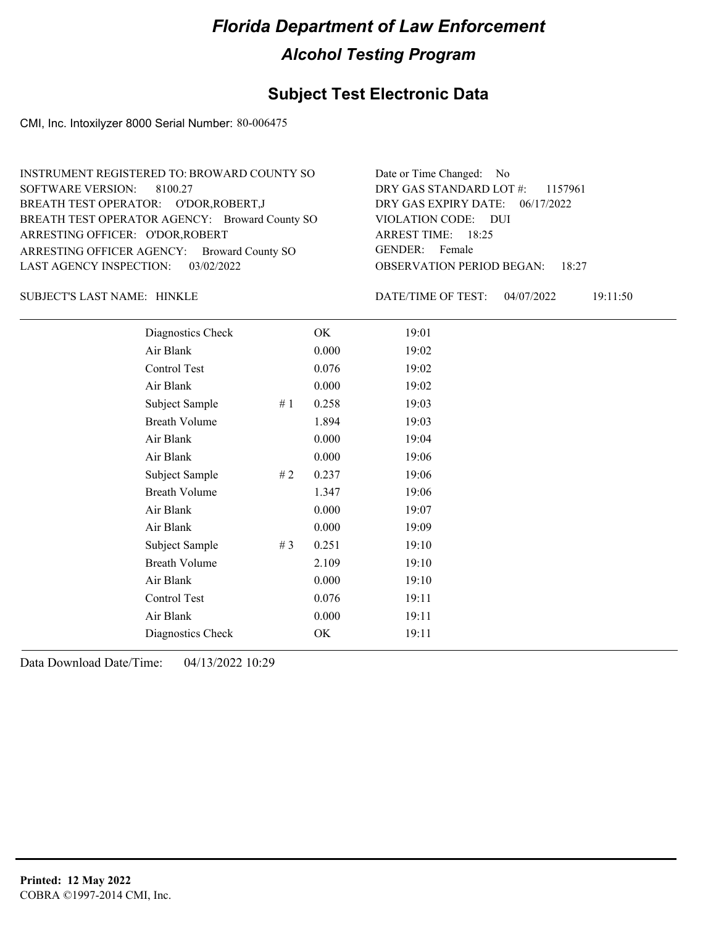#### **Subject Test Electronic Data**

CMI, Inc. Intoxilyzer 8000 Serial Number: 80-006475

| Date or Time Changed: No               |
|----------------------------------------|
| DRY GAS STANDARD LOT #: 1157961        |
| DRY GAS EXPIRY DATE: 06/17/2022        |
| VIOLATION CODE: DUI                    |
| ARREST TIME: 18:25                     |
| GENDER: Female                         |
| <b>OBSERVATION PERIOD BEGAN: 18:27</b> |
|                                        |

HINKLE SUBJECT'S LAST NAME: DATE/TIME OF TEST:

DATE/TIME OF TEST: 04/07/2022 19:11:50

| Diagnostics Check    |       | OK    | 19:01 |
|----------------------|-------|-------|-------|
| Air Blank            |       | 0.000 | 19:02 |
| Control Test         |       | 0.076 | 19:02 |
| Air Blank            |       | 0.000 | 19:02 |
| Subject Sample       | #1    | 0.258 | 19:03 |
| <b>Breath Volume</b> |       | 1.894 | 19:03 |
| Air Blank            |       | 0.000 | 19:04 |
| Air Blank            |       | 0.000 | 19:06 |
| Subject Sample       | #2    | 0.237 | 19:06 |
| <b>Breath Volume</b> |       | 1.347 | 19:06 |
| Air Blank            |       | 0.000 | 19:07 |
| Air Blank            |       | 0.000 | 19:09 |
| Subject Sample       | # $3$ | 0.251 | 19:10 |
| <b>Breath Volume</b> |       | 2.109 | 19:10 |
| Air Blank            |       | 0.000 | 19:10 |
| Control Test         |       | 0.076 | 19:11 |
| Air Blank            |       | 0.000 | 19:11 |
| Diagnostics Check    |       | OK    | 19:11 |
|                      |       |       |       |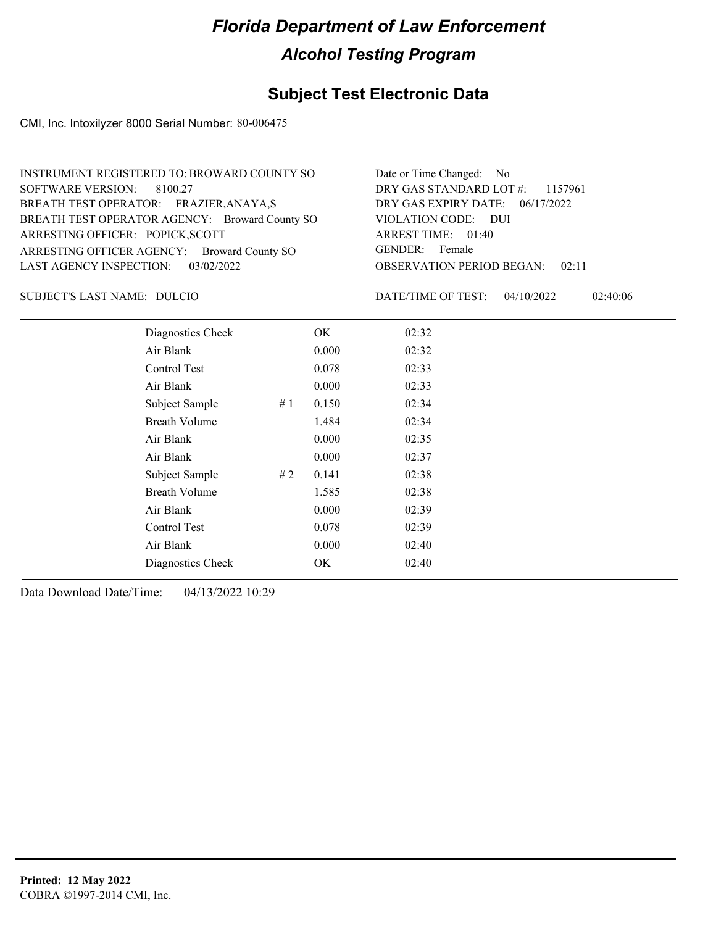### **Subject Test Electronic Data**

CMI, Inc. Intoxilyzer 8000 Serial Number: 80-006475

| INSTRUMENT REGISTERED TO: BROWARD COUNTY SO    | Date or Time Changed: No               |
|------------------------------------------------|----------------------------------------|
| SOFTWARE VERSION: 8100.27                      | DRY GAS STANDARD LOT #: 1157961        |
| BREATH TEST OPERATOR: FRAZIER, ANAYA, S        | DRY GAS EXPIRY DATE: 06/17/2022        |
| BREATH TEST OPERATOR AGENCY: Broward County SO | VIOLATION CODE: DUI                    |
| ARRESTING OFFICER: POPICK, SCOTT               | ARREST TIME: 01:40                     |
| ARRESTING OFFICER AGENCY: Broward County SO    | GENDER: Female                         |
| LAST AGENCY INSPECTION: 03/02/2022             | <b>OBSERVATION PERIOD BEGAN: 02:11</b> |

SUBJECT'S LAST NAME: DULCIO DATE/TIME OF TEST:

DATE/TIME OF TEST: 04/10/2022 02:40:06

| Diagnostics Check    |    | OK    | 02:32 |  |
|----------------------|----|-------|-------|--|
| Air Blank            |    | 0.000 | 02:32 |  |
| Control Test         |    | 0.078 | 02:33 |  |
| Air Blank            |    | 0.000 | 02:33 |  |
| Subject Sample       | #1 | 0.150 | 02:34 |  |
| <b>Breath Volume</b> |    | 1.484 | 02:34 |  |
| Air Blank            |    | 0.000 | 02:35 |  |
| Air Blank            |    | 0.000 | 02:37 |  |
| Subject Sample       | #2 | 0.141 | 02:38 |  |
| <b>Breath Volume</b> |    | 1.585 | 02:38 |  |
| Air Blank            |    | 0.000 | 02:39 |  |
| Control Test         |    | 0.078 | 02:39 |  |
| Air Blank            |    | 0.000 | 02:40 |  |
| Diagnostics Check    |    | OK.   | 02:40 |  |
|                      |    |       |       |  |